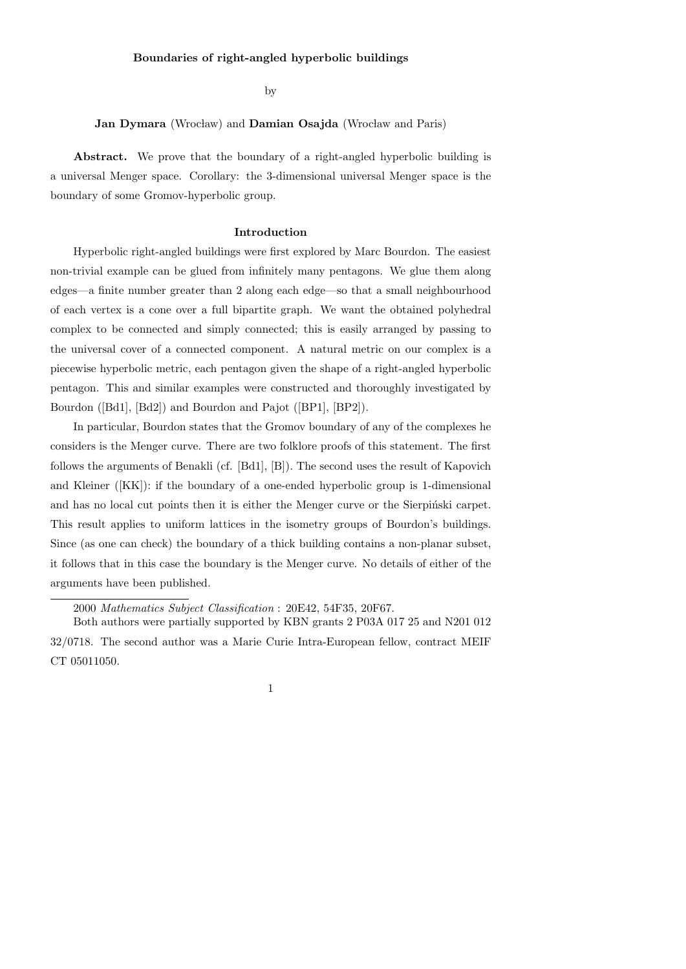by

# Jan Dymara (Wrocław) and Damian Osajda (Wrocław and Paris)

Abstract. We prove that the boundary of a right-angled hyperbolic building is a universal Menger space. Corollary: the 3-dimensional universal Menger space is the boundary of some Gromov-hyperbolic group.

#### Introduction

Hyperbolic right-angled buildings were first explored by Marc Bourdon. The easiest non-trivial example can be glued from infinitely many pentagons. We glue them along edges—a finite number greater than 2 along each edge—so that a small neighbourhood of each vertex is a cone over a full bipartite graph. We want the obtained polyhedral complex to be connected and simply connected; this is easily arranged by passing to the universal cover of a connected component. A natural metric on our complex is a piecewise hyperbolic metric, each pentagon given the shape of a right-angled hyperbolic pentagon. This and similar examples were constructed and thoroughly investigated by Bourdon ([Bd1], [Bd2]) and Bourdon and Pajot ([BP1], [BP2]).

In particular, Bourdon states that the Gromov boundary of any of the complexes he considers is the Menger curve. There are two folklore proofs of this statement. The first follows the arguments of Benakli (cf. [Bd1], [B]). The second uses the result of Kapovich and Kleiner ([KK]): if the boundary of a one-ended hyperbolic group is 1-dimensional and has no local cut points then it is either the Menger curve or the Sierpinski carpet. This result applies to uniform lattices in the isometry groups of Bourdon's buildings. Since (as one can check) the boundary of a thick building contains a non-planar subset, it follows that in this case the boundary is the Menger curve. No details of either of the arguments have been published.

2000 Mathematics Subject Classification : 20E42, 54F35, 20F67.

Both authors were partially supported by KBN grants 2 P03A 017 25 and N201 012 32/0718. The second author was a Marie Curie Intra-European fellow, contract MEIF CT 05011050.

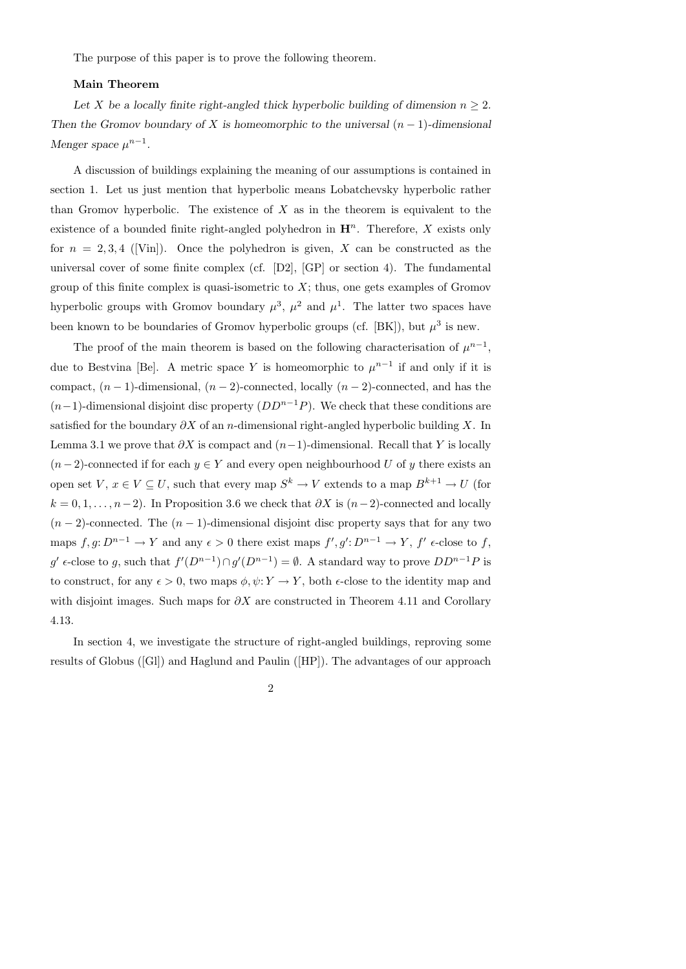The purpose of this paper is to prove the following theorem.

### Main Theorem

Let X be a locally finite right-angled thick hyperbolic building of dimension  $n \geq 2$ . Then the Gromov boundary of X is homeomorphic to the universal  $(n-1)$ -dimensional Menger space  $\mu^{n-1}$ .

A discussion of buildings explaining the meaning of our assumptions is contained in section 1. Let us just mention that hyperbolic means Lobatchevsky hyperbolic rather than Gromov hyperbolic. The existence of  $X$  as in the theorem is equivalent to the existence of a bounded finite right-angled polyhedron in  $\mathbf{H}^n$ . Therefore, X exists only for  $n = 2, 3, 4$  ([Vin]). Once the polyhedron is given, X can be constructed as the universal cover of some finite complex (cf. [D2], [GP] or section 4). The fundamental group of this finite complex is quasi-isometric to  $X$ ; thus, one gets examples of Gromov hyperbolic groups with Gromov boundary  $\mu^3$ ,  $\mu^2$  and  $\mu^1$ . The latter two spaces have been known to be boundaries of Gromov hyperbolic groups (cf. [BK]), but  $\mu^3$  is new.

The proof of the main theorem is based on the following characterisation of  $\mu^{n-1}$ , due to Bestvina [Be]. A metric space Y is homeomorphic to  $\mu^{n-1}$  if and only if it is compact,  $(n-1)$ -dimensional,  $(n-2)$ -connected, locally  $(n-2)$ -connected, and has the  $(n-1)$ -dimensional disjoint disc property  $(DD^{n-1}P)$ . We check that these conditions are satisfied for the boundary  $\partial X$  of an n-dimensional right-angled hyperbolic building X. In Lemma 3.1 we prove that  $\partial X$  is compact and  $(n-1)$ -dimensional. Recall that Y is locally  $(n-2)$ -connected if for each  $y \in Y$  and every open neighbourhood U of y there exists an open set  $V, x \in V \subseteq U$ , such that every map  $S^k \to V$  extends to a map  $B^{k+1} \to U$  (for  $k = 0, 1, \ldots, n-2$ ). In Proposition 3.6 we check that  $\partial X$  is  $(n-2)$ -connected and locally  $(n-2)$ -connected. The  $(n-1)$ -dimensional disjoint disc property says that for any two maps  $f, g: D^{n-1} \to Y$  and any  $\epsilon > 0$  there exist maps  $f', g': D^{n-1} \to Y$ ,  $f' \epsilon$ -close to f,  $g'$   $\epsilon$ -close to g, such that  $f'(D^{n-1}) \cap g'(D^{n-1}) = \emptyset$ . A standard way to prove  $DD^{n-1}P$  is to construct, for any  $\epsilon > 0$ , two maps  $\phi, \psi: Y \to Y$ , both  $\epsilon$ -close to the identity map and with disjoint images. Such maps for  $\partial X$  are constructed in Theorem 4.11 and Corollary 4.13.

In section 4, we investigate the structure of right-angled buildings, reproving some results of Globus ([Gl]) and Haglund and Paulin ([HP]). The advantages of our approach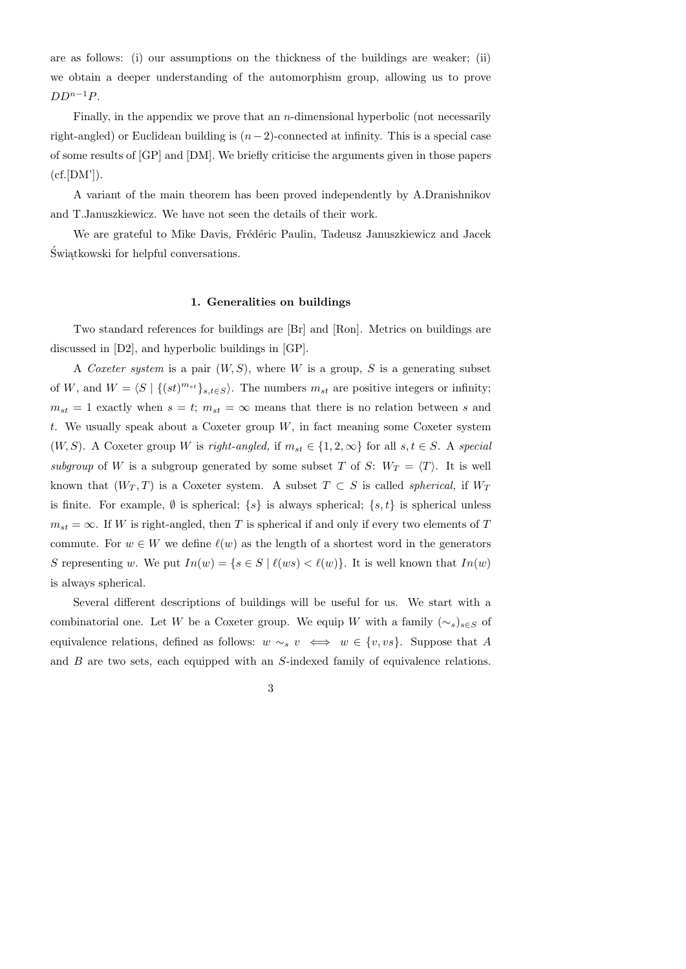are as follows: (i) our assumptions on the thickness of the buildings are weaker; (ii) we obtain a deeper understanding of the automorphism group, allowing us to prove  $DD^{n-1}P$ .

Finally, in the appendix we prove that an  $n$ -dimensional hyperbolic (not necessarily right-angled) or Euclidean building is  $(n-2)$ -connected at infinity. This is a special case of some results of [GP] and [DM]. We briefly criticise the arguments given in those papers  $(cf.[DM$ <sup>'</sup>] $).$ 

A variant of the main theorem has been proved independently by A.Dranishnikov and T.Januszkiewicz. We have not seen the details of their work.

We are grateful to Mike Davis, Frédéric Paulin, Tadeusz Januszkiewicz and Jacek  $\acute{\text{S}}$  wiątkowski for helpful conversations.

## 1. Generalities on buildings

Two standard references for buildings are [Br] and [Ron]. Metrics on buildings are discussed in [D2], and hyperbolic buildings in [GP].

A Coxeter system is a pair  $(W, S)$ , where W is a group, S is a generating subset of W, and  $W = \langle S | \{(st)^{m_{st}}\}_{s,t \in S} \rangle$ . The numbers  $m_{st}$  are positive integers or infinity;  $m_{st} = 1$  exactly when  $s = t$ ;  $m_{st} = \infty$  means that there is no relation between s and t. We usually speak about a Coxeter group  $W$ , in fact meaning some Coxeter system  $(W, S)$ . A Coxeter group W is right-angled, if  $m_{st} \in \{1, 2, \infty\}$  for all  $s, t \in S$ . A special subgroup of W is a subgroup generated by some subset T of S:  $W_T = \langle T \rangle$ . It is well known that  $(W_T, T)$  is a Coxeter system. A subset  $T \subset S$  is called *spherical*, if  $W_T$ is finite. For example,  $\emptyset$  is spherical;  $\{s\}$  is always spherical;  $\{s, t\}$  is spherical unless  $m_{st} = \infty$ . If W is right-angled, then T is spherical if and only if every two elements of T commute. For  $w \in W$  we define  $\ell(w)$  as the length of a shortest word in the generators S representing w. We put  $In(w) = \{s \in S \mid \ell(ws) < \ell(w)\}\)$ . It is well known that  $In(w)$ is always spherical.

Several different descriptions of buildings will be useful for us. We start with a combinatorial one. Let W be a Coxeter group. We equip W with a family  $(\sim_s)_{s\in S}$  of equivalence relations, defined as follows:  $w \sim_s v \iff w \in \{v, vs\}.$  Suppose that A and B are two sets, each equipped with an S-indexed family of equivalence relations.

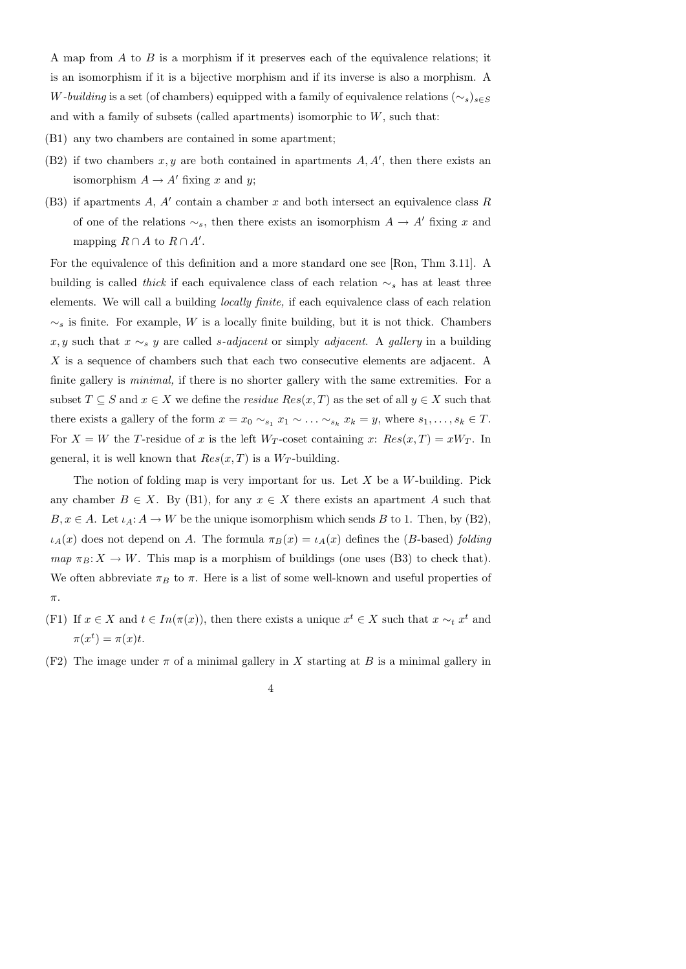A map from  $A$  to  $B$  is a morphism if it preserves each of the equivalence relations; it is an isomorphism if it is a bijective morphism and if its inverse is also a morphism. A W-building is a set (of chambers) equipped with a family of equivalence relations  $(\sim_s)_{s \in S}$ and with a family of subsets (called apartments) isomorphic to  $W$ , such that:

- (B1) any two chambers are contained in some apartment;
- (B2) if two chambers  $x, y$  are both contained in apartments  $A, A'$ , then there exists an isomorphism  $A \to A'$  fixing x and y;
- $(B3)$  if apartments A, A' contain a chamber x and both intersect an equivalence class R of one of the relations  $\sim_s$ , then there exists an isomorphism  $A \to A'$  fixing x and mapping  $R \cap A$  to  $R \cap A'$ .

For the equivalence of this definition and a more standard one see [Ron, Thm 3.11]. A building is called *thick* if each equivalence class of each relation  $\sim_s$  has at least three elements. We will call a building locally finite, if each equivalence class of each relation  $\sim_s$  is finite. For example, W is a locally finite building, but it is not thick. Chambers x, y such that  $x \sim_s y$  are called s-adjacent or simply adjacent. A gallery in a building X is a sequence of chambers such that each two consecutive elements are adjacent. A finite gallery is *minimal*, if there is no shorter gallery with the same extremities. For a subset  $T \subseteq S$  and  $x \in X$  we define the *residue*  $Res(x, T)$  as the set of all  $y \in X$  such that there exists a gallery of the form  $x = x_0 \sim_{s_1} x_1 \sim \ldots \sim_{s_k} x_k = y$ , where  $s_1, \ldots, s_k \in T$ . For  $X = W$  the T-residue of x is the left  $W_T$ -coset containing x:  $Res(x,T) = xW_T$ . In general, it is well known that  $Res(x, T)$  is a  $W_T$ -building.

The notion of folding map is very important for us. Let  $X$  be a W-building. Pick any chamber  $B \in X$ . By (B1), for any  $x \in X$  there exists an apartment A such that  $B, x \in A$ . Let  $\iota_A: A \to W$  be the unique isomorphism which sends B to 1. Then, by (B2),  $\iota_A(x)$  does not depend on A. The formula  $\pi_B(x) = \iota_A(x)$  defines the (B-based) folding  $map \pi_B: X \to W$ . This map is a morphism of buildings (one uses (B3) to check that). We often abbreviate  $\pi_B$  to  $\pi$ . Here is a list of some well-known and useful properties of  $\pi$ .

- (F1) If  $x \in X$  and  $t \in In(\pi(x))$ , then there exists a unique  $x^t \in X$  such that  $x \sim_t x^t$  and  $\pi(x^t) = \pi(x)t.$
- (F2) The image under  $\pi$  of a minimal gallery in X starting at B is a minimal gallery in

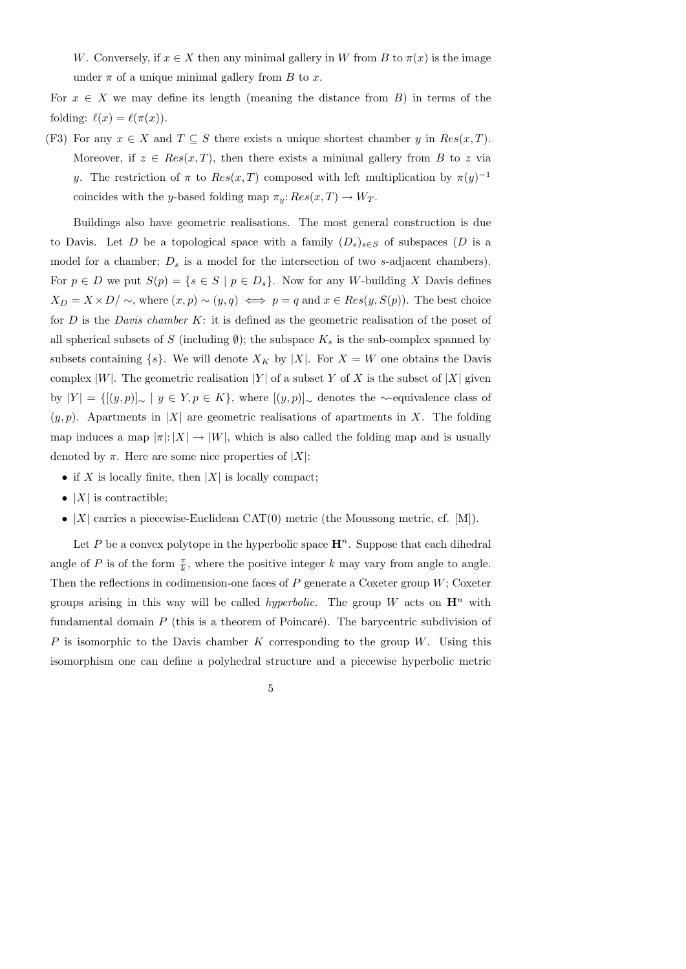W. Conversely, if  $x \in X$  then any minimal gallery in W from B to  $\pi(x)$  is the image under  $\pi$  of a unique minimal gallery from B to x.

For  $x \in X$  we may define its length (meaning the distance from B) in terms of the folding:  $\ell(x) = \ell(\pi(x))$ .

(F3) For any  $x \in X$  and  $T \subseteq S$  there exists a unique shortest chamber y in  $Res(x, T)$ . Moreover, if  $z \in Res(x,T)$ , then there exists a minimal gallery from B to z via y. The restriction of  $\pi$  to  $Res(x,T)$  composed with left multiplication by  $\pi(y)^{-1}$ coincides with the y-based folding map  $\pi_y: Res(x,T) \to W_T$ .

Buildings also have geometric realisations. The most general construction is due to Davis. Let D be a topological space with a family  $(D_s)_{s\in S}$  of subspaces (D is a model for a chamber;  $D_s$  is a model for the intersection of two s-adjacent chambers). For  $p \in D$  we put  $S(p) = \{s \in S \mid p \in D_s\}$ . Now for any W-building X Davis defines  $X_D = X \times D / \sim$ , where  $(x, p) \sim (y, q) \iff p = q$  and  $x \in Res(y, S(p))$ . The best choice for  $D$  is the *Davis chamber*  $K$ : it is defined as the geometric realisation of the poset of all spherical subsets of S (including  $\emptyset$ ); the subspace  $K_s$  is the sub-complex spanned by subsets containing  $\{s\}$ . We will denote  $X_K$  by |X|. For  $X = W$  one obtains the Davis complex |W|. The geometric realisation |Y| of a subset Y of X is the subset of |X| given by  $|Y| = \{[(y, p)]_{\sim} \mid y \in Y, p \in K\}$ , where  $[(y, p)]_{\sim}$  denotes the ∼-equivalence class of  $(y, p)$ . Apartments in |X| are geometric realisations of apartments in X. The folding map induces a map  $|\pi|: |X| \to |W|$ , which is also called the folding map and is usually denoted by  $\pi$ . Here are some nice properties of |X|:

- if X is locally finite, then  $|X|$  is locally compact;
- $|X|$  is contractible;
- $|X|$  carries a piecewise-Euclidean CAT $(0)$  metric (the Moussong metric, cf. [M]).

Let P be a convex polytope in the hyperbolic space  $\mathbf{H}^n$ . Suppose that each dihedral angle of P is of the form  $\frac{\pi}{k}$ , where the positive integer k may vary from angle to angle. Then the reflections in codimension-one faces of  $P$  generate a Coxeter group  $W$ ; Coxeter groups arising in this way will be called *hyperbolic*. The group W acts on  $\mathbf{H}^n$  with fundamental domain  $P$  (this is a theorem of Poincaré). The barycentric subdivision of P is isomorphic to the Davis chamber K corresponding to the group W. Using this isomorphism one can define a polyhedral structure and a piecewise hyperbolic metric

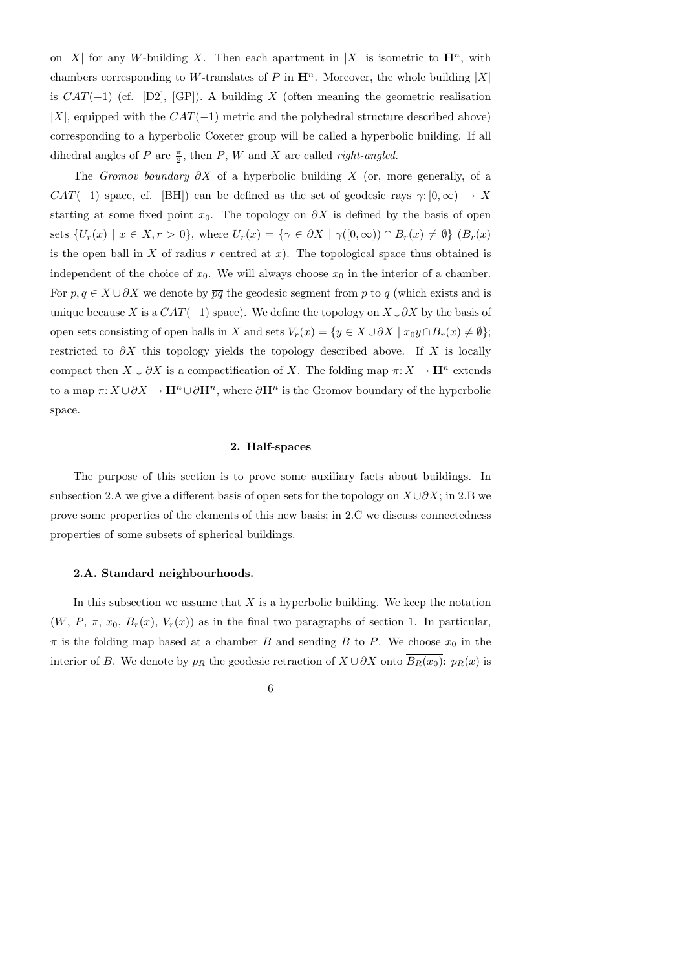on |X| for any W-building X. Then each apartment in |X| is isometric to  $\mathbf{H}^n$ , with chambers corresponding to W-translates of P in  $\mathbf{H}^n$ . Moreover, the whole building |X| is  $CAT(-1)$  (cf. [D2], [GP]). A building X (often meaning the geometric realisation |X|, equipped with the  $CAT(-1)$  metric and the polyhedral structure described above) corresponding to a hyperbolic Coxeter group will be called a hyperbolic building. If all dihedral angles of P are  $\frac{\pi}{2}$ , then P, W and X are called *right-angled*.

The Gromov boundary  $\partial X$  of a hyperbolic building X (or, more generally, of a  $CAT(-1)$  space, cf. [BH]) can be defined as the set of geodesic rays  $\gamma: [0, \infty) \to X$ starting at some fixed point  $x_0$ . The topology on  $\partial X$  is defined by the basis of open sets  $\{U_r(x) \mid x \in X, r > 0\}$ , where  $U_r(x) = \{\gamma \in \partial X \mid \gamma([0,\infty)) \cap B_r(x) \neq \emptyset\}$   $(B_r(x))$ is the open ball in X of radius r centred at  $x$ ). The topological space thus obtained is independent of the choice of  $x_0$ . We will always choose  $x_0$  in the interior of a chamber. For  $p, q \in X \cup \partial X$  we denote by  $\overline{pq}$  the geodesic segment from p to q (which exists and is unique because X is a  $CAT(-1)$  space). We define the topology on  $X\cup \partial X$  by the basis of open sets consisting of open balls in X and sets  $V_r(x) = \{y \in X \cup \partial X \mid \overline{x_0 y} \cap B_r(x) \neq \emptyset\};$ restricted to  $\partial X$  this topology yields the topology described above. If X is locally compact then  $X \cup \partial X$  is a compactification of X. The folding map  $\pi: X \to \mathbf{H}^n$  extends to a map  $\pi: X \cup \partial X \to \mathbf{H}^n \cup \partial \mathbf{H}^n$ , where  $\partial \mathbf{H}^n$  is the Gromov boundary of the hyperbolic space.

### 2. Half-spaces

The purpose of this section is to prove some auxiliary facts about buildings. In subsection 2.A we give a different basis of open sets for the topology on  $X \cup \partial X$ ; in 2.B we prove some properties of the elements of this new basis; in 2.C we discuss connectedness properties of some subsets of spherical buildings.

# 2.A. Standard neighbourhoods.

In this subsection we assume that  $X$  is a hyperbolic building. We keep the notation  $(W, P, \pi, x_0, B_r(x), V_r(x))$  as in the final two paragraphs of section 1. In particular,  $\pi$  is the folding map based at a chamber B and sending B to P. We choose  $x_0$  in the interior of B. We denote by  $p_R$  the geodesic retraction of  $X \cup \partial X$  onto  $B_R(x_0)$ :  $p_R(x)$  is

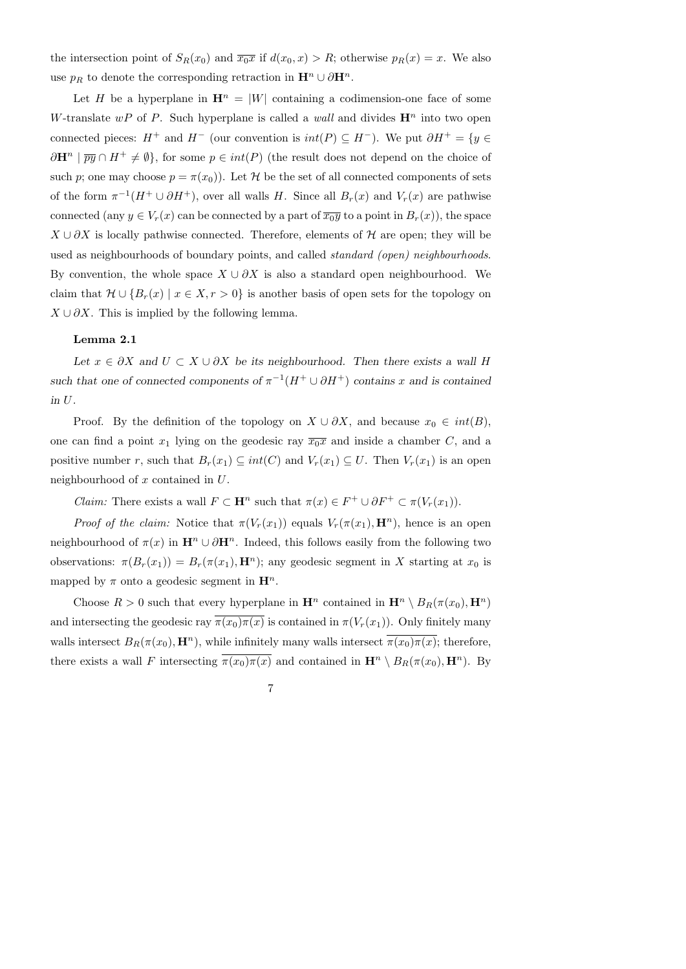the intersection point of  $S_R(x_0)$  and  $\overline{x_0x}$  if  $d(x_0, x) > R$ ; otherwise  $p_R(x) = x$ . We also use  $p_R$  to denote the corresponding retraction in  $\mathbf{H}^n \cup \partial \mathbf{H}^n$ .

Let H be a hyperplane in  $\mathbf{H}^n = |W|$  containing a codimension-one face of some W-translate wP of P. Such hyperplane is called a wall and divides  $\mathbf{H}^n$  into two open connected pieces:  $H^+$  and  $H^-$  (our convention is  $int(P) \subset H^-$ ). We put  $\partial H^+ = \{y \in$  $\partial \mathbf{H}^n \mid \overline{py} \cap H^+ \neq \emptyset$ , for some  $p \in int(P)$  (the result does not depend on the choice of such p; one may choose  $p = \pi(x_0)$ . Let H be the set of all connected components of sets of the form  $\pi^{-1}(H^+ \cup \partial H^+)$ , over all walls H. Since all  $B_r(x)$  and  $V_r(x)$  are pathwise connected (any  $y \in V_r(x)$  can be connected by a part of  $\overline{x_0y}$  to a point in  $B_r(x)$ ), the space  $X \cup \partial X$  is locally pathwise connected. Therefore, elements of H are open; they will be used as neighbourhoods of boundary points, and called standard (open) neighbourhoods. By convention, the whole space  $X \cup \partial X$  is also a standard open neighbourhood. We claim that  $\mathcal{H} \cup \{B_r(x) \mid x \in X, r > 0\}$  is another basis of open sets for the topology on  $X \cup \partial X$ . This is implied by the following lemma.

### Lemma 2.1

Let  $x \in \partial X$  and  $U \subset X \cup \partial X$  be its neighbourhood. Then there exists a wall H such that one of connected components of  $\pi^{-1}(H^+ \cup \partial H^+)$  contains x and is contained in U.

Proof. By the definition of the topology on  $X \cup \partial X$ , and because  $x_0 \in int(B)$ , one can find a point  $x_1$  lying on the geodesic ray  $\overline{x_0x}$  and inside a chamber C, and a positive number r, such that  $B_r(x_1) \subseteq int(C)$  and  $V_r(x_1) \subseteq U$ . Then  $V_r(x_1)$  is an open neighbourhood of  $x$  contained in  $U$ .

*Claim:* There exists a wall  $F \subset \mathbf{H}^n$  such that  $\pi(x) \in F^+ \cup \partial F^+ \subset \pi(V_r(x_1)).$ 

*Proof of the claim:* Notice that  $\pi(V_r(x_1))$  equals  $V_r(\pi(x_1), \mathbf{H}^n)$ , hence is an open neighbourhood of  $\pi(x)$  in  $\mathbf{H}^n \cup \partial \mathbf{H}^n$ . Indeed, this follows easily from the following two observations:  $\pi(B_r(x_1)) = B_r(\pi(x_1), \mathbf{H}^n)$ ; any geodesic segment in X starting at  $x_0$  is mapped by  $\pi$  onto a geodesic segment in  $\mathbf{H}^{n}$ .

Choose  $R > 0$  such that every hyperplane in  $\mathbf{H}^n$  contained in  $\mathbf{H}^n \setminus B_R(\pi(x_0), \mathbf{H}^n)$ and intersecting the geodesic ray  $\pi(x_0)\pi(x)$  is contained in  $\pi(V_r(x_1))$ . Only finitely many walls intersect  $B_R(\pi(x_0), \mathbf{H}^n)$ , while infinitely many walls intersect  $\pi(x_0)\pi(x)$ ; therefore, there exists a wall F intersecting  $\overline{\pi(x_0)\pi(x)}$  and contained in  $\mathbf{H}^n \setminus B_R(\pi(x_0), \mathbf{H}^n)$ . By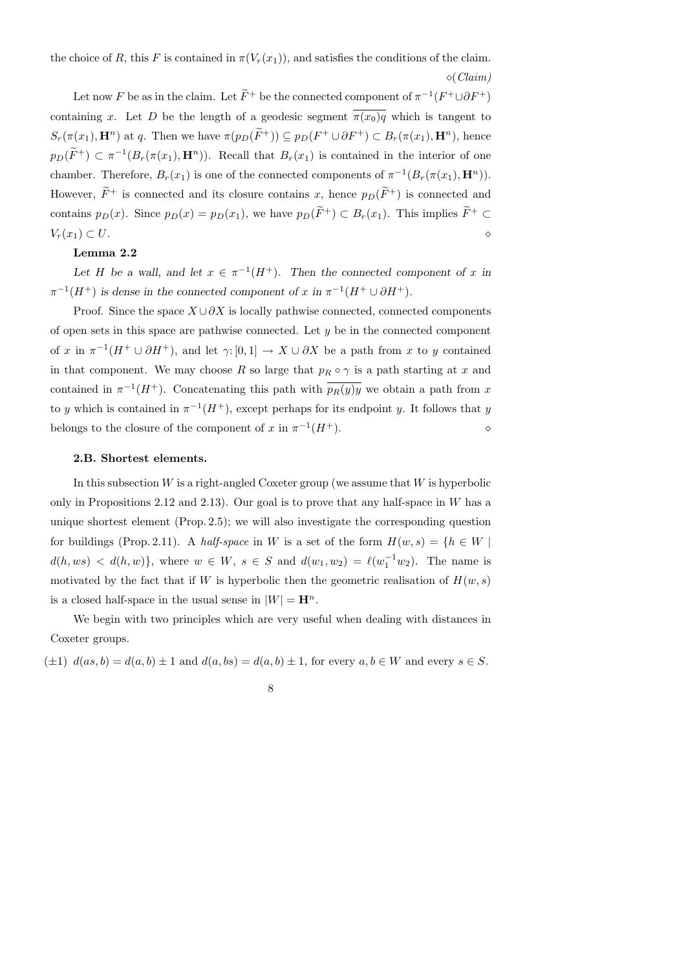the choice of R, this F is contained in  $\pi(V_r(x_1))$ , and satisfies the conditions of the claim.  $\Diamond$  (Claim)

Let now F be as in the claim. Let  $\overline{F}^+$  be the connected component of  $\pi^{-1}(F^+ \cup \partial F^+)$ containing x. Let D be the length of a geodesic segment  $\overline{\pi(x_0)q}$  which is tangent to  $S_r(\pi(x_1), \mathbf{H}^n)$  at q. Then we have  $\pi(p_D(F^+)) \subseteq p_D(F^+ \cup \partial F^+) \subset B_r(\pi(x_1), \mathbf{H}^n)$ , hence  $p_D(\overline{F}^+) \subset \pi^{-1}(B_r(\pi(x_1), \mathbf{H}^n))$ . Recall that  $B_r(x_1)$  is contained in the interior of one chamber. Therefore,  $B_r(x_1)$  is one of the connected components of  $\pi^{-1}(B_r(\pi(x_1), \mathbf{H}^n))$ . However,  $\widetilde{F}^+$  is connected and its closure contains x, hence  $p_D(\widetilde{F}^+)$  is connected and contains  $p_D(x)$ . Since  $p_D(x) = p_D(x_1)$ , we have  $p_D(\widetilde{F}^+) \subset B_r(x_1)$ . This implies  $\widetilde{F}^+ \subset$  $V_r(x_1) \subset U$ .

# Lemma 2.2

Let H be a wall, and let  $x \in \pi^{-1}(H^+)$ . Then the connected component of x in  $\pi^{-1}(H^+)$  is dense in the connected component of x in  $\pi^{-1}(H^+ \cup \partial H^+)$ .

Proof. Since the space  $X \cup \partial X$  is locally pathwise connected, connected components of open sets in this space are pathwise connected. Let  $y$  be in the connected component of x in  $\pi^{-1}(H^+ \cup \partial H^+)$ , and let  $\gamma: [0,1] \to X \cup \partial X$  be a path from x to y contained in that component. We may choose R so large that  $p_R \circ \gamma$  is a path starting at x and contained in  $\pi^{-1}(H^+)$ . Concatenating this path with  $\overline{p_R(y)y}$  we obtain a path from x to y which is contained in  $\pi^{-1}(H^+)$ , except perhaps for its endpoint y. It follows that y belongs to the closure of the component of x in  $\pi^{-1}(H^+)$ .

### 2.B. Shortest elements.

In this subsection  $W$  is a right-angled Coxeter group (we assume that  $W$  is hyperbolic only in Propositions 2.12 and 2.13). Our goal is to prove that any half-space in  $W$  has a unique shortest element (Prop. 2.5); we will also investigate the corresponding question for buildings (Prop. 2.11). A half-space in W is a set of the form  $H(w, s) = \{h \in W \mid$  $d(h, ws) < d(h, w)$ , where  $w \in W$ ,  $s \in S$  and  $d(w_1, w_2) = \ell(w_1^{-1} w_2)$ . The name is motivated by the fact that if W is hyperbolic then the geometric realisation of  $H(w, s)$ is a closed half-space in the usual sense in  $|W| = \mathbf{H}^n$ .

We begin with two principles which are very useful when dealing with distances in Coxeter groups.

 $(\pm 1)$   $d(as, b) = d(a, b) \pm 1$  and  $d(a, bs) = d(a, b) \pm 1$ , for every  $a, b \in W$  and every  $s \in S$ .

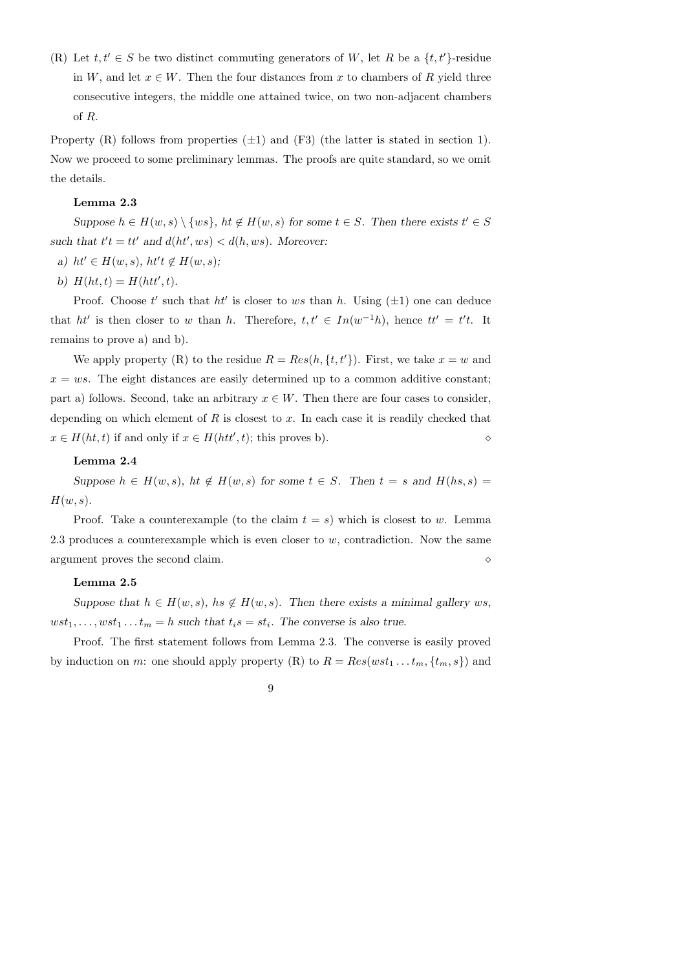(R) Let  $t, t' \in S$  be two distinct commuting generators of W, let R be a  $\{t, t'\}$ -residue in W, and let  $x \in W$ . Then the four distances from x to chambers of R yield three consecutive integers, the middle one attained twice, on two non-adjacent chambers of R.

Property (R) follows from properties  $(\pm 1)$  and (F3) (the latter is stated in section 1). Now we proceed to some preliminary lemmas. The proofs are quite standard, so we omit the details.

#### Lemma 2.3

Suppose  $h \in H(w, s) \setminus \{ws\}, ht \notin H(w, s)$  for some  $t \in S$ . Then there exists  $t' \in S$ such that  $t't = tt'$  and  $d(ht', ws) < d(h, ws)$ . Moreover:

- a)  $ht' \in H(w, s)$ ,  $ht't \notin H(w, s)$ ;
- b)  $H(ht, t) = H(ht', t).$

Proof. Choose t' such that  $ht'$  is closer to ws than h. Using  $(\pm 1)$  one can deduce that ht' is then closer to w than h. Therefore,  $t, t' \in In(w^{-1}h)$ , hence  $tt' = t't$ . It remains to prove a) and b).

We apply property (R) to the residue  $R = Res(h, \{t, t'\})$ . First, we take  $x = w$  and  $x = ws$ . The eight distances are easily determined up to a common additive constant; part a) follows. Second, take an arbitrary  $x \in W$ . Then there are four cases to consider, depending on which element of  $R$  is closest to  $x$ . In each case it is readily checked that  $x \in H(ht, t)$  if and only if  $x \in H(ht', t)$ ; this proves b).

### Lemma 2.4

Suppose  $h \in H(w, s)$ ,  $ht \notin H(w, s)$  for some  $t \in S$ . Then  $t = s$  and  $H(hs, s) =$  $H(w, s)$ .

Proof. Take a counterexample (to the claim  $t = s$ ) which is closest to w. Lemma 2.3 produces a counterexample which is even closer to  $w$ , contradiction. Now the same argument proves the second claim.

# Lemma 2.5

Suppose that  $h \in H(w, s)$ ,  $hs \notin H(w, s)$ . Then there exists a minimal gallery ws,  $wst_1, \ldots, wst_1 \ldots t_m = h$  such that  $t_is = st_i$ . The converse is also true.

Proof. The first statement follows from Lemma 2.3. The converse is easily proved by induction on m: one should apply property (R) to  $R = Res(wst_1 \dots ts_m, \{t_m, s\})$  and

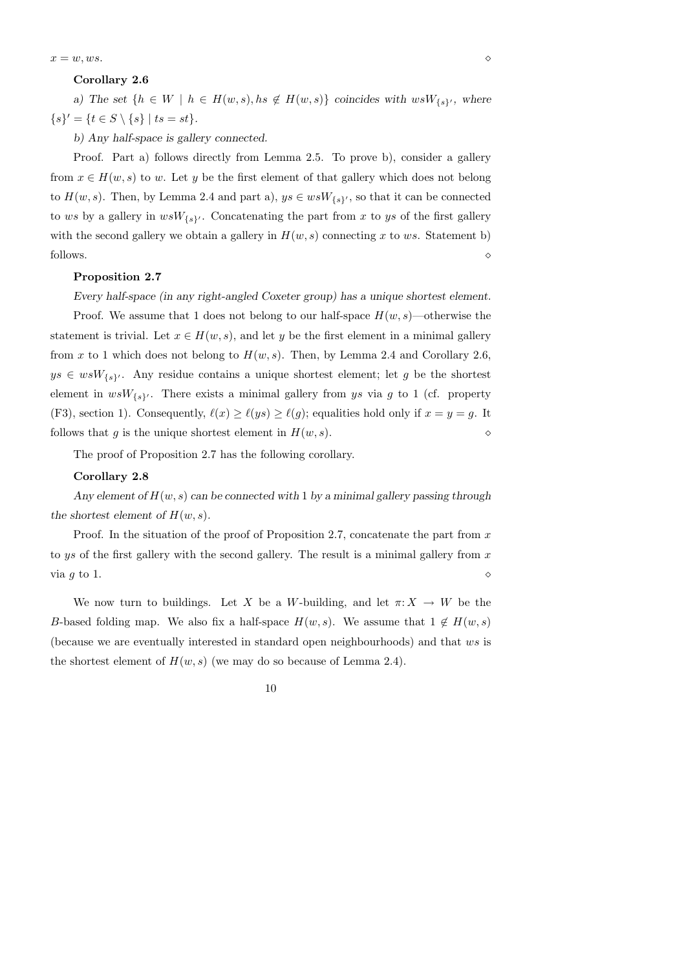$x = w, ws.$ 

### Corollary 2.6

a) The set  $\{h \in W \mid h \in H(w, s), hs \notin H(w, s)\}\$  coincides with  $w s W_{\{s\}'},$  where  $\{s\}' = \{t \in S \setminus \{s\} \mid ts = st\}.$ 

b) Any half-space is gallery connected.

Proof. Part a) follows directly from Lemma 2.5. To prove b), consider a gallery from  $x \in H(w, s)$  to w. Let y be the first element of that gallery which does not belong to  $H(w, s)$ . Then, by Lemma 2.4 and part a),  $ys \in wsW_{\{s\}'},$  so that it can be connected to ws by a gallery in  $wsW_{\{s\}}$ . Concatenating the part from x to ys of the first gallery with the second gallery we obtain a gallery in  $H(w, s)$  connecting x to ws. Statement b) follows.  $\Diamond$ 

## Proposition 2.7

Every half-space (in any right-angled Coxeter group) has a unique shortest element.

Proof. We assume that 1 does not belong to our half-space  $H(w, s)$ —otherwise the statement is trivial. Let  $x \in H(w, s)$ , and let y be the first element in a minimal gallery from x to 1 which does not belong to  $H(w, s)$ . Then, by Lemma 2.4 and Corollary 2.6,  $ys \in wsW_{\{s\}}$ . Any residue contains a unique shortest element; let g be the shortest element in  $wsW_{\{s\}}$ . There exists a minimal gallery from ys via g to 1 (cf. property (F3), section 1). Consequently,  $\ell(x) \geq \ell(ys) \geq \ell(g)$ ; equalities hold only if  $x = y = g$ . It follows that q is the unique shortest element in  $H(w, s)$ .

The proof of Proposition 2.7 has the following corollary.

# Corollary 2.8

Any element of  $H(w, s)$  can be connected with 1 by a minimal gallery passing through the shortest element of  $H(w, s)$ .

Proof. In the situation of the proof of Proposition 2.7, concatenate the part from  $x$ to ys of the first gallery with the second gallery. The result is a minimal gallery from  $x$ via g to 1.  $\Diamond$ 

We now turn to buildings. Let X be a W-building, and let  $\pi: X \to W$  be the B-based folding map. We also fix a half-space  $H(w, s)$ . We assume that  $1 \notin H(w, s)$ (because we are eventually interested in standard open neighbourhoods) and that ws is the shortest element of  $H(w, s)$  (we may do so because of Lemma 2.4).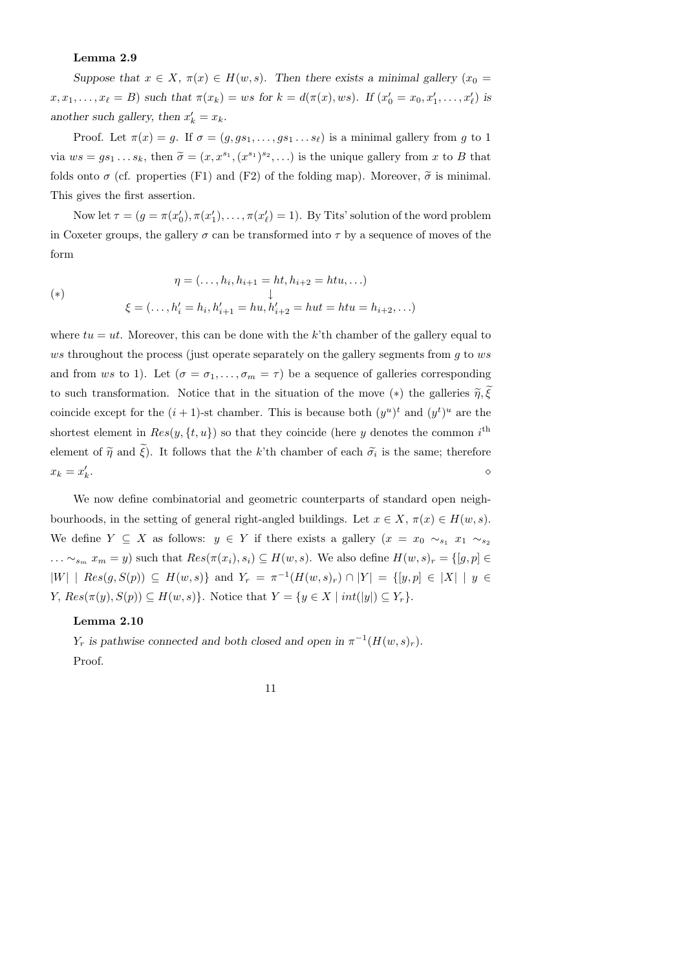# Lemma 2.9

Suppose that  $x \in X$ ,  $\pi(x) \in H(w, s)$ . Then there exists a minimal gallery  $(x_0 =$  $x, x_1, \ldots, x_\ell = B$  such that  $\pi(x_k) = ws$  for  $k = d(\pi(x), ws)$ . If  $(x'_0 = x_0, x'_1, \ldots, x'_\ell)$  is another such gallery, then  $x'_k = x_k$ .

Proof. Let  $\pi(x) = g$ . If  $\sigma = (g, gs_1, \ldots, gs_1 \ldots s_\ell)$  is a minimal gallery from g to 1 via  $ws = gs_1 \dots s_k$ , then  $\widetilde{\sigma} = (x, x^{s_1}, (x^{s_1})^{s_2}, \dots)$  is the unique gallery from x to B that folds onto  $\sigma$  (cf. properties (F1) and (F2) of the folding map). Moreover,  $\tilde{\sigma}$  is minimal. This gives the first assertion.

Now let  $\tau = (g = \pi(x_0'), \pi(x_1'), \dots, \pi(x_\ell') = 1)$ . By Tits' solution of the word problem in Coxeter groups, the gallery  $\sigma$  can be transformed into  $\tau$  by a sequence of moves of the form

$$
\eta = (\dots, h_i, h_{i+1} = ht, h_{i+2} = htu, \dots)
$$
  
\n
$$
\downarrow
$$
  
\n
$$
\xi = (\dots, h'_i = h_i, h'_{i+1} = hu, h'_{i+2} = hut = htu = h_{i+2}, \dots)
$$

where  $tu = ut$ . Moreover, this can be done with the k'th chamber of the gallery equal to ws throughout the process (just operate separately on the gallery segments from  $g$  to  $ws$ and from ws to 1). Let  $(\sigma = \sigma_1, \ldots, \sigma_m = \tau)$  be a sequence of galleries corresponding to such transformation. Notice that in the situation of the move  $(*)$  the galleries  $\tilde{\eta}, \xi$ coincide except for the  $(i + 1)$ -st chamber. This is because both  $(y^u)^t$  and  $(y^t)^u$  are the shortest element in  $Res(y, \{t, u\})$  so that they coincide (here y denotes the common i<sup>th</sup> element of  $\tilde{\eta}$  and  $\xi$ ). It follows that the k'th chamber of each  $\tilde{\sigma}_i$  is the same; therefore  $x_k = x'_k$ .  $\Diamond$ 

We now define combinatorial and geometric counterparts of standard open neighbourhoods, in the setting of general right-angled buildings. Let  $x \in X$ ,  $\pi(x) \in H(w, s)$ . We define  $Y \subseteq X$  as follows:  $y \in Y$  if there exists a gallery  $(x = x_0 \sim_{s_1} x_1 \sim_{s_2}$  $\ldots \sim_{s_m} x_m = y$ ) such that  $Res(\pi(x_i), s_i) \subseteq H(w, s)$ . We also define  $H(w, s)_r = \{[g, p] \in$  $|W|$  |  $Res(g, S(p)) \subseteq H(w, s)$ } and  $Y_r = \pi^{-1}(H(w, s)_r) \cap |Y| = \{ [y, p] \in |X| \mid y \in Y \}$  $Y, Res(\pi(y), S(p)) \subseteq H(w, s)$ . Notice that  $Y = \{y \in X \mid int(|y|) \subseteq Y_r\}.$ 

### Lemma 2.10

Y<sub>r</sub> is pathwise connected and both closed and open in  $\pi^{-1}(H(w, s)_r)$ . Proof.

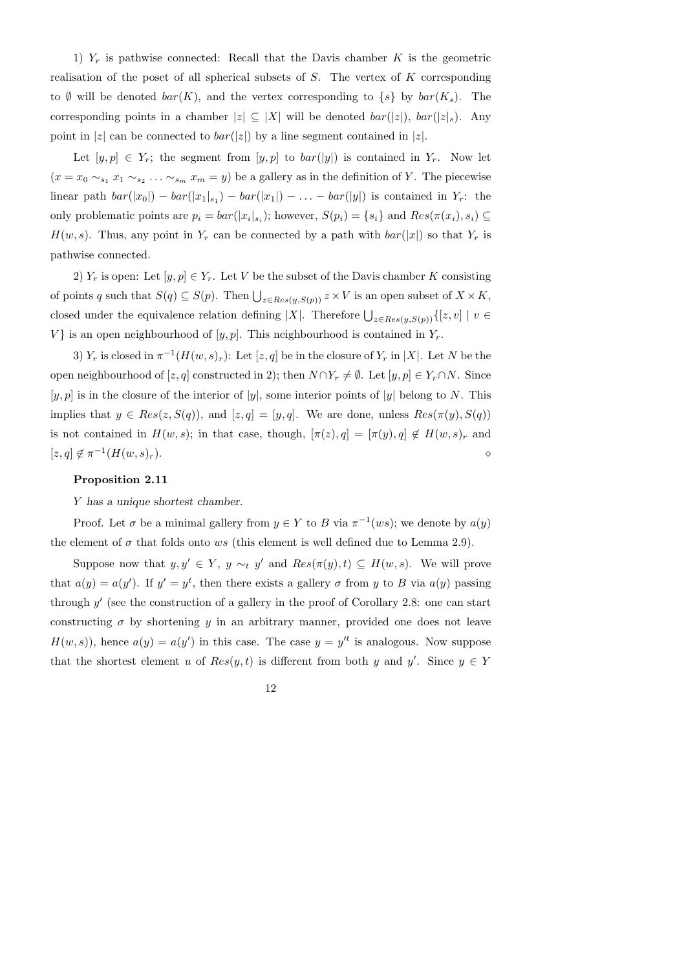1)  $Y_r$  is pathwise connected: Recall that the Davis chamber K is the geometric realisation of the poset of all spherical subsets of  $S$ . The vertex of  $K$  corresponding to Ø will be denoted  $bar(K)$ , and the vertex corresponding to  $\{s\}$  by  $bar(K_s)$ . The corresponding points in a chamber  $|z| \subseteq |X|$  will be denoted  $bar(|z|)$ ,  $bar(|z|_s)$ . Any point in |z| can be connected to  $bar(|z|)$  by a line segment contained in |z|.

Let  $[y, p] \in Y_r$ ; the segment from  $[y, p]$  to  $bar([y])$  is contained in  $Y_r$ . Now let  $(x = x_0 \sim_{s_1} x_1 \sim_{s_2} \ldots \sim_{s_m} x_m = y)$  be a gallery as in the definition of Y. The piecewise linear path  $bar(|x_0|) - bar(|x_1|_{s_1}) - bar(|x_1|) - \ldots - bar(|y|)$  is contained in  $Y_r$ : the only problematic points are  $p_i = bar(|x_i|_{s_i})$ ; however,  $S(p_i) = \{s_i\}$  and  $Res(\pi(x_i), s_i) \subseteq$  $H(w, s)$ . Thus, any point in  $Y_r$  can be connected by a path with  $bar(|x|)$  so that  $Y_r$  is pathwise connected.

2)  $Y_r$  is open: Let  $[y, p] \in Y_r$ . Let V be the subset of the Davis chamber K consisting of points q such that  $S(q) \subseteq S(p)$ . Then  $\bigcup_{z \in Res(y,S(p))} z \times V$  is an open subset of  $X \times K$ , closed under the equivalence relation defining |X|. Therefore  $\bigcup_{z \in Res(y,S(p))} \{[z, v] \mid v \in$ V} is an open neighbourhood of  $[y, p]$ . This neighbourhood is contained in  $Y_r$ .

3)  $Y_r$  is closed in  $\pi^{-1}(H(w, s)_r)$ : Let  $[z, q]$  be in the closure of  $Y_r$  in  $|X|$ . Let N be the open neighbourhood of [z, q] constructed in 2); then  $N \cap Y_r \neq \emptyset$ . Let  $[y, p] \in Y_r \cap N$ . Since  $[y, p]$  is in the closure of the interior of  $|y|$ , some interior points of  $|y|$  belong to N. This implies that  $y \in Res(z, S(q))$ , and  $[z, q] = [y, q]$ . We are done, unless  $Res(\pi(y), S(q))$ is not contained in  $H(w, s)$ ; in that case, though,  $[\pi(z), q] = [\pi(y), q] \notin H(w, s)_r$  and  $[z, q] \notin \pi^{-1}(H(w, s)_r).$ 

# Proposition 2.11

Y has a unique shortest chamber.

Proof. Let  $\sigma$  be a minimal gallery from  $y \in Y$  to B via  $\pi^{-1}(ws)$ ; we denote by  $a(y)$ the element of  $\sigma$  that folds onto ws (this element is well defined due to Lemma 2.9).

Suppose now that  $y, y' \in Y$ ,  $y \sim_t y'$  and  $Res(\pi(y), t) \subseteq H(w, s)$ . We will prove that  $a(y) = a(y')$ . If  $y' = y^t$ , then there exists a gallery  $\sigma$  from y to B via  $a(y)$  passing through  $y'$  (see the construction of a gallery in the proof of Corollary 2.8: one can start constructing  $\sigma$  by shortening y in an arbitrary manner, provided one does not leave  $H(w, s)$ , hence  $a(y) = a(y')$  in this case. The case  $y = y'^t$  is analogous. Now suppose that the shortest element u of  $Res(y, t)$  is different from both y and y'. Since  $y \in Y$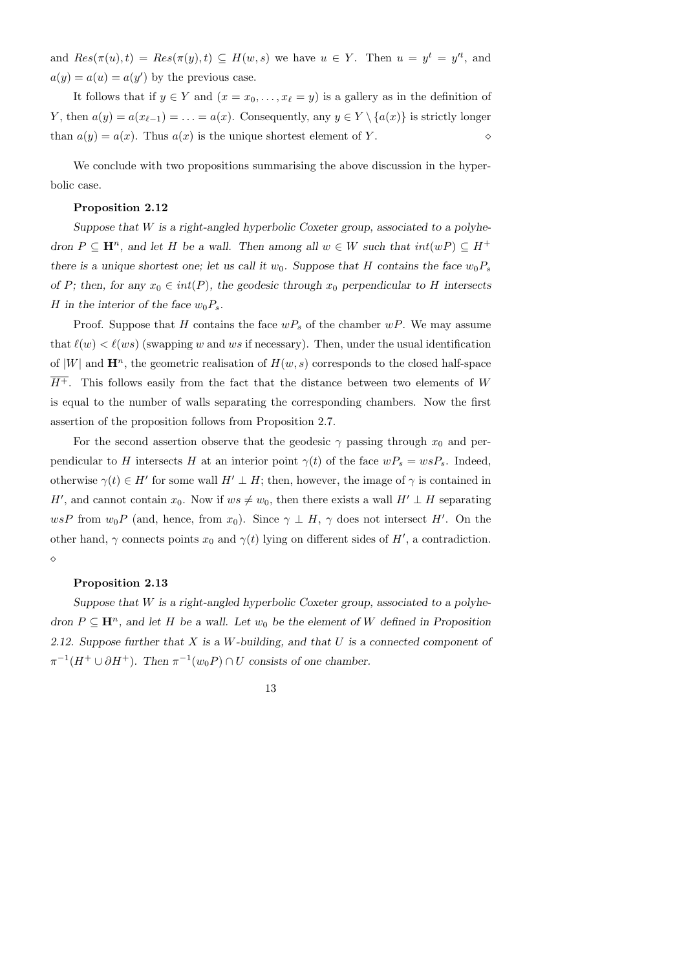and  $Res(\pi(u), t) = Res(\pi(y), t) \subseteq H(w, s)$  we have  $u \in Y$ . Then  $u = y^t = y'^t$ , and  $a(y) = a(u) = a(y')$  by the previous case.

It follows that if  $y \in Y$  and  $(x = x_0, \ldots, x_\ell = y)$  is a gallery as in the definition of Y, then  $a(y) = a(x_{\ell-1}) = \ldots = a(x)$ . Consequently, any  $y \in Y \setminus \{a(x)\}\$ is strictly longer than  $a(y) = a(x)$ . Thus  $a(x)$  is the unique shortest element of Y.

We conclude with two propositions summarising the above discussion in the hyperbolic case.

#### Proposition 2.12

Suppose that  $W$  is a right-angled hyperbolic Coxeter group, associated to a polyhedron  $P \subseteq \mathbf{H}^n$ , and let H be a wall. Then among all  $w \in W$  such that  $int(wP) \subseteq H^+$ there is a unique shortest one; let us call it  $w_0$ . Suppose that H contains the face  $w_0P_s$ of P; then, for any  $x_0 \in int(P)$ , the geodesic through  $x_0$  perpendicular to H intersects H in the interior of the face  $w_0P_s$ .

Proof. Suppose that H contains the face  $wP_s$  of the chamber  $wP$ . We may assume that  $\ell(w) < \ell(ws)$  (swapping w and ws if necessary). Then, under the usual identification of |W| and  $\mathbf{H}^n$ , the geometric realisation of  $H(w, s)$  corresponds to the closed half-space  $\overline{H^+}$ . This follows easily from the fact that the distance between two elements of W is equal to the number of walls separating the corresponding chambers. Now the first assertion of the proposition follows from Proposition 2.7.

For the second assertion observe that the geodesic  $\gamma$  passing through  $x_0$  and perpendicular to H intersects H at an interior point  $\gamma(t)$  of the face  $wP_s = wsP_s$ . Indeed, otherwise  $\gamma(t) \in H'$  for some wall  $H' \perp H$ ; then, however, the image of  $\gamma$  is contained in H', and cannot contain  $x_0$ . Now if  $ws \neq w_0$ , then there exists a wall  $H' \perp H$  separating wsP from  $w_0P$  (and, hence, from  $x_0$ ). Since  $\gamma \perp H$ ,  $\gamma$  does not intersect H'. On the other hand,  $\gamma$  connects points  $x_0$  and  $\gamma(t)$  lying on different sides of H', a contradiction.  $\Diamond$ 

#### Proposition 2.13

Suppose that  $W$  is a right-angled hyperbolic Coxeter group, associated to a polyhedron  $P \subseteq \mathbf{H}^n$ , and let H be a wall. Let  $w_0$  be the element of W defined in Proposition 2.12. Suppose further that  $X$  is a  $W$ -building, and that  $U$  is a connected component of  $\pi^{-1}(H^+ \cup \partial H^+)$ . Then  $\pi^{-1}(w_0 P) \cap U$  consists of one chamber.

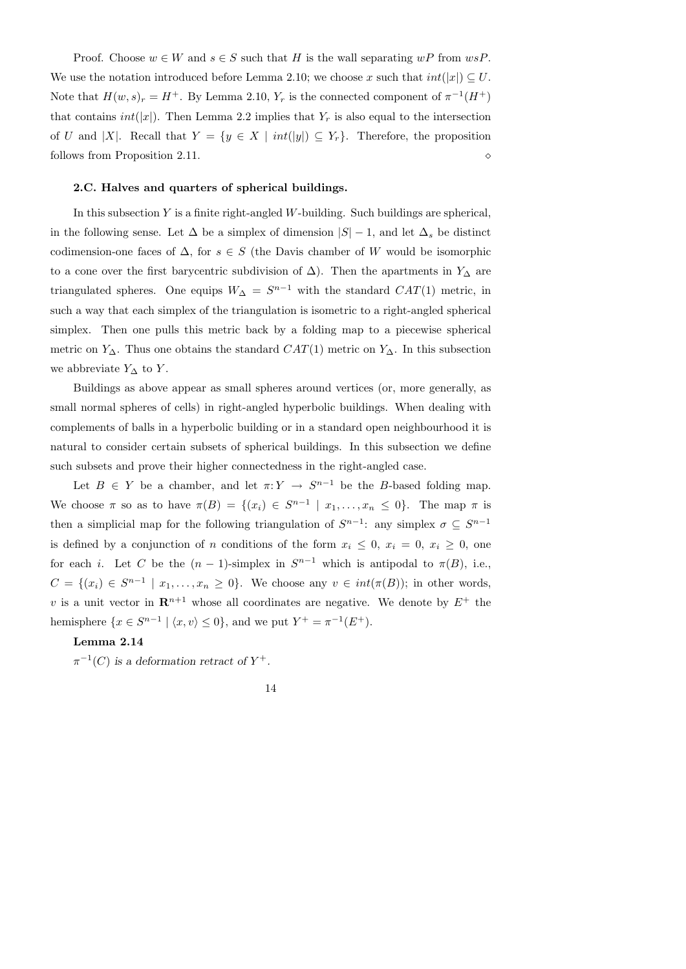Proof. Choose  $w \in W$  and  $s \in S$  such that H is the wall separating  $wP$  from  $wsP$ . We use the notation introduced before Lemma 2.10; we choose x such that  $int(|x|) \subseteq U$ . Note that  $H(w, s)_r = H^+$ . By Lemma 2.10,  $Y_r$  is the connected component of  $\pi^{-1}(H^+)$ that contains  $int(|x|)$ . Then Lemma 2.2 implies that  $Y_r$  is also equal to the intersection of U and |X|. Recall that  $Y = \{y \in X \mid int(|y|) \subseteq Y_r\}$ . Therefore, the proposition follows from Proposition 2.11.

#### 2.C. Halves and quarters of spherical buildings.

In this subsection  $Y$  is a finite right-angled  $W$ -building. Such buildings are spherical, in the following sense. Let  $\Delta$  be a simplex of dimension  $|S| - 1$ , and let  $\Delta_s$  be distinct codimension-one faces of  $\Delta$ , for  $s \in S$  (the Davis chamber of W would be isomorphic to a cone over the first barycentric subdivision of  $\Delta$ ). Then the apartments in  $Y_{\Delta}$  are triangulated spheres. One equips  $W_{\Delta} = S^{n-1}$  with the standard  $CAT(1)$  metric, in such a way that each simplex of the triangulation is isometric to a right-angled spherical simplex. Then one pulls this metric back by a folding map to a piecewise spherical metric on  $Y_{\Delta}$ . Thus one obtains the standard  $CAT(1)$  metric on  $Y_{\Delta}$ . In this subsection we abbreviate  $Y_{\Delta}$  to Y.

Buildings as above appear as small spheres around vertices (or, more generally, as small normal spheres of cells) in right-angled hyperbolic buildings. When dealing with complements of balls in a hyperbolic building or in a standard open neighbourhood it is natural to consider certain subsets of spherical buildings. In this subsection we define such subsets and prove their higher connectedness in the right-angled case.

Let  $B \in Y$  be a chamber, and let  $\pi: Y \to S^{n-1}$  be the B-based folding map. We choose  $\pi$  so as to have  $\pi(B) = \{(x_i) \in S^{n-1} \mid x_1, \ldots, x_n \leq 0\}$ . The map  $\pi$  is then a simplicial map for the following triangulation of  $S^{n-1}$ : any simplex  $\sigma \subseteq S^{n-1}$ is defined by a conjunction of n conditions of the form  $x_i \leq 0$ ,  $x_i = 0$ ,  $x_i \geq 0$ , one for each *i*. Let C be the  $(n-1)$ -simplex in  $S^{n-1}$  which is antipodal to  $\pi(B)$ , i.e.,  $C = \{(x_i) \in S^{n-1} \mid x_1, \ldots, x_n \geq 0\}$ . We choose any  $v \in int(\pi(B));$  in other words, v is a unit vector in  $\mathbb{R}^{n+1}$  whose all coordinates are negative. We denote by  $E^+$  the hemisphere  $\{x \in S^{n-1} \mid \langle x, v \rangle \leq 0\}$ , and we put  $Y^+ = \pi^{-1}(E^+)$ .

### Lemma 2.14

 $\pi^{-1}(C)$  is a deformation retract of  $Y^+$ .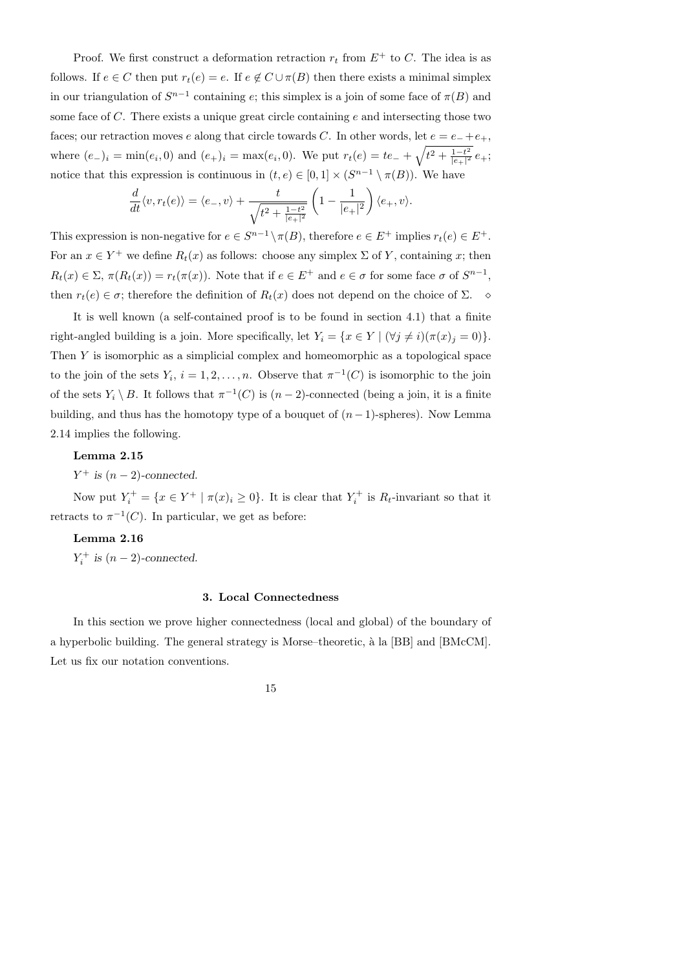Proof. We first construct a deformation retraction  $r_t$  from  $E^+$  to C. The idea is as follows. If  $e \in C$  then put  $r_t(e) = e$ . If  $e \notin C \cup \pi(B)$  then there exists a minimal simplex in our triangulation of  $S^{n-1}$  containing e; this simplex is a join of some face of  $\pi(B)$  and some face of  $C$ . There exists a unique great circle containing  $e$  and intersecting those two faces; our retraction moves e along that circle towards C. In other words, let  $e = e_- + e_+$ , where  $(e_1)_i = \min(e_i, 0)$  and  $(e_1)_i = \max(e_i, 0)$ . We put  $r_t(e) = te_1 + \sqrt{t^2 + \frac{1-t^2}{|e_1|^2}}$  $\frac{1-t^2}{|e_+|^2}e_+;$ notice that this expression is continuous in  $(t, e) \in [0, 1] \times (S^{n-1} \setminus \pi(B))$ . We have

$$
\frac{d}{dt}\langle v, r_t(e)\rangle = \langle e_-, v\rangle + \frac{t}{\sqrt{t^2 + \frac{1-t^2}{|e_+|^2}}}\left(1 - \frac{1}{|e_+|^2}\right)\langle e_+, v\rangle.
$$

This expression is non-negative for  $e \in S^{n-1} \setminus \pi(B)$ , therefore  $e \in E^+$  implies  $r_t(e) \in E^+$ . For an  $x \in Y^+$  we define  $R_t(x)$  as follows: choose any simplex  $\Sigma$  of Y, containing x; then  $R_t(x) \in \Sigma$ ,  $\pi(R_t(x)) = r_t(\pi(x))$ . Note that if  $e \in E^+$  and  $e \in \sigma$  for some face  $\sigma$  of  $S^{n-1}$ , then  $r_t(e) \in \sigma$ ; therefore the definition of  $R_t(x)$  does not depend on the choice of  $\Sigma$ .

It is well known (a self-contained proof is to be found in section 4.1) that a finite right-angled building is a join. More specifically, let  $Y_i = \{x \in Y \mid (\forall j \neq i)(\pi(x)_j = 0)\}.$ Then Y is isomorphic as a simplicial complex and homeomorphic as a topological space to the join of the sets  $Y_i$ ,  $i = 1, 2, ..., n$ . Observe that  $\pi^{-1}(C)$  is isomorphic to the join of the sets  $Y_i \setminus B$ . It follows that  $\pi^{-1}(C)$  is  $(n-2)$ -connected (being a join, it is a finite building, and thus has the homotopy type of a bouquet of  $(n-1)$ -spheres). Now Lemma 2.14 implies the following.

# Lemma 2.15

 $Y^+$  is  $(n-2)$ -connected.

Now put  $Y_i^+ = \{x \in Y^+ \mid \pi(x)_i \geq 0\}$ . It is clear that  $Y_i^+$  $\zeta_i^+$  is  $R_t$ -invariant so that it retracts to  $\pi^{-1}(C)$ . In particular, we get as before:

# Lemma 2.16

 $Y_i^+$  $i^+$  is  $(n-2)$ -connected.

# 3. Local Connectedness

In this section we prove higher connectedness (local and global) of the boundary of a hyperbolic building. The general strategy is Morse–theoretic, à la [BB] and [BMcCM]. Let us fix our notation conventions.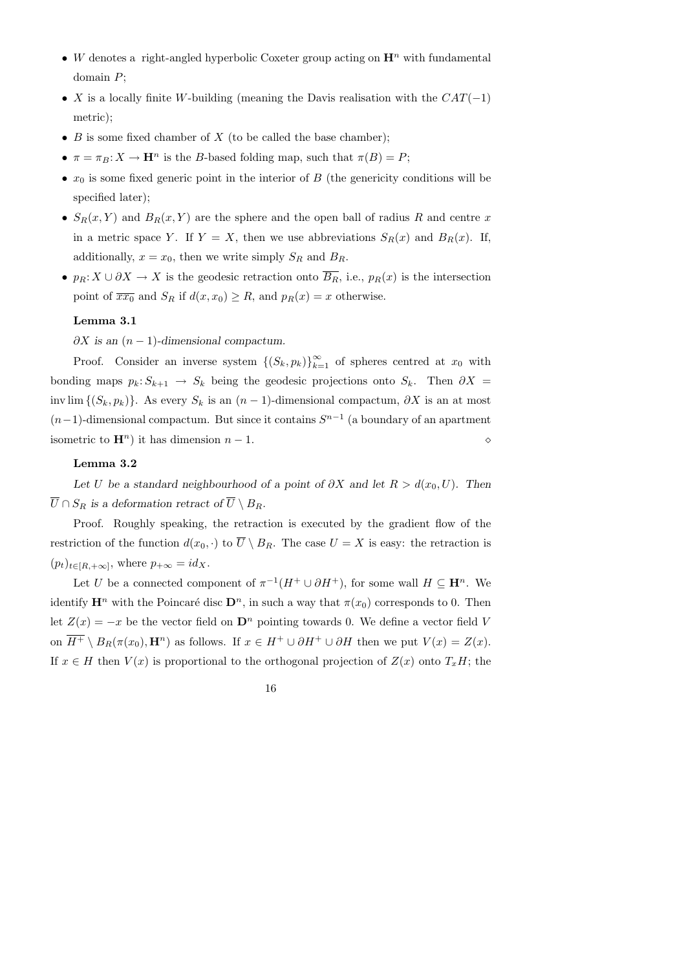- W denotes a right-angled hyperbolic Coxeter group acting on  $\mathbf{H}^n$  with fundamental domain P;
- X is a locally finite W-building (meaning the Davis realisation with the  $CAT(-1)$ ) metric);
- $B$  is some fixed chamber of  $X$  (to be called the base chamber);
- $\pi = \pi_B: X \to \mathbf{H}^n$  is the *B*-based folding map, such that  $\pi(B) = P$ ;
- $x_0$  is some fixed generic point in the interior of B (the genericity conditions will be specified later);
- $S_R(x, Y)$  and  $B_R(x, Y)$  are the sphere and the open ball of radius R and centre x in a metric space Y. If  $Y = X$ , then we use abbreviations  $S_R(x)$  and  $B_R(x)$ . If, additionally,  $x = x_0$ , then we write simply  $S_R$  and  $B_R$ .
- $p_R: X \cup \partial X \to X$  is the geodesic retraction onto  $\overline{B_R}$ , i.e.,  $p_R(x)$  is the intersection point of  $\overline{xx_0}$  and  $S_R$  if  $d(x, x_0) \ge R$ , and  $p_R(x) = x$  otherwise.

### Lemma 3.1

 $\partial X$  is an  $(n-1)$ -dimensional compactum.

Proof. Consider an inverse system  $\{(S_k, p_k)\}_{k=1}^{\infty}$  of spheres centred at  $x_0$  with bonding maps  $p_k: S_{k+1} \to S_k$  being the geodesic projections onto  $S_k$ . Then  $\partial X =$ inv lim  $\{(S_k, p_k)\}\$ . As every  $S_k$  is an  $(n-1)$ -dimensional compactum,  $\partial X$  is an at most  $(n-1)$ -dimensional compactum. But since it contains  $S^{n-1}$  (a boundary of an apartment isometric to  $\mathbf{H}^n$ ) it has dimension  $n-1$ .

## Lemma 3.2

Let U be a standard neighbourhood of a point of  $\partial X$  and let  $R > d(x_0, U)$ . Then  $\overline{U} \cap S_R$  is a deformation retract of  $\overline{U} \setminus B_R$ .

Proof. Roughly speaking, the retraction is executed by the gradient flow of the restriction of the function  $d(x_0, \cdot)$  to  $\overline{U} \setminus B_R$ . The case  $U = X$  is easy: the retraction is  $(p_t)_{t\in[R,+\infty]}$ , where  $p_{+\infty} = id_X$ .

Let U be a connected component of  $\pi^{-1}(H^+ \cup \partial H^+)$ , for some wall  $H \subseteq \mathbf{H}^n$ . We identify  $\mathbf{H}^n$  with the Poincaré disc  $\mathbf{D}^n$ , in such a way that  $\pi(x_0)$  corresponds to 0. Then let  $Z(x) = -x$  be the vector field on  $\mathbf{D}^n$  pointing towards 0. We define a vector field V on  $\overline{H^+} \setminus B_R(\pi(x_0), \mathbf{H}^n)$  as follows. If  $x \in H^+ \cup \partial H^+ \cup \partial H$  then we put  $V(x) = Z(x)$ . If  $x \in H$  then  $V(x)$  is proportional to the orthogonal projection of  $Z(x)$  onto  $T_xH$ ; the

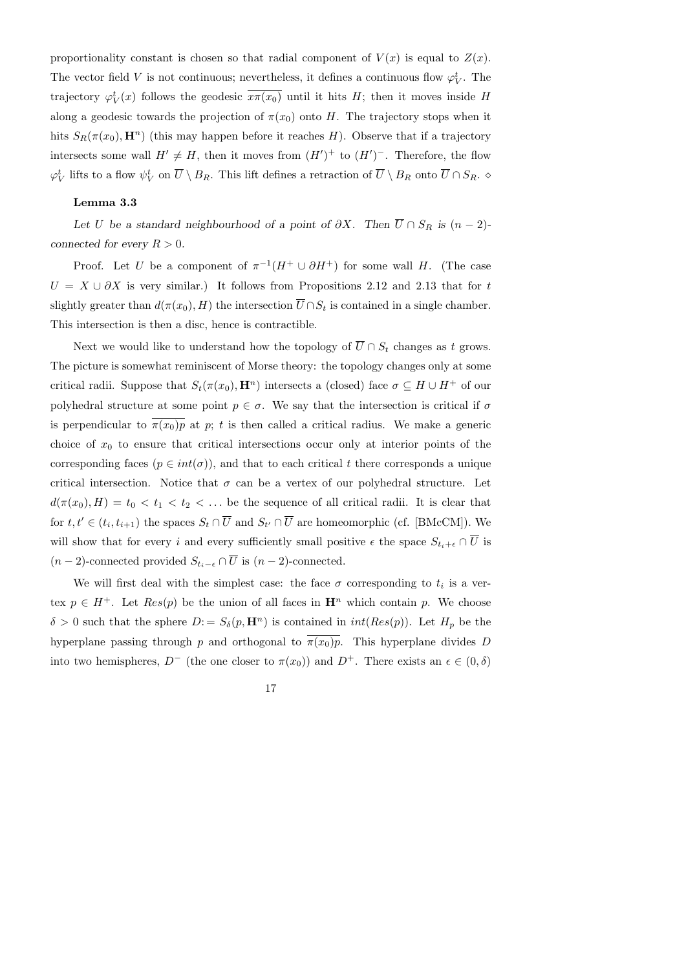proportionality constant is chosen so that radial component of  $V(x)$  is equal to  $Z(x)$ . The vector field V is not continuous; nevertheless, it defines a continuous flow  $\varphi_V^t$ . The trajectory  $\varphi_V^t(x)$  follows the geodesic  $\overline{x\pi(x_0)}$  until it hits H; then it moves inside H along a geodesic towards the projection of  $\pi(x_0)$  onto H. The trajectory stops when it hits  $S_R(\pi(x_0), \mathbf{H}^n)$  (this may happen before it reaches H). Observe that if a trajectory intersects some wall  $H' \neq H$ , then it moves from  $(H')^+$  to  $(H')^-$ . Therefore, the flow  $\varphi_V^t$  lifts to a flow  $\psi_V^t$  on  $\overline{U} \setminus B_R$ . This lift defines a retraction of  $\overline{U} \setminus B_R$  onto  $\overline{U} \cap S_R$ .

# Lemma 3.3

Let U be a standard neighbourhood of a point of  $\partial X$ . Then  $\overline{U} \cap S_R$  is  $(n-2)$ connected for every  $R > 0$ .

Proof. Let U be a component of  $\pi^{-1}(H^+ \cup \partial H^+)$  for some wall H. (The case  $U = X \cup \partial X$  is very similar.) It follows from Propositions 2.12 and 2.13 that for t slightly greater than  $d(\pi(x_0), H)$  the intersection  $\overline{U} \cap S_t$  is contained in a single chamber. This intersection is then a disc, hence is contractible.

Next we would like to understand how the topology of  $\overline{U} \cap S_t$  changes as t grows. The picture is somewhat reminiscent of Morse theory: the topology changes only at some critical radii. Suppose that  $S_t(\pi(x_0), \mathbf{H}^n)$  intersects a (closed) face  $\sigma \subseteq H \cup H^+$  of our polyhedral structure at some point  $p \in \sigma$ . We say that the intersection is critical if  $\sigma$ is perpendicular to  $\overline{\pi(x_0)p}$  at p; t is then called a critical radius. We make a generic choice of  $x_0$  to ensure that critical intersections occur only at interior points of the corresponding faces ( $p \in int(\sigma)$ ), and that to each critical t there corresponds a unique critical intersection. Notice that  $\sigma$  can be a vertex of our polyhedral structure. Let  $d(\pi(x_0), H) = t_0 < t_1 < t_2 < \ldots$  be the sequence of all critical radii. It is clear that for  $t, t' \in (t_i, t_{i+1})$  the spaces  $S_t \cap \overline{U}$  and  $S_{t'} \cap \overline{U}$  are homeomorphic (cf. [BMcCM]). We will show that for every i and every sufficiently small positive  $\epsilon$  the space  $S_{t_i+\epsilon} \cap \overline{U}$  is  $(n-2)$ -connected provided  $S_{t_i-\epsilon} \cap \overline{U}$  is  $(n-2)$ -connected.

We will first deal with the simplest case: the face  $\sigma$  corresponding to  $t_i$  is a vertex  $p \in H^+$ . Let  $Res(p)$  be the union of all faces in  $\mathbf{H}^n$  which contain p. We choose  $\delta > 0$  such that the sphere  $D := S_{\delta}(p, \mathbf{H}^n)$  is contained in  $int(Res(p))$ . Let  $H_p$  be the hyperplane passing through p and orthogonal to  $\pi(x_0)p$ . This hyperplane divides D into two hemispheres,  $D^-$  (the one closer to  $\pi(x_0)$ ) and  $D^+$ . There exists an  $\epsilon \in (0, \delta)$ 

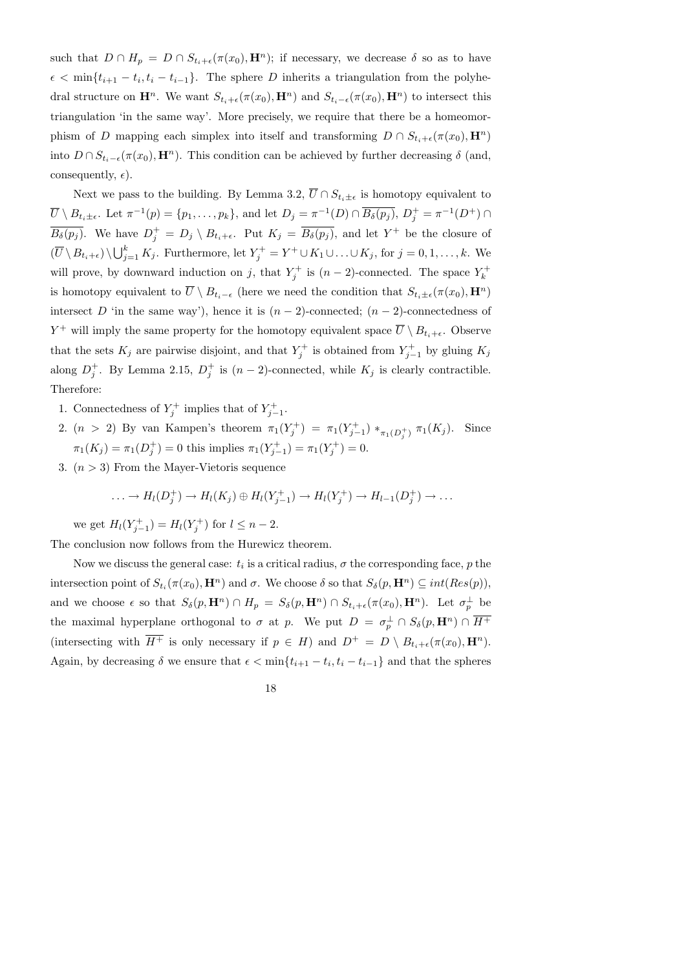such that  $D \cap H_p = D \cap S_{t_i+\epsilon}(\pi(x_0), \mathbf{H}^n)$ ; if necessary, we decrease  $\delta$  so as to have  $\epsilon < \min\{t_{i+1} - t_i, t_i - t_{i-1}\}.$  The sphere D inherits a triangulation from the polyhedral structure on  $\mathbf{H}^n$ . We want  $S_{t_i+\epsilon}(\pi(x_0), \mathbf{H}^n)$  and  $S_{t_i-\epsilon}(\pi(x_0), \mathbf{H}^n)$  to intersect this triangulation 'in the same way'. More precisely, we require that there be a homeomorphism of D mapping each simplex into itself and transforming  $D \cap S_{t_i+\epsilon}(\pi(x_0), \mathbf{H}^n)$ into  $D \cap S_{t_i-\epsilon}(\pi(x_0), \mathbf{H}^n)$ . This condition can be achieved by further decreasing  $\delta$  (and, consequently,  $\epsilon$ ).

Next we pass to the building. By Lemma 3.2,  $\overline{U} \cap S_{t_i \pm \epsilon}$  is homotopy equivalent to  $\overline{U} \setminus B_{t_i \pm \epsilon}$ . Let  $\pi^{-1}(p) = \{p_1, \ldots, p_k\}$ , and let  $D_j = \pi^{-1}(D) \cap \overline{B_{\delta}(p_j)}$ ,  $D_j^+ = \pi^{-1}(D^+) \cap$  $\overline{B_{\delta}(p_j)}$ . We have  $D_j^+ = D_j \setminus B_{t_i+\epsilon}$ . Put  $K_j = \overline{B_{\delta}(p_j)}$ , and let  $Y^+$  be the closure of  $(\overline{U} \setminus B_{t_i+\epsilon}) \setminus \bigcup_{j=1}^k K_j$ . Furthermore, let  $Y_j^+ = Y^+ \cup K_1 \cup \ldots \cup K_j$ , for  $j = 0, 1, \ldots, k$ . We will prove, by downward induction on j, that  $Y_i^+$  $y_j^+$  is  $(n-2)$ -connected. The space  $Y_k^+$ k is homotopy equivalent to  $\overline{U} \setminus B_{t_i-\epsilon}$  (here we need the condition that  $S_{t_i\pm\epsilon}(\pi(x_0), \mathbf{H}^n)$ ) intersect D 'in the same way'), hence it is  $(n-2)$ -connected;  $(n-2)$ -connectedness of  $Y^+$  will imply the same property for the homotopy equivalent space  $\overline{U} \setminus B_{t_i+\epsilon}$ . Observe that the sets  $K_j$  are pairwise disjoint, and that  $Y_j^+$  $y_j^{+}$  is obtained from  $Y_{j-}^{+}$  $j_{-1}^{+}$  by gluing  $K_j$ along  $D_i^+$  $j^+$ . By Lemma 2.15,  $D_j^+$  $j^+$  is  $(n-2)$ -connected, while  $K_j$  is clearly contractible. Therefore:

- 1. Connectedness of  $Y_i^+$  $y_j^{+}$  implies that of  $Y_{j-}^{+}$ j−1 .
- 2.  $(n > 2)$  By van Kampen's theorem  $\pi_1(Y_i^+)$  $j^{(+)}$ ) =  $\pi_1(Y_{j-}^+)$  $(\tau_{j-1}^+) *_{\pi_1(D_j^+)} \pi_1(K_j)$ . Since  $\pi_1(K_j) = \pi_1(D_j^+)$  $j^{+}_{j}$ ) = 0 this implies  $\pi_1(Y_{j-}^+)$  $j_{j-1}^{r+1}) = \pi_1(Y_j^+)$  $j^{(+)}_j = 0.$
- 3.  $(n > 3)$  From the Mayer-Vietoris sequence

$$
\ldots \to H_l(D_j^+) \to H_l(K_j) \oplus H_l(Y_{j-1}^+) \to H_l(Y_j^+) \to H_{l-1}(D_j^+) \to \ldots
$$

we get  $H_l(Y_{i-}^+)$  $j_{j-1}^{+})=H_{l}(Y_j^{+})$  $j^{+}$ ) for  $l \leq n-2$ .

The conclusion now follows from the Hurewicz theorem.

Now we discuss the general case:  $t_i$  is a critical radius,  $\sigma$  the corresponding face,  $p$  the intersection point of  $S_{t_i}(\pi(x_0), \mathbf{H}^n)$  and  $\sigma$ . We choose  $\delta$  so that  $S_{\delta}(p, \mathbf{H}^n) \subseteq int(Res(p)),$ and we choose  $\epsilon$  so that  $S_{\delta}(p, \mathbf{H}^n) \cap H_p = S_{\delta}(p, \mathbf{H}^n) \cap S_{t_i + \epsilon}(\pi(x_0), \mathbf{H}^n)$ . Let  $\sigma_p^{\perp}$  be the maximal hyperplane orthogonal to  $\sigma$  at p. We put  $D = \sigma_p^{\perp} \cap S_{\delta}(p, \mathbf{H}^n) \cap \overline{H^+}$ (intersecting with  $\overline{H^+}$  is only necessary if  $p \in H$ ) and  $D^+ = D \setminus B_{t_i+\epsilon}(\pi(x_0), \mathbf{H}^n)$ . Again, by decreasing  $\delta$  we ensure that  $\epsilon < \min\{t_{i+1} - t_i, t_i - t_{i-1}\}\$  and that the spheres

18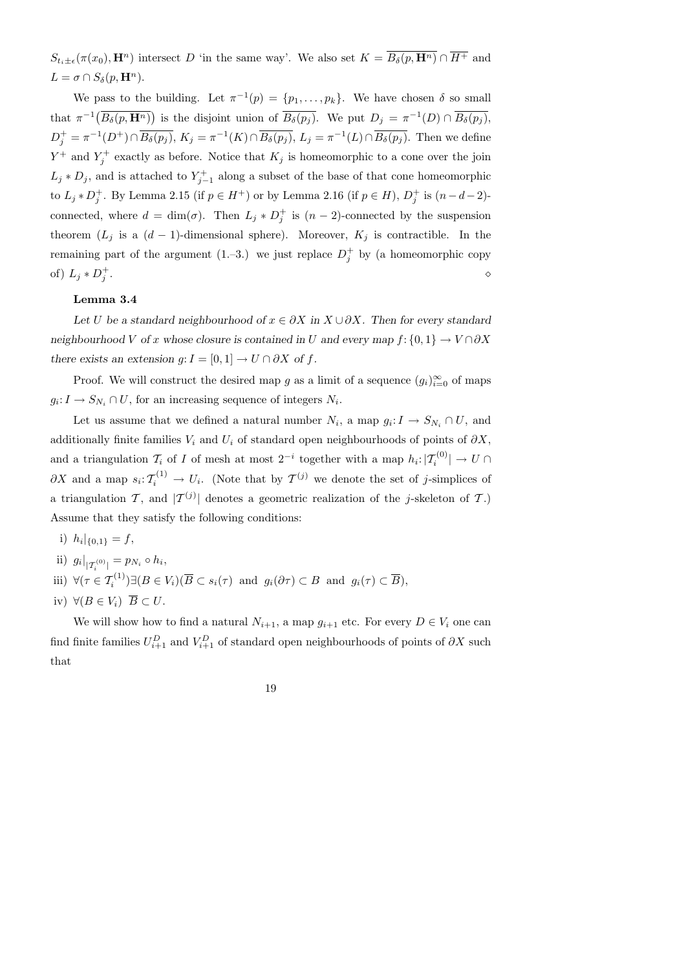$S_{t_i\pm\epsilon}(\pi(x_0),\mathbf{H}^n)$  intersect D 'in the same way'. We also set  $K = \overline{B_{\delta}(p,\mathbf{H}^n)} \cap \overline{H^+}$  and  $L = \sigma \cap S_{\delta}(p, \mathbf{H}^n).$ 

We pass to the building. Let  $\pi^{-1}(p) = \{p_1, \ldots, p_k\}$ . We have chosen  $\delta$  so small that  $\pi^{-1}(\overline{B_{\delta}(p,\mathbf{H}^n)})$  is the disjoint union of  $\overline{B_{\delta}(p_j)}$ . We put  $D_j = \pi^{-1}(D) \cap \overline{B_{\delta}(p_j)}$ ,  $D_j^+ = \pi^{-1}(D^+) \cap \overline{B_{\delta}(p_j)}, K_j = \pi^{-1}(K) \cap \overline{B_{\delta}(p_j)}, L_j = \pi^{-1}(L) \cap \overline{B_{\delta}(p_j)}$ . Then we define  $Y^+$  and  $Y_i^+$  $\zeta_j^+$  exactly as before. Notice that  $K_j$  is homeomorphic to a cone over the join  $L_j * D_j$ , and is attached to  $Y_{j-1}^+$  $j_{-1}^{+}$  along a subset of the base of that cone homeomorphic to  $L_j * D_j^+$ <sup>+</sup>. By Lemma 2.15 (if  $p \in H^+$ ) or by Lemma 2.16 (if  $p \in H$ ),  $D_j^+$  $j^+$  is  $(n-d-2)$ connected, where  $d = \dim(\sigma)$ . Then  $L_j * D_j^+$  $j^{\dagger}$  is  $(n-2)$ -connected by the suspension theorem  $(L_j$  is a  $(d-1)$ -dimensional sphere). Moreover,  $K_j$  is contractible. In the remaining part of the argument (1.–3.) we just replace  $D_i^+$  $j^+$  by (a homeomorphic copy of)  $L_j * D_i^+$ j . The contract of the contract of the contract of  $\Diamond$ 

## Lemma 3.4

Let U be a standard neighbourhood of  $x \in \partial X$  in  $X \cup \partial X$ . Then for every standard neighbourhood V of x whose closure is contained in U and every map  $f: \{0, 1\} \to V \cap \partial X$ there exists an extension  $g: I = [0, 1] \rightarrow U \cap \partial X$  of f.

Proof. We will construct the desired map g as a limit of a sequence  $(g_i)_{i=0}^{\infty}$  of maps  $g_i: I \to S_{N_i} \cap U$ , for an increasing sequence of integers  $N_i$ .

Let us assume that we defined a natural number  $N_i$ , a map  $g_i: I \to S_{N_i} \cap U$ , and additionally finite families  $V_i$  and  $U_i$  of standard open neighbourhoods of points of  $\partial X$ , and a triangulation  $\mathcal{T}_i$  of I of mesh at most  $2^{-i}$  together with a map  $h_i: |\mathcal{T}_i^{(0)}| \to U \cap$  $\partial X$  and a map  $s_i: T_i^{(1)} \to U_i$ . (Note that by  $T^{(j)}$  we denote the set of j-simplices of a triangulation T, and  $|T^{(j)}|$  denotes a geometric realization of the j-skeleton of T.) Assume that they satisfy the following conditions:

- i)  $h_i|_{\{0,1\}} = f$ ,
- ii)  $g_i|_{|T_i^{(0)}|} = p_{N_i} \circ h_i,$
- iii)  $\forall (\tau \in \mathcal{T}_i^{(1)}) \exists (B \in V_i)(\overline{B} \subset s_i(\tau) \text{ and } g_i(\partial \tau) \subset B \text{ and } g_i(\tau) \subset \overline{B}),$
- iv)  $\forall (B \in V_i) \ \overline{B} \subset U.$

We will show how to find a natural  $N_{i+1}$ , a map  $g_{i+1}$  etc. For every  $D \in V_i$  one can find finite families  $U_{i+1}^D$  and  $V_{i+1}^D$  of standard open neighbourhoods of points of  $\partial X$  such that

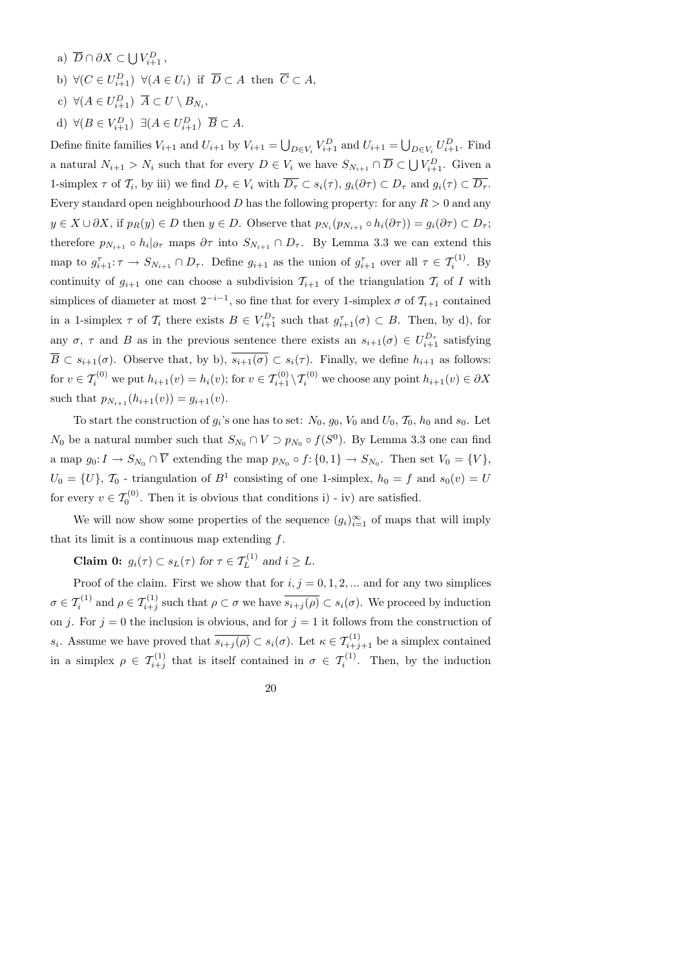- a)  $\overline{D} \cap \partial X \subset \bigcup V_{i+1}^D$ ,
- b)  $\forall (C \in U_{i+1}^D) \ \forall (A \in U_i) \text{ if } \overline{D} \subset A \text{ then } \overline{C} \subset A,$
- c)  $\forall (A \in U_{i+1}^D) \ \overline{A} \subset U \setminus B_{N_i},$
- d)  $\forall (B \in V_{i+1}^D) \exists (A \in U_{i+1}^D) \overline{B} \subset A.$

Define finite families  $V_{i+1}$  and  $U_{i+1}$  by  $V_{i+1} = \bigcup_{D \in V_i} V_{i+1}^D$  and  $U_{i+1} = \bigcup_{D \in V_i} U_{i+1}^D$ . Find a natural  $N_{i+1} > N_i$  such that for every  $D \in V_i$  we have  $S_{N_{i+1}} \cap \overline{D} \subset \bigcup V_{i+1}^D$ . Given a 1-simplex  $\tau$  of  $\mathcal{T}_i$ , by iii) we find  $D_{\tau} \in V_i$  with  $D_{\tau} \subset s_i(\tau)$ ,  $g_i(\partial \tau) \subset D_{\tau}$  and  $g_i(\tau) \subset D_{\tau}$ . Every standard open neighbourhood D has the following property: for any  $R > 0$  and any  $y \in X \cup \partial X$ , if  $p_R(y) \in D$  then  $y \in D$ . Observe that  $p_{N_i}(p_{N_{i+1}} \circ h_i(\partial \tau)) = g_i(\partial \tau) \subset D_{\tau}$ ; therefore  $p_{N_{i+1}} \circ h_i|_{\partial \tau}$  maps  $\partial \tau$  into  $S_{N_{i+1}} \cap D_{\tau}$ . By Lemma 3.3 we can extend this map to  $g_{i+1}^{\tau} : \tau \to S_{N_{i+1}} \cap D_{\tau}$ . Define  $g_{i+1}$  as the union of  $g_{i+1}^{\tau}$  over all  $\tau \in \mathcal{T}_{i}^{(1)}$ . By continuity of  $g_{i+1}$  one can choose a subdivision  $\mathcal{T}_{i+1}$  of the triangulation  $\mathcal{T}_i$  of I with simplices of diameter at most  $2^{-i-1}$ , so fine that for every 1-simplex  $\sigma$  of  $\mathcal{T}_{i+1}$  contained in a 1-simplex  $\tau$  of  $\mathcal{T}_i$  there exists  $B \in V_{i+1}^{D_{\tau}}$  such that  $g_{i+1}^{\tau}(\sigma) \subset B$ . Then, by d), for any  $\sigma$ ,  $\tau$  and  $B$  as in the previous sentence there exists an  $s_{i+1}(\sigma) \in U_{i+1}^{D_{\tau}}$  satisfying  $\overline{B} \subset s_{i+1}(\sigma)$ . Observe that, by b),  $\overline{s_{i+1}(\sigma)} \subset s_i(\tau)$ . Finally, we define  $h_{i+1}$  as follows: for  $v \in \mathcal{T}_i^{(0)}$  we put  $h_{i+1}(v) = h_i(v)$ ; for  $v \in \mathcal{T}_{i+1}^{(0)} \setminus \mathcal{T}_i^{(0)}$  we choose any point  $h_{i+1}(v) \in \partial X$ such that  $p_{N_{i+1}}(h_{i+1}(v)) = g_{i+1}(v)$ .

To start the construction of  $g_i$ 's one has to set:  $N_0$ ,  $g_0$ ,  $V_0$  and  $U_0$ ,  $\mathcal{T}_0$ ,  $h_0$  and  $s_0$ . Let  $N_0$  be a natural number such that  $S_{N_0} \cap V \supset p_{N_0} \circ f(S^0)$ . By Lemma 3.3 one can find a map  $g_0: I \to S_{N_0} \cap V$  extending the map  $p_{N_0} \circ f: \{0,1\} \to S_{N_0}$ . Then set  $V_0 = \{V\},\$  $U_0 = \{U\}, \mathcal{T}_0$  - triangulation of  $B^1$  consisting of one 1-simplex,  $h_0 = f$  and  $s_0(v) = U$ for every  $v \in \mathcal{T}_0^{(0)}$ . Then it is obvious that conditions i) - iv) are satisfied.

We will now show some properties of the sequence  $(g_i)_{i=1}^{\infty}$  of maps that will imply that its limit is a continuous map extending  $f$ .

**Claim 0:**  $g_i(\tau) \subset s_L(\tau)$  for  $\tau \in \mathcal{T}_L^{(1)}$  and  $i \geq L$ .

Proof of the claim. First we show that for  $i, j = 0, 1, 2, ...$  and for any two simplices  $\sigma \in \mathcal{T}_{i}^{(1)}$  and  $\rho \in \mathcal{T}_{i+j}^{(1)}$  such that  $\rho \subset \sigma$  we have  $\overline{s_{i+j}(\rho)} \subset s_i(\sigma)$ . We proceed by induction on j. For  $j = 0$  the inclusion is obvious, and for  $j = 1$  it follows from the construction of s<sub>i</sub>. Assume we have proved that  $\overline{s_{i+j}(\rho)} \subset s_i(\sigma)$ . Let  $\kappa \in \mathcal{T}_{i+j+1}^{(1)}$  be a simplex contained in a simplex  $\rho \in \mathcal{T}_{i+j}^{(1)}$  that is itself contained in  $\sigma \in \mathcal{T}_{i}^{(1)}$ . Then, by the induction

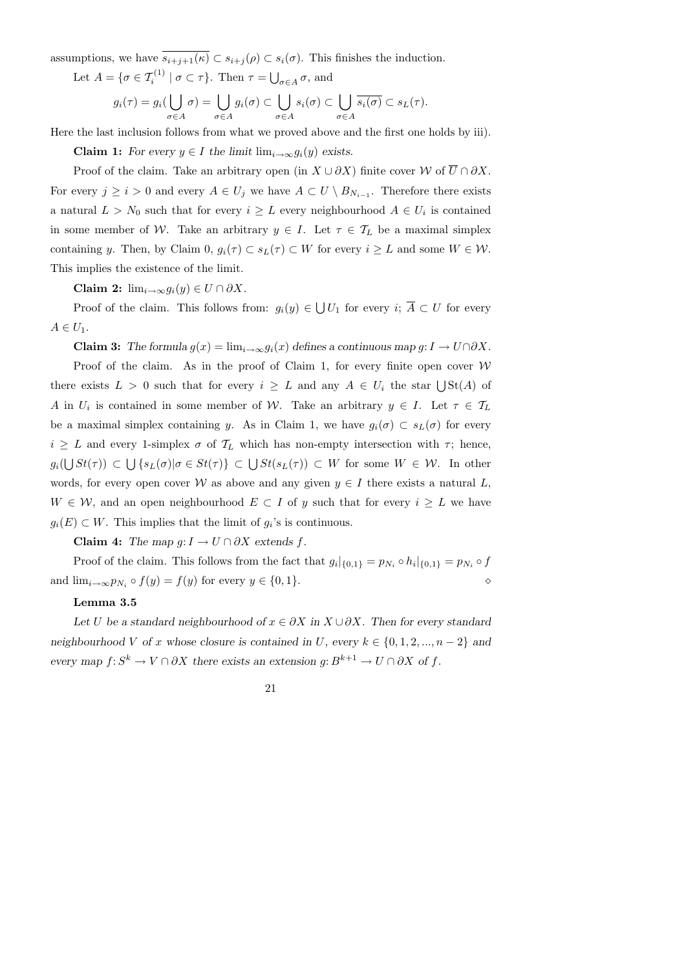assumptions, we have  $\overline{s_{i+j+1}(\kappa)} \subset s_{i+j}(\rho) \subset s_i(\sigma)$ . This finishes the induction.

Let  $A = \{ \sigma \in \mathcal{T}_i^{(1)} \mid \sigma \subset \tau \}.$  Then  $\tau = \bigcup_{\sigma \in A} \sigma$ , and

$$
g_i(\tau) = g_i(\bigcup_{\sigma \in A} \sigma) = \bigcup_{\sigma \in A} g_i(\sigma) \subset \bigcup_{\sigma \in A} s_i(\sigma) \subset \bigcup_{\sigma \in A} \overline{s_i(\sigma)} \subset s_L(\tau).
$$

Here the last inclusion follows from what we proved above and the first one holds by iii).

Claim 1: For every  $y \in I$  the limit  $\lim_{i\to\infty} g_i(y)$  exists.

Proof of the claim. Take an arbitrary open (in  $X \cup \partial X$ ) finite cover W of  $\overline{U} \cap \partial X$ . For every  $j \geq i > 0$  and every  $A \in U_j$  we have  $A \subset U \setminus B_{N_{i-1}}$ . Therefore there exists a natural  $L > N_0$  such that for every  $i \geq L$  every neighbourhood  $A \in U_i$  is contained in some member of W. Take an arbitrary  $y \in I$ . Let  $\tau \in \mathcal{T}_L$  be a maximal simplex containing y. Then, by Claim 0,  $g_i(\tau) \subset s_L(\tau) \subset W$  for every  $i \geq L$  and some  $W \in \mathcal{W}$ . This implies the existence of the limit.

Claim 2:  $\lim_{i\to\infty} g_i(y) \in U \cap \partial X$ .

Proof of the claim. This follows from:  $g_i(y) \in \bigcup U_1$  for every  $i; A \subset U$  for every  $A \in U_1$ .

Claim 3: The formula  $g(x) = \lim_{i \to \infty} g_i(x)$  defines a continuous map  $g: I \to U \cap \partial X$ .

Proof of the claim. As in the proof of Claim 1, for every finite open cover  $W$ there exists  $L > 0$  such that for every  $i \geq L$  and any  $A \in U_i$  the star  $\bigcup St(A)$  of A in  $U_i$  is contained in some member of W. Take an arbitrary  $y \in I$ . Let  $\tau \in \mathcal{T}_L$ be a maximal simplex containing y. As in Claim 1, we have  $g_i(\sigma) \subset s_L(\sigma)$  for every  $i \geq L$  and every 1-simplex  $\sigma$  of  $\mathcal{T}_L$  which has non-empty intersection with  $\tau$ ; hence,  $g_i(\bigcup St(\tau))\,\subset\,\bigcup\,\{s_L(\sigma)|\sigma\in St(\tau)\}\,\subset\,\bigcup St(s_L(\tau))\,\subset\,W$  for some  $W\,\in\,\mathcal{W}.$  In other words, for every open cover W as above and any given  $y \in I$  there exists a natural L,  $W \in \mathcal{W}$ , and an open neighbourhood  $E \subset I$  of y such that for every  $i \geq L$  we have  $g_i(E) \subset W$ . This implies that the limit of  $g_i$ 's is continuous.

Claim 4: The map  $g: I \to U \cap \partial X$  extends f.

Proof of the claim. This follows from the fact that  $g_i|_{\{0,1\}} = p_{N_i} \circ h_i|_{\{0,1\}} = p_{N_i} \circ f$ and  $\lim_{i\to\infty}p_{N_i}\circ f(y)=f(y)$  for every  $y\in\{0,1\}.$ 

#### Lemma 3.5

Let U be a standard neighbourhood of  $x \in \partial X$  in  $X \cup \partial X$ . Then for every standard neighbourhood V of x whose closure is contained in U, every  $k \in \{0, 1, 2, ..., n-2\}$  and every map  $f: S^k \to V \cap \partial X$  there exists an extension  $g: B^{k+1} \to U \cap \partial X$  of f.

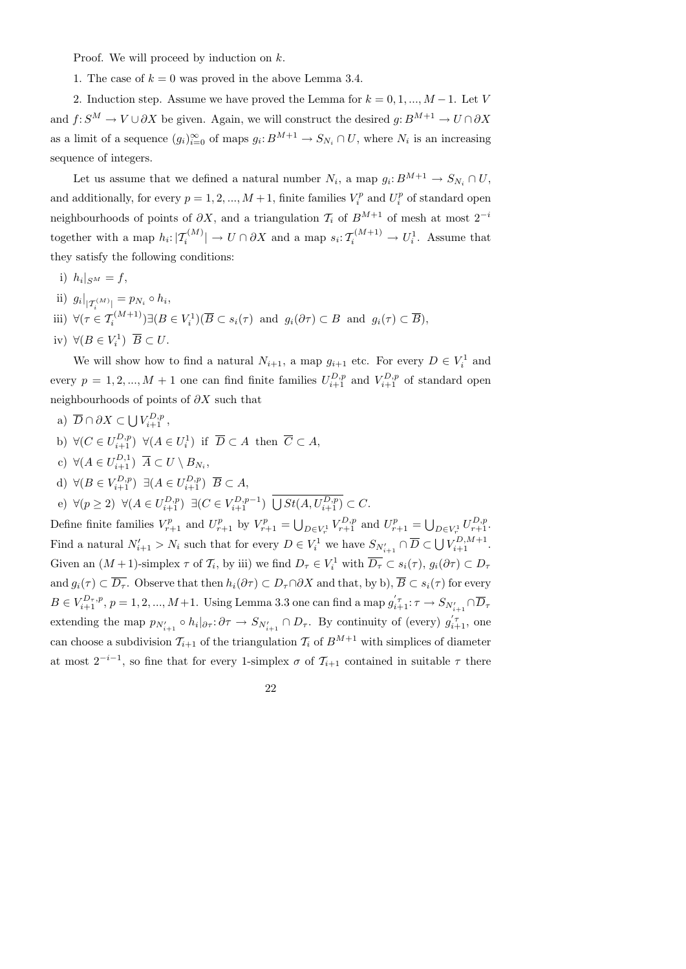Proof. We will proceed by induction on k.

1. The case of  $k = 0$  was proved in the above Lemma 3.4.

2. Induction step. Assume we have proved the Lemma for  $k = 0, 1, ..., M - 1$ . Let V and  $f: S^M \to V \cup \partial X$  be given. Again, we will construct the desired  $g: B^{M+1} \to U \cap \partial X$ as a limit of a sequence  $(g_i)_{i=0}^{\infty}$  of maps  $g_i: B^{M+1} \to S_{N_i} \cap U$ , where  $N_i$  is an increasing sequence of integers.

Let us assume that we defined a natural number  $N_i$ , a map  $g_i: B^{M+1} \to S_{N_i} \cap U$ , and additionally, for every  $p = 1, 2, ..., M + 1$ , finite families  $V_i^p$  $U_i^p$  and  $U_i^p$  $i^p$  of standard open neighbourhoods of points of  $\partial X$ , and a triangulation  $\mathcal{T}_i$  of  $B^{M+1}$  of mesh at most  $2^{-i}$ together with a map  $h_i: |T_i^{(M)}| \to U \cap \partial X$  and a map  $s_i: T_i^{(M+1)} \to U_i^1$ . Assume that they satisfy the following conditions:

- i)  $h_i|_{S^M}=f$ ,
- ii)  $g_i|_{|T_i^{(M)}|} = p_{N_i} \circ h_i,$
- iii)  $\forall (\tau \in \mathcal{T}_i^{(M+1)}) \exists (B \in V_i^1) (\overline{B} \subset s_i(\tau) \text{ and } g_i(\partial \tau) \subset B \text{ and } g_i(\tau) \subset \overline{B}),$
- iv)  $\forall (B \in V_i^1) \ \overline{B} \subset U.$

We will show how to find a natural  $N_{i+1}$ , a map  $g_{i+1}$  etc. For every  $D \in V_i^1$  and every  $p = 1, 2, ..., M + 1$  one can find finite families  $U_{i+1}^{D,p}$  and  $V_{i+1}^{D,p}$  of standard open neighbourhoods of points of ∂X such that

- a)  $\overline{D} \cap \partial X \subset \bigcup V^{D,p}_{i+1}$ ,
- b)  $\forall (C \in U_{i+1}^{D,p}) \ \forall (A \in U_i^1) \text{ if } \overline{D} \subset A \text{ then } \overline{C} \subset A,$
- c)  $\forall (A \in U_{i+1}^{D,1}) \ \overline{A} \subset U \setminus B_{N_i},$
- d)  $\forall (B \in V_{i+1}^{D,p}) \exists (A \in U_{i+1}^{D,p}) \overline{B} \subset A,$
- e)  $\forall (p \geq 2) \ \forall (A \in U_{i+1}^{D,p}) \ \exists (C \in V_{i+1}^{D,p-1}) \ \bigcup St(A, U_{i+1}^{D,p}) \subset C.$

Define finite families  $V_{r+1}^p$  and  $U_{r+1}^p$  by  $V_{r+1}^p = \bigcup_{D \in V_r^1} V_{r+1}^{D,p}$  and  $U_{r+1}^p = \bigcup_{D \in V_r^1} U_{r+1}^{D,p}$ . Find a natural  $N'_{i+1} > N_i$  such that for every  $D \in V_i^1$  we have  $S_{N'_{i+1}} \cap \overline{D} \subset \bigcup V_{i+1}^{D,M+1}$ . Given an  $(M+1)$ -simplex  $\tau$  of  $\mathcal{T}_i$ , by iii) we find  $D_{\tau} \in V_i^1$  with  $\overline{D_{\tau}} \subset s_i(\tau)$ ,  $g_i(\partial \tau) \subset D_{\tau}$ and  $g_i(\tau) \subset \overline{D_\tau}$ . Observe that then  $h_i(\partial \tau) \subset D_\tau \cap \partial X$  and that, by b),  $\overline{B} \subset s_i(\tau)$  for every  $B \in V_{i+1}^{D_\tau,p}, \, p=1,2,...,M+1.$  Using Lemma 3.3 one can find a map  $g_{i+1}^{'\tau}$ :  $\tau \to S_{N_{i+1}'} \cap \overline{D}_\tau$ extending the map  $p_{N'_{i+1}} \circ h_i |_{\partial \tau} : \partial \tau \to S_{N'_{i+1}} \cap D_{\tau}$ . By continuity of (every)  $g'_{i+1}$ , one can choose a subdivision  $\mathcal{T}_{i+1}$  of the triangulation  $\mathcal{T}_i$  of  $B^{M+1}$  with simplices of diameter at most  $2^{-i-1}$ , so fine that for every 1-simplex  $\sigma$  of  $\mathcal{T}_{i+1}$  contained in suitable  $\tau$  there

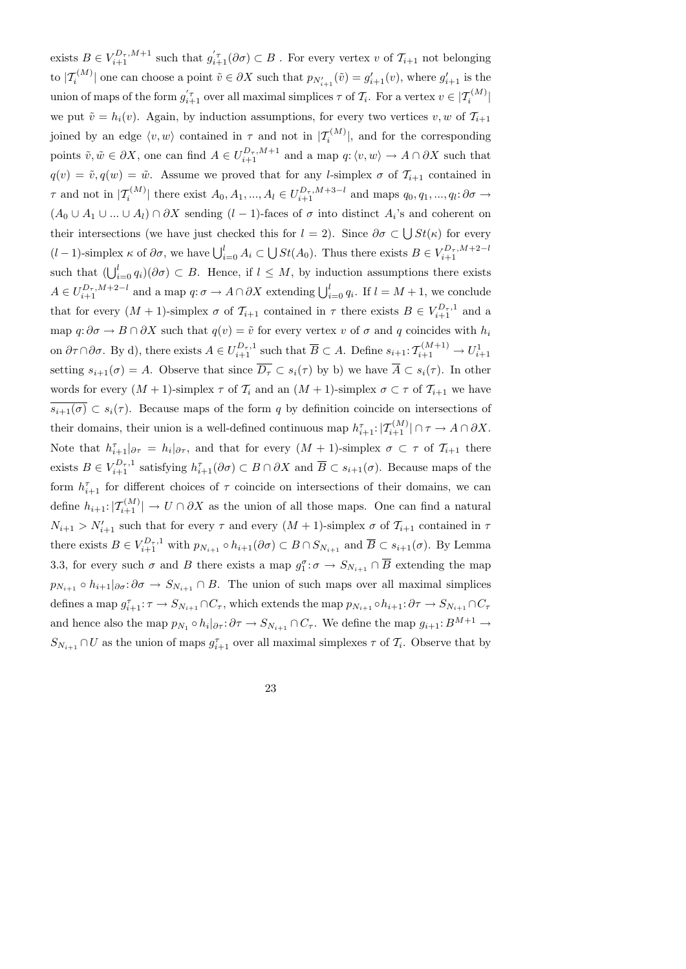exists  $B \in V_{i+1}^{D_{\tau},M+1}$  such that  $g'_{i+1}(\partial \sigma) \subset B$ . For every vertex v of  $\mathcal{T}_{i+1}$  not belonging to  $|\mathcal{T}_{i}^{(M)}|$  one can choose a point  $\tilde{v} \in \partial X$  such that  $p_{N'_{i+1}}(\tilde{v}) = g'_{i+1}(v)$ , where  $g'_{i+1}$  is the union of maps of the form  $g_{i+1}^{'\tau}$  over all maximal simplices  $\tau$  of  $\mathcal{T}_i$ . For a vertex  $v \in |\mathcal{T}_i^{(M)}|$ we put  $\tilde{v} = h_i(v)$ . Again, by induction assumptions, for every two vertices v, w of  $\mathcal{T}_{i+1}$ joined by an edge  $\langle v, w \rangle$  contained in  $\tau$  and not in  $|\mathcal{T}_{i}^{(M)}|$ , and for the corresponding points  $\tilde{v}, \tilde{w} \in \partial X$ , one can find  $A \in U_{i+1}^{D_{\tau}, M+1}$  and a map  $q: \langle v, w \rangle \to A \cap \partial X$  such that  $q(v) = \tilde{v}, q(w) = \tilde{w}$ . Assume we proved that for any *l*-simplex  $\sigma$  of  $\mathcal{T}_{i+1}$  contained in  $\tau$  and not in  $|\mathcal{T}_{i}^{(M)}|$  there exist  $A_0, A_1, ..., A_l \in U_{i+1}^{D_{\tau}, M+3-l}$  and maps  $q_0, q_1, ..., q_l: \partial \sigma \to$  $(A_0 \cup A_1 \cup ... \cup A_l) \cap \partial X$  sending  $(l-1)$ -faces of  $\sigma$  into distinct  $A_i$ 's and coherent on their intersections (we have just checked this for  $l = 2$ ). Since  $\partial \sigma \subset \bigcup St(\kappa)$  for every  $(l-1)$ -simplex  $\kappa$  of  $\partial\sigma$ , we have  $\bigcup_{i=0}^{l} A_i \subset \bigcup St(A_0)$ . Thus there exists  $B \in V_{i+1}^{D_{\tau},M+2-l}$  $i+1$ such that  $(\bigcup_{i=0}^{l} q_i)(\partial \sigma) \subset B$ . Hence, if  $l \leq M$ , by induction assumptions there exists  $A \in U_{i+1}^{D_{\tau},M+2-l}$  and a map  $q: \sigma \to A \cap \partial X$  extending  $\bigcup_{i=0}^{l} q_i$ . If  $l = M+1$ , we conclude that for every  $(M + 1)$ -simplex  $\sigma$  of  $\mathcal{T}_{i+1}$  contained in  $\tau$  there exists  $B \in V_{i+1}^{D_{\tau},1}$  and a map  $q: \partial \sigma \to B \cap \partial X$  such that  $q(v) = \tilde{v}$  for every vertex v of  $\sigma$  and q coincides with  $h_i$ on  $\partial \tau \cap \partial \sigma$ . By d), there exists  $A \in U_{i+1}^{D_{\tau},1}$  such that  $\overline{B} \subset A$ . Define  $s_{i+1} : \mathcal{T}_{i+1}^{(M+1)} \to U_{i+1}^1$ setting  $s_{i+1}(\sigma) = A$ . Observe that since  $\overline{D_{\tau}} \subset s_i(\tau)$  by b) we have  $\overline{A} \subset s_i(\tau)$ . In other words for every  $(M + 1)$ -simplex  $\tau$  of  $\mathcal{T}_i$  and an  $(M + 1)$ -simplex  $\sigma \subset \tau$  of  $\mathcal{T}_{i+1}$  we have  $\overline{s_{i+1}(\sigma)} \subset s_i(\tau)$ . Because maps of the form q by definition coincide on intersections of their domains, their union is a well-defined continuous map  $h_{i+1}^{\tau}: |T_{i+1}^{(M)}| \cap \tau \to A \cap \partial X$ . Note that  $h_{i+1}^{\tau} |_{\partial \tau} = h_i |_{\partial \tau}$ , and that for every  $(M + 1)$ -simplex  $\sigma \subset \tau$  of  $\mathcal{T}_{i+1}$  there exists  $B \in V_{i+1}^{D_{\tau},1}$  satisfying  $h_{i+1}^{\tau}(\partial \sigma) \subset B \cap \partial X$  and  $\overline{B} \subset s_{i+1}(\sigma)$ . Because maps of the form  $h_{i+1}^{\tau}$  for different choices of  $\tau$  coincide on intersections of their domains, we can define  $h_{i+1}: |T_{i+1}^{(M)}| \to U \cap \partial X$  as the union of all those maps. One can find a natural  $N_{i+1} > N'_{i+1}$  such that for every  $\tau$  and every  $(M + 1)$ -simplex  $\sigma$  of  $\mathcal{T}_{i+1}$  contained in  $\tau$ there exists  $B \in V_{i+1}^{D_{\tau},1}$  with  $p_{N_{i+1}} \circ h_{i+1}(\partial \sigma) \subset B \cap S_{N_{i+1}}$  and  $\overline{B} \subset s_{i+1}(\sigma)$ . By Lemma 3.3, for every such  $\sigma$  and B there exists a map  $g_1^{\sigma} \to S_{N_{i+1}} \cap \overline{B}$  extending the map  $p_{N_{i+1}} \circ h_{i+1} |_{\partial \sigma} : \partial \sigma \to S_{N_{i+1}} \cap B$ . The union of such maps over all maximal simplices defines a map  $g_{i+1}^{\tau} : \tau \to S_{N_{i+1}} \cap C_{\tau}$ , which extends the map  $p_{N_{i+1}} \circ h_{i+1} : \partial \tau \to S_{N_{i+1}} \cap C_{\tau}$ and hence also the map  $p_{N_1} \circ h_i|_{\partial \tau} : \partial \tau \to S_{N_{i+1}} \cap C_{\tau}$ . We define the map  $g_{i+1}: B^{M+1} \to$  $S_{N_{i+1}} \cap U$  as the union of maps  $g_{i+1}^{\tau}$  over all maximal simplexes  $\tau$  of  $\mathcal{T}_i$ . Observe that by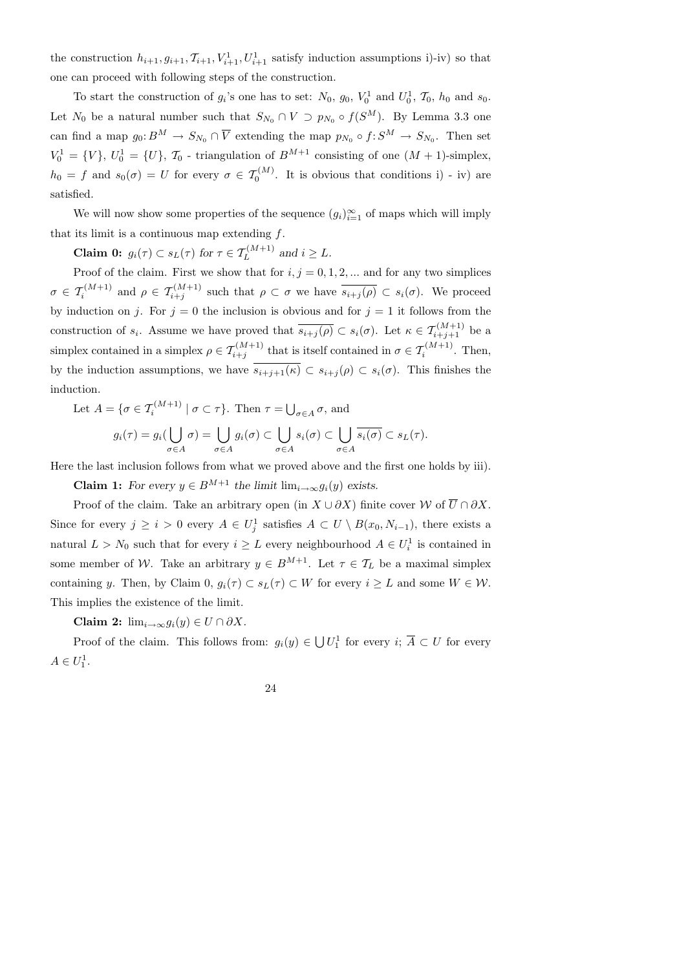the construction  $h_{i+1}, g_{i+1}, \mathcal{T}_{i+1}, V_{i+1}^1, U_{i+1}^1$  satisfy induction assumptions i)-iv) so that one can proceed with following steps of the construction.

To start the construction of  $g_i$ 's one has to set:  $N_0$ ,  $g_0$ ,  $V_0^1$  and  $U_0^1$ ,  $\mathcal{T}_0$ ,  $h_0$  and  $s_0$ . Let  $N_0$  be a natural number such that  $S_{N_0} \cap V \supset p_{N_0} \circ f(S^M)$ . By Lemma 3.3 one can find a map  $g_0: B^M \to S_{N_0} \cap \overline{V}$  extending the map  $p_{N_0} \circ f: S^M \to S_{N_0}$ . Then set  $V_0^1 = \{V\}, U_0^1 = \{U\}, \mathcal{T}_0$  - triangulation of  $B^{M+1}$  consisting of one  $(M + 1)$ -simplex,  $h_0 = f$  and  $s_0(\sigma) = U$  for every  $\sigma \in \mathcal{T}_0^{(M)}$ . It is obvious that conditions i) - iv) are satisfied.

We will now show some properties of the sequence  $(g_i)_{i=1}^{\infty}$  of maps which will imply that its limit is a continuous map extending  $f$ .

**Claim 0:**  $g_i(\tau) \subset s_L(\tau)$  for  $\tau \in \mathcal{T}_L^{(M+1)}$  and  $i \geq L$ .

Proof of the claim. First we show that for  $i, j = 0, 1, 2, ...$  and for any two simplices  $\sigma \in \mathcal{T}_{i}^{(M+1)}$  and  $\rho \in \mathcal{T}_{i+j}^{(M+1)}$  such that  $\rho \subset \sigma$  we have  $\overline{s_{i+j}(\rho)} \subset s_i(\sigma)$ . We proceed by induction on j. For  $j = 0$  the inclusion is obvious and for  $j = 1$  it follows from the construction of  $s_i$ . Assume we have proved that  $\overline{s_{i+j}(\rho)} \subset s_i(\sigma)$ . Let  $\kappa \in \mathcal{T}_{i+j+1}^{(M+1)}$  be a simplex contained in a simplex  $\rho \in \mathcal{T}_{i+j}^{(M+1)}$  that is itself contained in  $\sigma \in \mathcal{T}_{i}^{(M+1)}$ . Then, by the induction assumptions, we have  $\overline{s_{i+j+1}(\kappa)} \subset s_{i+j}(\rho) \subset s_i(\sigma)$ . This finishes the induction.

Let 
$$
A = \{\sigma \in \mathcal{T}_i^{(M+1)} \mid \sigma \subset \tau\}
$$
. Then  $\tau = \bigcup_{\sigma \in A} \sigma$ , and  
\n
$$
g_i(\tau) = g_i(\bigcup \sigma) = \bigcup g_i(\sigma) \subset \bigcup s_i(\sigma) \subset \bigcup \overline{s_i(\sigma)} \subset s_L(\tau).
$$

Here the last inclusion follows from what we proved above and the first one holds by iii).

 $\sigma \in A$ 

 $\sigma \in A$ 

**Claim 1:** For every  $y \in B^{M+1}$  the limit  $\lim_{i \to \infty} g_i(y)$  exists.

 $\sigma \in A$ 

Proof of the claim. Take an arbitrary open (in  $X \cup \partial X$ ) finite cover W of  $\overline{U} \cap \partial X$ . Since for every  $j \geq i > 0$  every  $A \in U_j^1$  satisfies  $A \subset U \setminus B(x_0, N_{i-1})$ , there exists a natural  $L > N_0$  such that for every  $i \geq L$  every neighbourhood  $A \in U_i^1$  is contained in some member of W. Take an arbitrary  $y \in B^{M+1}$ . Let  $\tau \in \mathcal{T}_L$  be a maximal simplex containing y. Then, by Claim 0,  $g_i(\tau) \subset s_L(\tau) \subset W$  for every  $i \geq L$  and some  $W \in \mathcal{W}$ . This implies the existence of the limit.

Claim 2:  $\lim_{i\to\infty} g_i(y) \in U \cap \partial X$ .

 $\sigma \in A$ 

Proof of the claim. This follows from:  $g_i(y) \in \bigcup U_1^1$  for every  $i; \overline{A} \subset U$  for every  $A \in U_1^1$ .

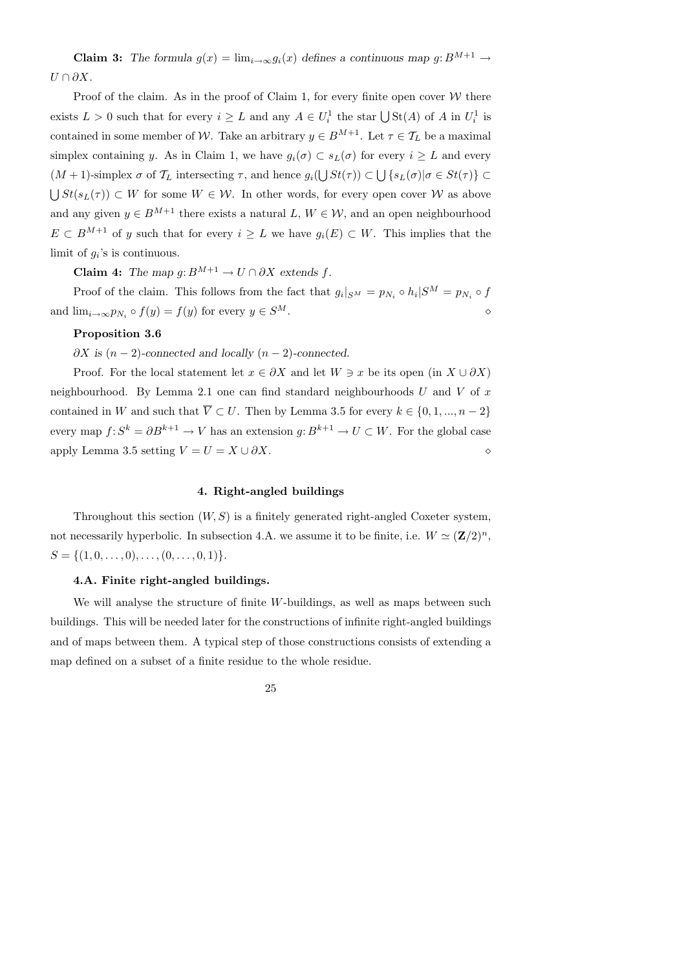**Claim 3:** The formula  $g(x) = \lim_{i \to \infty} g_i(x)$  defines a continuous map  $g: B^{M+1} \to$  $U \cap \partial X$ .

Proof of the claim. As in the proof of Claim 1, for every finite open cover  $W$  there exists  $L > 0$  such that for every  $i \geq L$  and any  $A \in U_i^1$  the star  $\bigcup \text{St}(A)$  of A in  $U_i^1$  is contained in some member of W. Take an arbitrary  $y \in B^{M+1}$ . Let  $\tau \in \mathcal{T}_L$  be a maximal simplex containing y. As in Claim 1, we have  $g_i(\sigma) \subset s_L(\sigma)$  for every  $i \geq L$  and every  $(M+1)$ -simplex  $\sigma$  of  $\mathcal{T}_L$  intersecting  $\tau$ , and hence  $g_i(\bigcup St(\tau)) \subset \bigcup \{s_L(\sigma) | \sigma \in St(\tau)\} \subset$  $\bigcup St(s_L(\tau)) \subset W$  for some  $W \in \mathcal{W}$ . In other words, for every open cover  $\mathcal W$  as above and any given  $y \in B^{M+1}$  there exists a natural  $L, W \in \mathcal{W}$ , and an open neighbourhood  $E \subset B^{M+1}$  of y such that for every  $i \geq L$  we have  $g_i(E) \subset W$ . This implies that the limit of  $g_i$ 's is continuous.

**Claim 4:** The map  $g: B^{M+1} \to U \cap \partial X$  extends f.

Proof of the claim. This follows from the fact that  $g_i|_{S^M} = p_{N_i} \circ h_i|S^M = p_{N_i} \circ f$ and  $\lim_{i\to\infty} p_{N_i} \circ f(y) = f(y)$  for every  $y \in S$  $M$ .

### Proposition 3.6

 $\partial X$  is  $(n-2)$ -connected and locally  $(n-2)$ -connected.

Proof. For the local statement let  $x \in \partial X$  and let  $W \ni x$  be its open (in  $X \cup \partial X$ ) neighbourhood. By Lemma 2.1 one can find standard neighbourhoods  $U$  and  $V$  of  $x$ contained in W and such that  $\overline{V} \subset U$ . Then by Lemma 3.5 for every  $k \in \{0, 1, ..., n-2\}$ every map  $f: S^k = \partial B^{k+1} \to V$  has an extension  $g: B^{k+1} \to U \subset W$ . For the global case apply Lemma 3.5 setting  $V = U = X \cup \partial X$ .

# 4. Right-angled buildings

Throughout this section  $(W, S)$  is a finitely generated right-angled Coxeter system, not necessarily hyperbolic. In subsection 4.A. we assume it to be finite, i.e.  $W \simeq (\mathbf{Z}/2)^n$ ,  $S = \{(1, 0, \ldots, 0), \ldots, (0, \ldots, 0, 1)\}.$ 

### 4.A. Finite right-angled buildings.

We will analyse the structure of finite W-buildings, as well as maps between such buildings. This will be needed later for the constructions of infinite right-angled buildings and of maps between them. A typical step of those constructions consists of extending a map defined on a subset of a finite residue to the whole residue.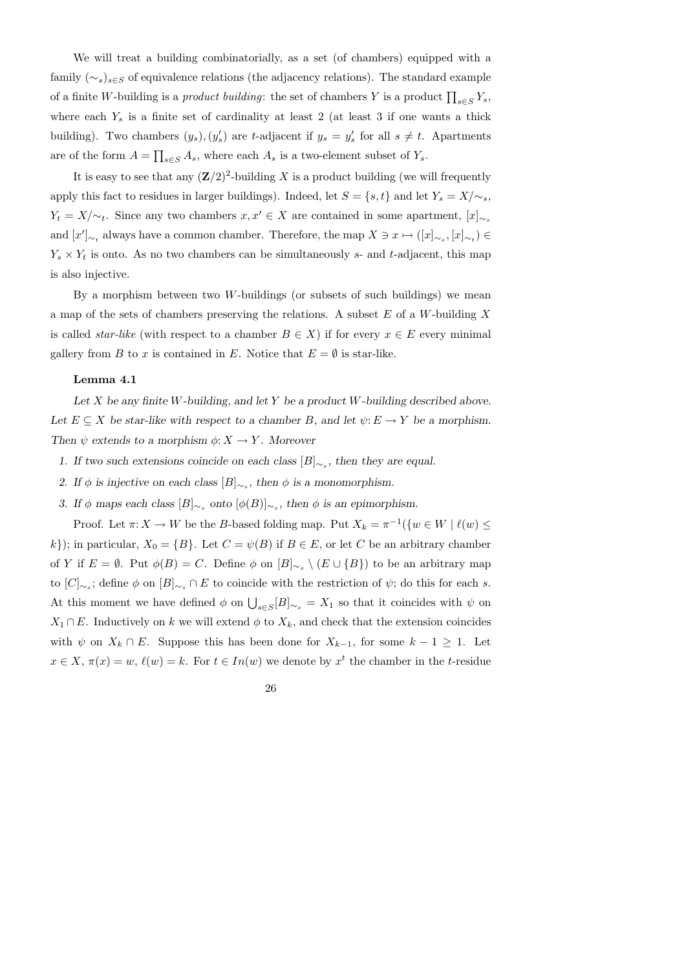We will treat a building combinatorially, as a set (of chambers) equipped with a family  $(\sim_s)_{s\in\mathcal{S}}$  of equivalence relations (the adjacency relations). The standard example of a finite W-building is a *product building*: the set of chambers Y is a product  $\prod_{s \in S} Y_s$ , where each  $Y_s$  is a finite set of cardinality at least 2 (at least 3 if one wants a thick building). Two chambers  $(y_s)$ ,  $(y'_s)$  are t-adjacent if  $y_s = y'_s$  for all  $s \neq t$ . Apartments are of the form  $A = \prod_{s \in S} A_s$ , where each  $A_s$  is a two-element subset of  $Y_s$ .

It is easy to see that any  $(\mathbf{Z}/2)^2$ -building X is a product building (we will frequently apply this fact to residues in larger buildings). Indeed, let  $S = \{s, t\}$  and let  $Y_s = X/\sim_s$ ,  $Y_t = X/\sim_t$ . Since any two chambers  $x, x' \in X$  are contained in some apartment,  $[x]_{\sim_s}$ and  $[x']_{\sim_t}$  always have a common chamber. Therefore, the map  $X \ni x \mapsto ([x]_{\sim_s}, [x]_{\sim_t}) \in$  $Y_s \times Y_t$  is onto. As no two chambers can be simultaneously s- and t-adjacent, this map is also injective.

By a morphism between two  $W$ -buildings (or subsets of such buildings) we mean a map of the sets of chambers preserving the relations. A subset  $E$  of a W-building  $X$ is called *star-like* (with respect to a chamber  $B \in X$ ) if for every  $x \in E$  every minimal gallery from B to x is contained in E. Notice that  $E = \emptyset$  is star-like.

#### Lemma 4.1

Let  $X$  be any finite W-building, and let  $Y$  be a product W-building described above. Let  $E \subseteq X$  be star-like with respect to a chamber B, and let  $\psi: E \to Y$  be a morphism. Then  $\psi$  extends to a morphism  $\phi: X \to Y$ . Moreover

- 1. If two such extensions coincide on each class  $[B]_{\sim_s}$ , then they are equal.
- 2. If  $\phi$  is injective on each class  $[B]_{\sim_s}$ , then  $\phi$  is a monomorphism.
- 3. If  $\phi$  maps each class  $[B]_{\sim_s}$  onto  $[\phi(B)]_{\sim_s}$ , then  $\phi$  is an epimorphism.

Proof. Let  $\pi: X \to W$  be the B-based folding map. Put  $X_k = \pi^{-1}(\{w \in W \mid \ell(w) \leq w\})$ k}); in particular,  $X_0 = \{B\}$ . Let  $C = \psi(B)$  if  $B \in E$ , or let C be an arbitrary chamber of Y if  $E = \emptyset$ . Put  $\phi(B) = C$ . Define  $\phi$  on  $[B]_{\sim_s} \setminus (E \cup \{B\})$  to be an arbitrary map to  $[C]_{\sim_s}$ ; define  $\phi$  on  $[B]_{\sim_s} \cap E$  to coincide with the restriction of  $\psi$ ; do this for each s. At this moment we have defined  $\phi$  on  $\bigcup_{s\in S}[B]_{\sim_s} = X_1$  so that it coincides with  $\psi$  on  $X_1 \cap E$ . Inductively on k we will extend  $\phi$  to  $X_k$ , and check that the extension coincides with  $\psi$  on  $X_k \cap E$ . Suppose this has been done for  $X_{k-1}$ , for some  $k-1 \geq 1$ . Let  $x \in X$ ,  $\pi(x) = w$ ,  $\ell(w) = k$ . For  $t \in In(w)$  we denote by  $x^t$  the chamber in the t-residue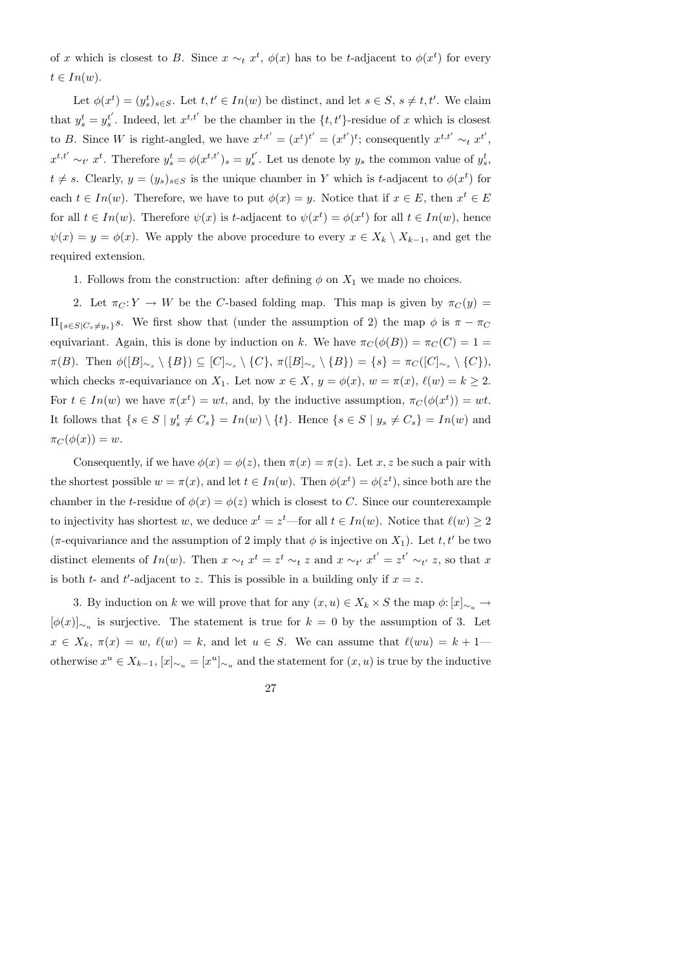of x which is closest to B. Since  $x \sim_t x^t$ ,  $\phi(x)$  has to be t-adjacent to  $\phi(x^t)$  for every  $t \in In(w).$ 

Let  $\phi(x^t) = (y_s^t)_{s \in S}$ . Let  $t, t' \in In(w)$  be distinct, and let  $s \in S$ ,  $s \neq t, t'$ . We claim that  $y_s^t = y_s^{t'}$  $s<sup>t</sup>$ . Indeed, let  $x<sup>t,t'</sup>$  be the chamber in the  $\{t, t'\}$ -residue of x which is closest to B. Since W is right-angled, we have  $x^{t,t'} = (x^t)^{t'} = (x^{t'})^t$ ; consequently  $x^{t,t'} \sim_t x^{t'}$ ,  $x^{t,t'} \sim_{t'} x^t$ . Therefore  $y_s^t = \phi(x^{t,t'})_s = y_s^{t'}$  $s<sup>t</sup>$ . Let us denote by  $y_s$  the common value of  $y_s^t$ ,  $t \neq s$ . Clearly,  $y = (y_s)_{s \in S}$  is the unique chamber in Y which is t-adjacent to  $\phi(x^t)$  for each  $t \in In(w)$ . Therefore, we have to put  $\phi(x) = y$ . Notice that if  $x \in E$ , then  $x^t \in E$ for all  $t \in In(w)$ . Therefore  $\psi(x)$  is t-adjacent to  $\psi(x^t) = \phi(x^t)$  for all  $t \in In(w)$ , hence  $\psi(x) = y = \phi(x)$ . We apply the above procedure to every  $x \in X_k \setminus X_{k-1}$ , and get the required extension.

1. Follows from the construction: after defining  $\phi$  on  $X_1$  we made no choices.

2. Let  $\pi_C: Y \to W$  be the C-based folding map. This map is given by  $\pi_C(y) =$  $\Pi_{\{s\in S|C_s\neq y_s\}}s$ . We first show that (under the assumption of 2) the map  $\phi$  is  $\pi - \pi_C$ equivariant. Again, this is done by induction on k. We have  $\pi_C(\phi(B)) = \pi_C(C) = 1$  $\pi(B)$ . Then  $\phi([B]_{\sim_s} \setminus \{B\}) \subseteq [C]_{\sim_s} \setminus \{C\}, \pi([B]_{\sim_s} \setminus \{B\}) = \{s\} = \pi_C([C]_{\sim_s} \setminus \{C\}),$ which checks  $\pi$ -equivariance on  $X_1$ . Let now  $x \in X$ ,  $y = \phi(x)$ ,  $w = \pi(x)$ ,  $\ell(w) = k \ge 2$ . For  $t \in In(w)$  we have  $\pi(x^t) = wt$ , and, by the inductive assumption,  $\pi_C(\phi(x^t)) = wt$ . It follows that  $\{s \in S \mid y_s^t \neq C_s\} = In(w) \setminus \{t\}$ . Hence  $\{s \in S \mid y_s \neq C_s\} = In(w)$  and  $\pi_C(\phi(x)) = w.$ 

Consequently, if we have  $\phi(x) = \phi(z)$ , then  $\pi(x) = \pi(z)$ . Let x, z be such a pair with the shortest possible  $w = \pi(x)$ , and let  $t \in In(w)$ . Then  $\phi(x^t) = \phi(z^t)$ , since both are the chamber in the t-residue of  $\phi(x) = \phi(z)$  which is closest to C. Since our counterexample to injectivity has shortest w, we deduce  $x^t = z^t$ —for all  $t \in In(w)$ . Notice that  $\ell(w) \geq 2$ ( $\pi$ -equivariance and the assumption of 2 imply that  $\phi$  is injective on  $X_1$ ). Let t, t' be two distinct elements of  $In(w)$ . Then  $x \sim_t x^t = z^t \sim_t z$  and  $x \sim_{t'} x^{t'} = z^{t'} \sim_{t'} z$ , so that x is both  $t$ - and  $t'$ -adjacent to z. This is possible in a building only if  $x = z$ .

3. By induction on k we will prove that for any  $(x, u) \in X_k \times S$  the map  $\phi: [x]_{\sim_u} \to$  $[\phi(x)]_{\sim_u}$  is surjective. The statement is true for  $k = 0$  by the assumption of 3. Let  $x \in X_k$ ,  $\pi(x) = w$ ,  $\ell(w) = k$ , and let  $u \in S$ . We can assume that  $\ell(wu) = k + 1$  otherwise  $x^u \in X_{k-1}$ ,  $[x]_{\sim_u} = [x^u]_{\sim_u}$  and the statement for  $(x, u)$  is true by the inductive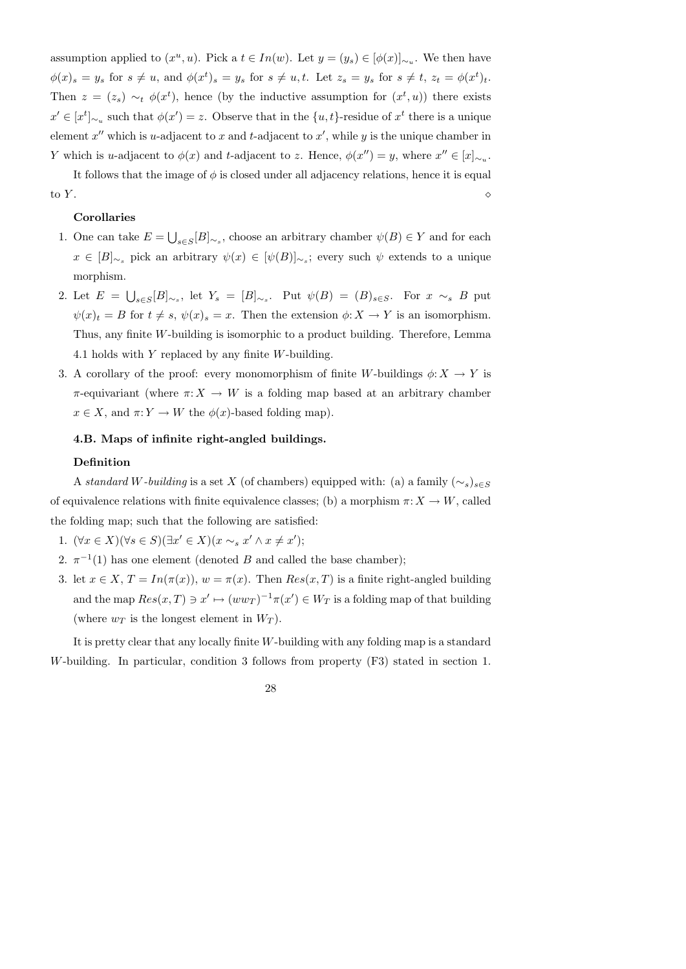assumption applied to  $(x^u, u)$ . Pick a  $t \in In(w)$ . Let  $y = (y_s) \in [\phi(x)]_{\sim_u}$ . We then have  $\phi(x)_s = y_s$  for  $s \neq u$ , and  $\phi(x^t)_s = y_s$  for  $s \neq u, t$ . Let  $z_s = y_s$  for  $s \neq t$ ,  $z_t = \phi(x^t)_t$ . Then  $z = (z_s) \sim_t \phi(x^t)$ , hence (by the inductive assumption for  $(x^t, u)$ ) there exists  $x' \in [x^t]_{\sim_u}$  such that  $\phi(x') = z$ . Observe that in the  $\{u, t\}$ -residue of  $x^t$  there is a unique element  $x''$  which is u-adjacent to x and t-adjacent to  $x'$ , while y is the unique chamber in Y which is u-adjacent to  $\phi(x)$  and t-adjacent to z. Hence,  $\phi(x'') = y$ , where  $x'' \in [x]_{\sim_u}$ .

It follows that the image of  $\phi$  is closed under all adjacency relations, hence it is equal to  $Y$ .

## Corollaries

- 1. One can take  $E = \bigcup_{s \in S} [B]_{\sim_s}$ , choose an arbitrary chamber  $\psi(B) \in Y$  and for each  $x \in [B]_{\sim_s}$  pick an arbitrary  $\psi(x) \in [\psi(B)]_{\sim_s}$ ; every such  $\psi$  extends to a unique morphism.
- 2. Let  $E = \bigcup_{s \in S} [B]_{\sim_s}$ , let  $Y_s = [B]_{\sim_s}$ . Put  $\psi(B) = (B)_{s \in S}$ . For  $x \sim_s B$  put  $\psi(x)_t = B$  for  $t \neq s$ ,  $\psi(x)_s = x$ . Then the extension  $\phi: X \to Y$  is an isomorphism. Thus, any finite W-building is isomorphic to a product building. Therefore, Lemma 4.1 holds with  $Y$  replaced by any finite  $W$ -building.
- 3. A corollary of the proof: every monomorphism of finite W-buildings  $\phi: X \to Y$  is  $\pi$ -equivariant (where  $\pi: X \to W$  is a folding map based at an arbitrary chamber  $x \in X$ , and  $\pi: Y \to W$  the  $\phi(x)$ -based folding map).

# 4.B. Maps of infinite right-angled buildings.

### Definition

A standard W-building is a set X (of chambers) equipped with: (a) a family  $(\sim_s)_{s\in S}$ of equivalence relations with finite equivalence classes; (b) a morphism  $\pi: X \to W$ , called the folding map; such that the following are satisfied:

- 1.  $(\forall x \in X)(\forall s \in S)(\exists x' \in X)(x \sim_s x' \land x \neq x')$ ;
- 2.  $\pi^{-1}(1)$  has one element (denoted B and called the base chamber);
- 3. let  $x \in X$ ,  $T = In(\pi(x))$ ,  $w = \pi(x)$ . Then  $Res(x, T)$  is a finite right-angled building and the map  $Res(x, T) \ni x' \mapsto (ww_T)^{-1}\pi(x') \in W_T$  is a folding map of that building (where  $w_T$  is the longest element in  $W_T$ ).

It is pretty clear that any locally finite W-building with any folding map is a standard W-building. In particular, condition 3 follows from property (F3) stated in section 1.

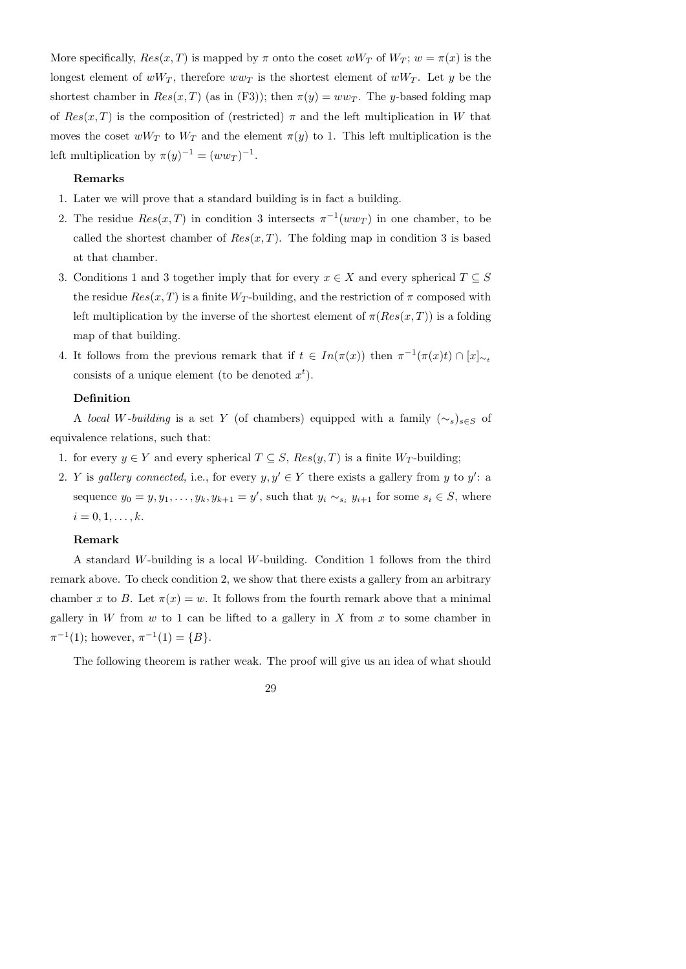More specifically,  $Res(x, T)$  is mapped by  $\pi$  onto the coset  $wW_T$  of  $W_T$ ;  $w = \pi(x)$  is the longest element of  $wW_T$ , therefore  $ww_T$  is the shortest element of  $wW_T$ . Let y be the shortest chamber in  $Res(x, T)$  (as in (F3)); then  $\pi(y) = ww_T$ . The y-based folding map of  $Res(x,T)$  is the composition of (restricted)  $\pi$  and the left multiplication in W that moves the coset  $wW_T$  to  $W_T$  and the element  $\pi(y)$  to 1. This left multiplication is the left multiplication by  $\pi(y)^{-1} = (ww_T)^{-1}$ .

# Remarks

- 1. Later we will prove that a standard building is in fact a building.
- 2. The residue  $Res(x,T)$  in condition 3 intersects  $\pi^{-1}(ww_T)$  in one chamber, to be called the shortest chamber of  $Res(x, T)$ . The folding map in condition 3 is based at that chamber.
- 3. Conditions 1 and 3 together imply that for every  $x \in X$  and every spherical  $T \subseteq S$ the residue  $Res(x, T)$  is a finite  $W_T$ -building, and the restriction of  $\pi$  composed with left multiplication by the inverse of the shortest element of  $\pi(Res(x,T))$  is a folding map of that building.
- 4. It follows from the previous remark that if  $t \in In(\pi(x))$  then  $\pi^{-1}(\pi(x)t) \cap [x]_{\sim_t}$ consists of a unique element (to be denoted  $x^t$ ).

### Definition

A local W-building is a set Y (of chambers) equipped with a family  $(\sim_s)_{s\in S}$  of equivalence relations, such that:

- 1. for every  $y \in Y$  and every spherical  $T \subseteq S$ ,  $Res(y, T)$  is a finite  $W_T$ -building;
- 2. Y is gallery connected, i.e., for every  $y, y' \in Y$  there exists a gallery from y to y': a sequence  $y_0 = y, y_1, \ldots, y_k, y_{k+1} = y'$ , such that  $y_i \sim_{s_i} y_{i+1}$  for some  $s_i \in S$ , where  $i = 0, 1, \ldots, k.$

## Remark

A standard W-building is a local W-building. Condition 1 follows from the third remark above. To check condition 2, we show that there exists a gallery from an arbitrary chamber x to B. Let  $\pi(x) = w$ . It follows from the fourth remark above that a minimal gallery in W from  $w$  to 1 can be lifted to a gallery in X from  $x$  to some chamber in  $\pi^{-1}(1)$ ; however,  $\pi^{-1}(1) = \{B\}.$ 

The following theorem is rather weak. The proof will give us an idea of what should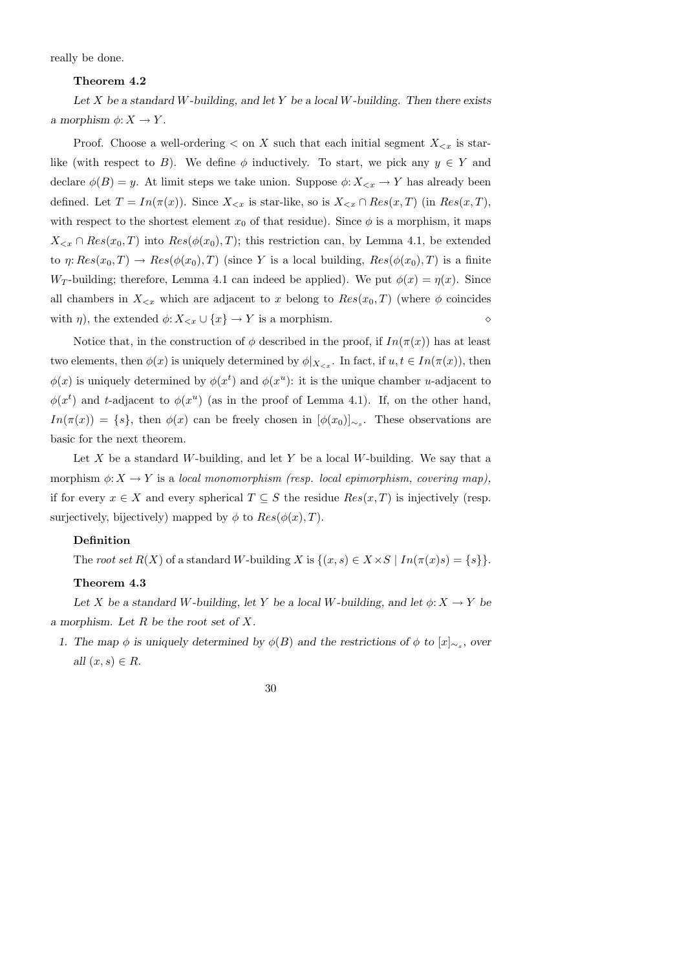really be done.

# Theorem 4.2

Let  $X$  be a standard W-building, and let  $Y$  be a local W-building. Then there exists a morphism  $\phi: X \to Y$ .

Proof. Choose a well-ordering  $\lt$  on X such that each initial segment  $X_{\lt x}$  is starlike (with respect to B). We define  $\phi$  inductively. To start, we pick any  $y \in Y$  and declare  $\phi(B) = y$ . At limit steps we take union. Suppose  $\phi: X_{\leq x} \to Y$  has already been defined. Let  $T = In(\pi(x))$ . Since  $X_{\leq x}$  is star-like, so is  $X_{\leq x} \cap Res(x,T)$  (in  $Res(x,T)$ , with respect to the shortest element  $x_0$  of that residue). Since  $\phi$  is a morphism, it maps  $X_{\leq x} \cap Res(x_0, T)$  into  $Res(\phi(x_0), T)$ ; this restriction can, by Lemma 4.1, be extended to  $\eta: Res(x_0, T) \to Res(\phi(x_0), T)$  (since Y is a local building,  $Res(\phi(x_0), T)$  is a finite W<sub>T</sub>-building; therefore, Lemma 4.1 can indeed be applied). We put  $\phi(x) = \eta(x)$ . Since all chambers in  $X_{\leq x}$  which are adjacent to x belong to  $Res(x_0, T)$  (where  $\phi$  coincides with  $\eta$ ), the extended  $\phi: X_{\leq x} \cup \{x\} \to Y$  is a morphism.

Notice that, in the construction of  $\phi$  described in the proof, if  $In(\pi(x))$  has at least two elements, then  $\phi(x)$  is uniquely determined by  $\phi|_{X_{\leq x}}$ . In fact, if  $u, t \in In(\pi(x))$ , then  $\phi(x)$  is uniquely determined by  $\phi(x^t)$  and  $\phi(x^u)$ : it is the unique chamber u-adjacent to  $\phi(x^t)$  and t-adjacent to  $\phi(x^u)$  (as in the proof of Lemma 4.1). If, on the other hand,  $In(\pi(x)) = \{s\},\$  then  $\phi(x)$  can be freely chosen in  $[\phi(x_0)]_{\sim_s}$ . These observations are basic for the next theorem.

Let X be a standard W-building, and let Y be a local W-building. We say that a morphism  $\phi: X \to Y$  is a local monomorphism (resp. local epimorphism, covering map), if for every  $x \in X$  and every spherical  $T \subseteq S$  the residue  $Res(x, T)$  is injectively (resp. surjectively, bijectively) mapped by  $\phi$  to  $Res(\phi(x), T)$ .

### Definition

The root set  $R(X)$  of a standard W-building X is  $\{(x, s) \in X \times S \mid In(\pi(x)s) = \{s\}\}.$ 

## Theorem 4.3

Let X be a standard W-building, let Y be a local W-building, and let  $\phi: X \to Y$  be a morphism. Let R be the root set of X.

1. The map  $\phi$  is uniquely determined by  $\phi(B)$  and the restrictions of  $\phi$  to  $[x]_{\sim_s}$ , over all  $(x, s) \in R$ .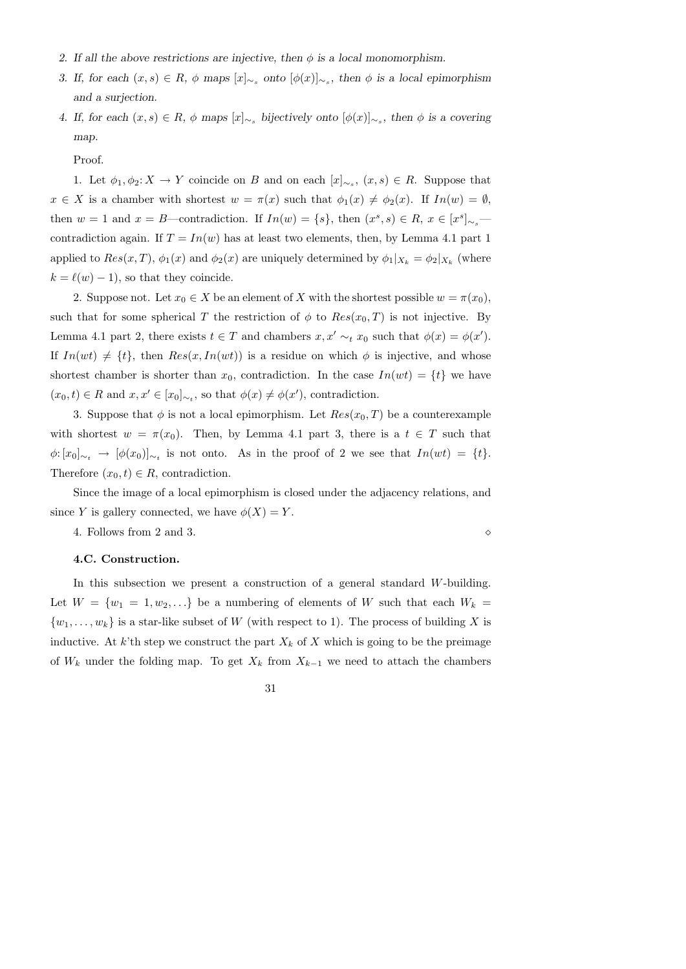- 2. If all the above restrictions are injective, then  $\phi$  is a local monomorphism.
- 3. If, for each  $(x, s) \in R$ ,  $\phi$  maps  $[x]_{\sim_s}$  onto  $[\phi(x)]_{\sim_s}$ , then  $\phi$  is a local epimorphism and a surjection.
- 4. If, for each  $(x, s) \in R$ ,  $\phi$  maps  $[x]_{\sim_s}$  bijectively onto  $[\phi(x)]_{\sim_s}$ , then  $\phi$  is a covering map.

Proof.

1. Let  $\phi_1, \phi_2: X \to Y$  coincide on B and on each  $[x]_{\sim_s}, (x, s) \in R$ . Suppose that  $x \in X$  is a chamber with shortest  $w = \pi(x)$  such that  $\phi_1(x) \neq \phi_2(x)$ . If  $In(w) = \emptyset$ , then  $w = 1$  and  $x = B$ —contradiction. If  $In(w) = \{s\}$ , then  $(x^s, s) \in R$ ,  $x \in [x^s]_{\sim_s}$  contradiction again. If  $T = In(w)$  has at least two elements, then, by Lemma 4.1 part 1 applied to  $Res(x,T)$ ,  $\phi_1(x)$  and  $\phi_2(x)$  are uniquely determined by  $\phi_1|_{X_k} = \phi_2|_{X_k}$  (where  $k = \ell(w) - 1$ , so that they coincide.

2. Suppose not. Let  $x_0 \in X$  be an element of X with the shortest possible  $w = \pi(x_0)$ , such that for some spherical T the restriction of  $\phi$  to  $Res(x_0, T)$  is not injective. By Lemma 4.1 part 2, there exists  $t \in T$  and chambers  $x, x' \sim_t x_0$  such that  $\phi(x) = \phi(x')$ . If  $In(wt) \neq \{t\}$ , then  $Res(x, In(wt))$  is a residue on which  $\phi$  is injective, and whose shortest chamber is shorter than  $x_0$ , contradiction. In the case  $In(wt) = \{t\}$  we have  $(x_0, t) \in R$  and  $x, x' \in [x_0]_{\sim_t}$ , so that  $\phi(x) \neq \phi(x')$ , contradiction.

3. Suppose that  $\phi$  is not a local epimorphism. Let  $Res(x_0, T)$  be a counterexample with shortest  $w = \pi(x_0)$ . Then, by Lemma 4.1 part 3, there is a  $t \in T$  such that  $\phi: [x_0]_{\sim_t} \to [\phi(x_0)]_{\sim_t}$  is not onto. As in the proof of 2 we see that  $In(wt) = \{t\}.$ Therefore  $(x_0, t) \in R$ , contradiction.

Since the image of a local epimorphism is closed under the adjacency relations, and since Y is gallery connected, we have  $\phi(X) = Y$ .

4. Follows from 2 and 3.

# 4.C. Construction.

In this subsection we present a construction of a general standard W-building. Let  $W = \{w_1 = 1, w_2, ...\}$  be a numbering of elements of W such that each  $W_k =$  $\{w_1, \ldots, w_k\}$  is a star-like subset of W (with respect to 1). The process of building X is inductive. At k'th step we construct the part  $X_k$  of X which is going to be the preimage of  $W_k$  under the folding map. To get  $X_k$  from  $X_{k-1}$  we need to attach the chambers

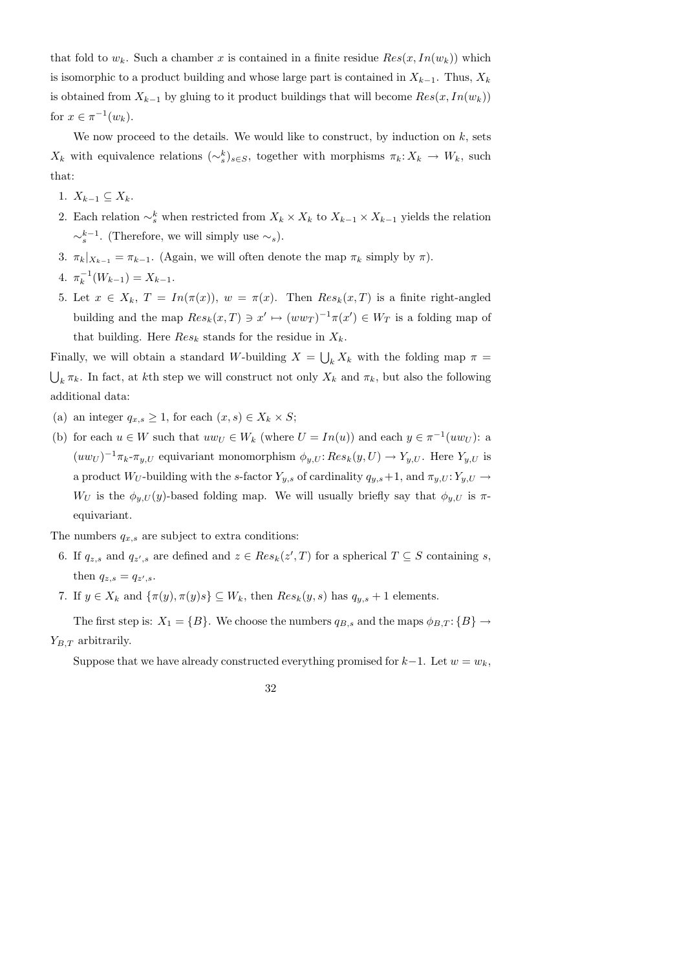that fold to  $w_k$ . Such a chamber x is contained in a finite residue  $Res(x, In(w_k))$  which is isomorphic to a product building and whose large part is contained in  $X_{k-1}$ . Thus,  $X_k$ is obtained from  $X_{k-1}$  by gluing to it product buildings that will become  $Res(x, In(w_k))$ for  $x \in \pi^{-1}(w_k)$ .

We now proceed to the details. We would like to construct, by induction on  $k$ , sets  $X_k$  with equivalence relations  $({\sim}^k_s)_{s\in S}$ , together with morphisms  $\pi_k: X_k \to W_k$ , such that:

1.  $X_{k-1} \subseteq X_k$ .

- 2. Each relation  $\sim_s^k$  when restricted from  $X_k \times X_k$  to  $X_{k-1} \times X_{k-1}$  yields the relation  $\sim_s^{k-1}$ . (Therefore, we will simply use  $\sim_s$ ).
- 3.  $\pi_k|_{X_{k-1}} = \pi_{k-1}$ . (Again, we will often denote the map  $\pi_k$  simply by  $\pi$ ).

4. 
$$
\pi_k^{-1}(W_{k-1}) = X_{k-1}.
$$

5. Let  $x \in X_k$ ,  $T = In(\pi(x))$ ,  $w = \pi(x)$ . Then  $Res_k(x,T)$  is a finite right-angled building and the map  $Res_k(x,T) \ni x' \mapsto (ww_T)^{-1}\pi(x') \in W_T$  is a folding map of that building. Here  $Res_k$  stands for the residue in  $X_k$ .

Finally, we will obtain a standard W-building  $X = \bigcup_k X_k$  with the folding map  $\pi =$  $\bigcup_{k} \pi_k$ . In fact, at kth step we will construct not only  $X_k$  and  $\pi_k$ , but also the following additional data:

- (a) an integer  $q_{x,s} \geq 1$ , for each  $(x, s) \in X_k \times S$ ;
- (b) for each  $u \in W$  such that  $uw_U \in W_k$  (where  $U = In(u)$ ) and each  $y \in \pi^{-1}(uw_U)$ : a  $(uw_U)^{-1}\pi_k\text{-}\pi_{y,U}$  equivariant monomorphism  $\phi_{y,U}$ :  $Res_k(y,U) \to Y_{y,U}$ . Here  $Y_{y,U}$  is a product  $W_U$ -building with the s-factor  $Y_{y,s}$  of cardinality  $q_{y,s}+1$ , and  $\pi_{y,U}: Y_{y,U} \to Y_{y}$  $W_U$  is the  $\phi_{y,U}(y)$ -based folding map. We will usually briefly say that  $\phi_{y,U}$  is  $\pi$ equivariant.

The numbers  $q_{x,s}$  are subject to extra conditions:

- 6. If  $q_{z,s}$  and  $q_{z',s}$  are defined and  $z \in Res_k(z',T)$  for a spherical  $T \subseteq S$  containing s, then  $q_{z,s} = q_{z',s}$ .
- 7. If  $y \in X_k$  and  $\{\pi(y), \pi(y)s\} \subseteq W_k$ , then  $Res_k(y, s)$  has  $q_{y,s} + 1$  elements.

The first step is:  $X_1 = \{B\}$ . We choose the numbers  $q_{B,s}$  and the maps  $\phi_{B,T}$ :  $\{B\} \rightarrow$  $Y_{B,T}$  arbitrarily.

Suppose that we have already constructed everything promised for  $k-1$ . Let  $w = w_k$ ,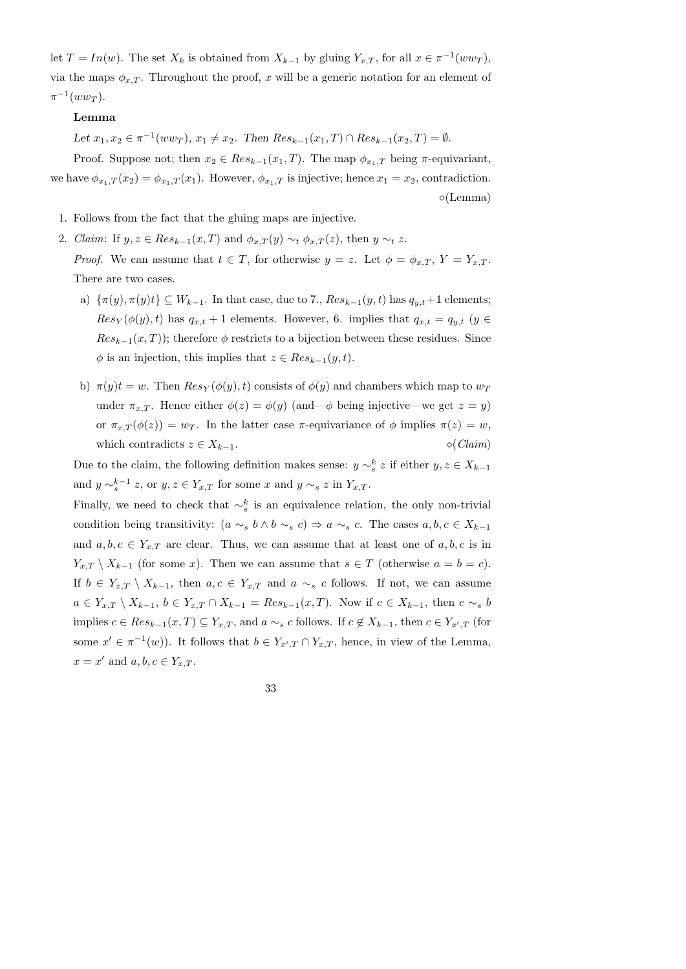let  $T = In(w)$ . The set  $X_k$  is obtained from  $X_{k-1}$  by gluing  $Y_{x,T}$ , for all  $x \in \pi^{-1}(ww_T)$ , via the maps  $\phi_{x,T}$ . Throughout the proof, x will be a generic notation for an element of  $\pi^{-1}(ww_T).$ 

### Lemma

Let  $x_1, x_2 \in \pi^{-1}(ww_T), x_1 \neq x_2$ . Then  $Res_{k-1}(x_1, T) \cap Res_{k-1}(x_2, T) = \emptyset$ .

Proof. Suppose not; then  $x_2 \in Res_{k-1}(x_1, T)$ . The map  $\phi_{x_1,T}$  being  $\pi$ -equivariant, we have  $\phi_{x_1,T}(x_2) = \phi_{x_1,T}(x_1)$ . However,  $\phi_{x_1,T}$  is injective; hence  $x_1 = x_2$ , contradiction.  $\diamond$ (Lemma)

- 1. Follows from the fact that the gluing maps are injective.
- 2. Claim: If  $y, z \in Res_{k-1}(x, T)$  and  $\phi_{x,T}(y) \sim_t \phi_{x,T}(z)$ , then  $y \sim_t z$ .

*Proof.* We can assume that  $t \in T$ , for otherwise  $y = z$ . Let  $\phi = \phi_{x,T}$ ,  $Y = Y_{x,T}$ . There are two cases.

- a)  $\{\pi(y), \pi(y)t\} \subseteq W_{k-1}$ . In that case, due to 7.,  $Res_{k-1}(y, t)$  has  $q_{y,t}+1$  elements;  $Res_Y(\phi(y), t)$  has  $q_{x,t} + 1$  elements. However, 6. implies that  $q_{x,t} = q_{y,t}$  ( $y \in$  $Res_{k-1}(x,T)$ ; therefore  $\phi$  restricts to a bijection between these residues. Since  $\phi$  is an injection, this implies that  $z \in Res_{k-1}(y, t)$ .
- b)  $\pi(y)t = w$ . Then  $Res_Y(\phi(y), t)$  consists of  $\phi(y)$  and chambers which map to  $w_T$ under  $\pi_{x,T}$ . Hence either  $\phi(z) = \phi(y)$  (and  $-\phi$  being injective—we get  $z = y$ ) or  $\pi_{x,T}(\phi(z)) = w_T$ . In the latter case  $\pi$ -equivariance of  $\phi$  implies  $\pi(z) = w$ , which contradicts  $z \in X_{k-1}$ .  $\Diamond$  (*Claim*)

Due to the claim, the following definition makes sense:  $y \sim_s^k z$  if either  $y, z \in X_{k-1}$ and  $y \sim_s^{k-1} z$ , or  $y, z \in Y_{x,T}$  for some x and  $y \sim_s z$  in  $Y_{x,T}$ .

Finally, we need to check that  $\sim_s^k$  is an equivalence relation, the only non-trivial condition being transitivity:  $(a \sim_s b \land b \sim_s c) \Rightarrow a \sim_s c$ . The cases  $a, b, c \in X_{k-1}$ and  $a, b, c \in Y_{x,T}$  are clear. Thus, we can assume that at least one of  $a, b, c$  is in  $Y_{x,T} \setminus X_{k-1}$  (for some x). Then we can assume that  $s \in T$  (otherwise  $a = b = c$ ). If  $b \in Y_{x,T} \setminus X_{k-1}$ , then  $a, c \in Y_{x,T}$  and  $a \sim_s c$  follows. If not, we can assume  $a \in Y_{x,T} \setminus X_{k-1}, b \in Y_{x,T} \cap X_{k-1} = Res_{k-1}(x,T)$ . Now if  $c \in X_{k-1}$ , then  $c \sim_s b$ implies  $c \in Res_{k-1}(x,T) \subseteq Y_{x,T}$ , and  $a \sim_s c$  follows. If  $c \notin X_{k-1}$ , then  $c \in Y_{x',T}$  (for some  $x' \in \pi^{-1}(w)$ . It follows that  $b \in Y_{x',T} \cap Y_{x,T}$ , hence, in view of the Lemma,  $x = x'$  and  $a, b, c \in Y_{x,T}$ .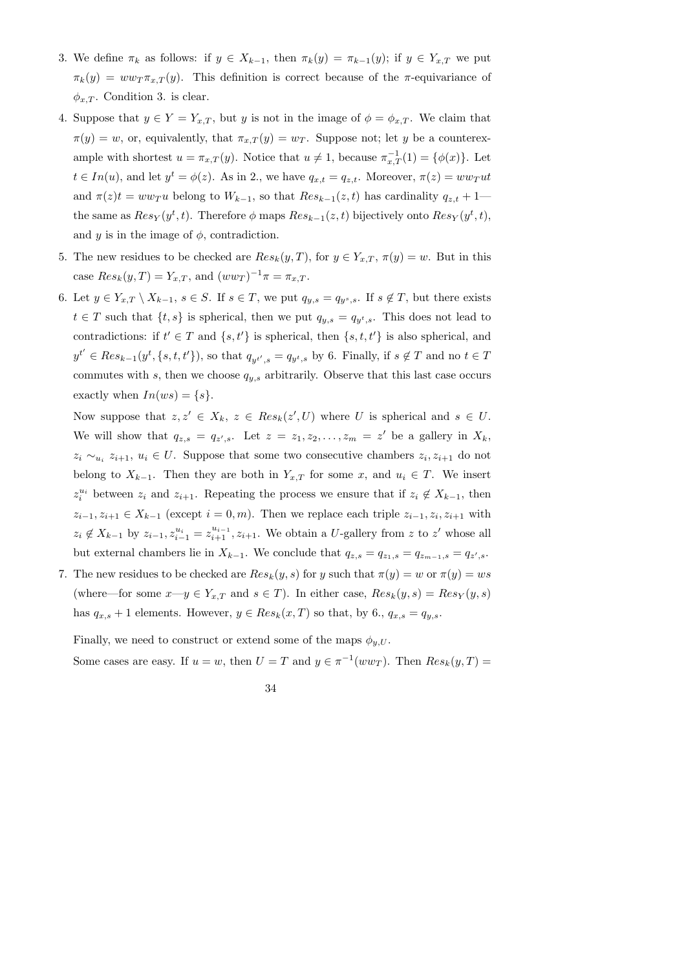- 3. We define  $\pi_k$  as follows: if  $y \in X_{k-1}$ , then  $\pi_k(y) = \pi_{k-1}(y)$ ; if  $y \in Y_{x,T}$  we put  $\pi_k(y) = ww_T \pi_{x,T}(y)$ . This definition is correct because of the  $\pi$ -equivariance of  $\phi_{x,T}$ . Condition 3. is clear.
- 4. Suppose that  $y \in Y = Y_{x,T}$ , but y is not in the image of  $\phi = \phi_{x,T}$ . We claim that  $\pi(y) = w$ , or, equivalently, that  $\pi_{x,T}(y) = w_T$ . Suppose not; let y be a counterexample with shortest  $u = \pi_{x,T}(y)$ . Notice that  $u \neq 1$ , because  $\pi_{x,T}^{-1}(1) = \{\phi(x)\}\.$  Let  $t \in In(u)$ , and let  $y^t = \phi(z)$ . As in 2., we have  $q_{x,t} = q_{z,t}$ . Moreover,  $\pi(z) = w w_T u t$ and  $\pi(z)t = w w_T u$  belong to  $W_{k-1}$ , so that  $Res_{k-1}(z, t)$  has cardinality  $q_{z,t} + 1$  the same as  $Res_Y(y^t, t)$ . Therefore  $\phi$  maps  $Res_{k-1}(z, t)$  bijectively onto  $Res_Y(y^t, t)$ , and y is in the image of  $\phi$ , contradiction.
- 5. The new residues to be checked are  $Res_k(y,T)$ , for  $y \in Y_{x,T}$ ,  $\pi(y) = w$ . But in this case  $Res_k(y,T) = Y_{x,T}$ , and  $(ww_T)^{-1}\pi = \pi_{x,T}$ .
- 6. Let  $y \in Y_{x,T} \setminus X_{k-1}, s \in S$ . If  $s \in T$ , we put  $q_{y,s} = q_{y^s,s}$ . If  $s \notin T$ , but there exists  $t \in T$  such that  $\{t, s\}$  is spherical, then we put  $q_{y,s} = q_{y^t,s}$ . This does not lead to contradictions: if  $t' \in T$  and  $\{s, t'\}$  is spherical, then  $\{s, t, t'\}$  is also spherical, and  $y^{t'} \in Res_{k-1}(y^t, \{s, t, t'\})$ , so that  $q_{y^{t'}, s} = q_{y^t, s}$  by 6. Finally, if  $s \notin T$  and no  $t \in T$ commutes with s, then we choose  $q_{y,s}$  arbitrarily. Observe that this last case occurs exactly when  $In(ws) = \{s\}.$

Now suppose that  $z, z' \in X_k$ ,  $z \in Res_k(z', U)$  where U is spherical and  $s \in U$ . We will show that  $q_{z,s} = q_{z',s}$ . Let  $z = z_1, z_2, \ldots, z_m = z'$  be a gallery in  $X_k$ ,  $z_i \sim_{u_i} z_{i+1}, u_i \in U$ . Suppose that some two consecutive chambers  $z_i, z_{i+1}$  do not belong to  $X_{k-1}$ . Then they are both in  $Y_{x,T}$  for some x, and  $u_i \in T$ . We insert  $z_i^{u_i}$  between  $z_i$  and  $z_{i+1}$ . Repeating the process we ensure that if  $z_i \notin X_{k-1}$ , then  $z_{i-1}, z_{i+1} \in X_{k-1}$  (except  $i = 0, m$ ). Then we replace each triple  $z_{i-1}, z_i, z_{i+1}$  with  $z_i \notin X_{k-1}$  by  $z_{i-1}, z_{i-1}^{u_i} = z_{i+1}^{u_{i-1}}, z_{i+1}$ . We obtain a U-gallery from z to z' whose all but external chambers lie in  $X_{k-1}$ . We conclude that  $q_{z,s} = q_{z_1,s} = q_{z_{m-1},s} = q_{z',s}$ .

7. The new residues to be checked are  $Res_k(y, s)$  for y such that  $\pi(y) = w$  or  $\pi(y) = ws$ (where—for some  $x-y \in Y_{x,T}$  and  $s \in T$ ). In either case,  $Res_k(y,s) = Res_Y(y,s)$ has  $q_{x,s} + 1$  elements. However,  $y \in Res_k(x,T)$  so that, by 6.,  $q_{x,s} = q_{y,s}$ .

Finally, we need to construct or extend some of the maps  $\phi_{u,U}$ .

Some cases are easy. If  $u = w$ , then  $U = T$  and  $y \in \pi^{-1}(ww_T)$ . Then  $Res_k(y,T) =$ 

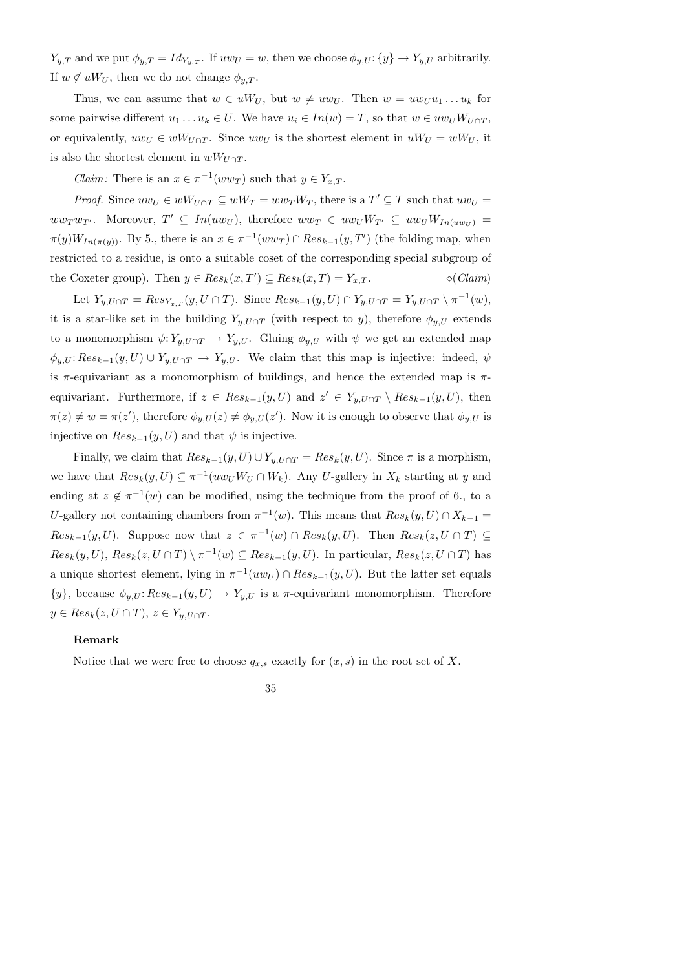$Y_{y,T}$  and we put  $\phi_{y,T} = Id_{Y_{y,T}}$ . If  $uw_U = w$ , then we choose  $\phi_{y,U}: \{y\} \to Y_{y,U}$  arbitrarily. If  $w \notin uW_U$ , then we do not change  $\phi_{u,T}$ .

Thus, we can assume that  $w \in uW_U$ , but  $w \neq uw_U$ . Then  $w = uw_Uu_1 \dots u_k$  for some pairwise different  $u_1 \dots u_k \in U$ . We have  $u_i \in In(w) = T$ , so that  $w \in uw_UW_{U \cap T}$ , or equivalently,  $uw_U \in wW_{U \cap T}$ . Since  $uw_U$  is the shortest element in  $uW_U = wW_U$ , it is also the shortest element in  $wW_{U\cap T}$ .

*Claim:* There is an  $x \in \pi^{-1}(ww_T)$  such that  $y \in Y_{x,T}$ .

*Proof.* Since  $uw_U \in wW_{U \cap T} \subseteq wW_T = ww_TW_T$ , there is a  $T' \subseteq T$  such that  $uw_U =$  $ww_Tw_{T'}$ . Moreover,  $T' \subseteq In(uw_U)$ , therefore  $ww_T \in uw_UW_{T'} \subseteq uw_UW_{In(uw_U)} =$  $\pi(y)W_{In(\pi(y))}$ . By 5., there is an  $x \in \pi^{-1}(ww_T) \cap Res_{k-1}(y, T')$  (the folding map, when restricted to a residue, is onto a suitable coset of the corresponding special subgroup of the Coxeter group). Then  $y \in Res_k(x, T') \subseteq Res_k(x, T) = Y_{x,T}$ .  $\diamond (Claim)$ 

Let  $Y_{y,U\cap T} = Res_{Y_{x,T}}(y, U \cap T)$ . Since  $Res_{k-1}(y, U) \cap Y_{y,U\cap T} = Y_{y,U\cap T} \setminus \pi^{-1}(w)$ , it is a star-like set in the building  $Y_{y,U\cap T}$  (with respect to y), therefore  $\phi_{y,U}$  extends to a monomorphism  $\psi: Y_{y,U\cap T} \to Y_{y,U}$ . Gluing  $\phi_{y,U}$  with  $\psi$  we get an extended map  $\phi_{y,U}$ :  $Res_{k-1}(y, U) \cup Y_{y,U \cap T} \to Y_{y,U}$ . We claim that this map is injective: indeed,  $\psi$ is  $\pi$ -equivariant as a monomorphism of buildings, and hence the extended map is  $\pi$ equivariant. Furthermore, if  $z \in Res_{k-1}(y, U)$  and  $z' \in Y_{y, U \cap T} \setminus Res_{k-1}(y, U)$ , then  $\pi(z) \neq w = \pi(z')$ , therefore  $\phi_{y,U}(z) \neq \phi_{y,U}(z')$ . Now it is enough to observe that  $\phi_{y,U}$  is injective on  $Res_{k-1}(y, U)$  and that  $\psi$  is injective.

Finally, we claim that  $Res_{k-1}(y, U) \cup Y_{y, U \cap T} = Res_k(y, U)$ . Since  $\pi$  is a morphism, we have that  $Res_k(y, U) \subseteq \pi^{-1}(uw_U W_U \cap W_k)$ . Any U-gallery in  $X_k$  starting at y and ending at  $z \notin \pi^{-1}(w)$  can be modified, using the technique from the proof of 6., to a U-gallery not containing chambers from  $\pi^{-1}(w)$ . This means that  $Res_k(y, U) \cap X_{k-1} =$  $Res_{k-1}(y,U)$ . Suppose now that  $z \in \pi^{-1}(w) \cap Res_k(y,U)$ . Then  $Res_k(z, U \cap T) \subseteq$  $Res_k(y, U)$ ,  $Res_k(z, U \cap T) \setminus \pi^{-1}(w) \subseteq Res_{k-1}(y, U)$ . In particular,  $Res_k(z, U \cap T)$  has a unique shortest element, lying in  $\pi^{-1}(uw_U) \cap Res_{k-1}(y, U)$ . But the latter set equals  $\{y\}$ , because  $\phi_{y,U}$ :  $Res_{k-1}(y, U) \rightarrow Y_{y,U}$  is a  $\pi$ -equivariant monomorphism. Therefore  $y \in Res_k(z, U \cap T), z \in Y_{y, U \cap T}.$ 

#### Remark

Notice that we were free to choose  $q_{x,s}$  exactly for  $(x, s)$  in the root set of X.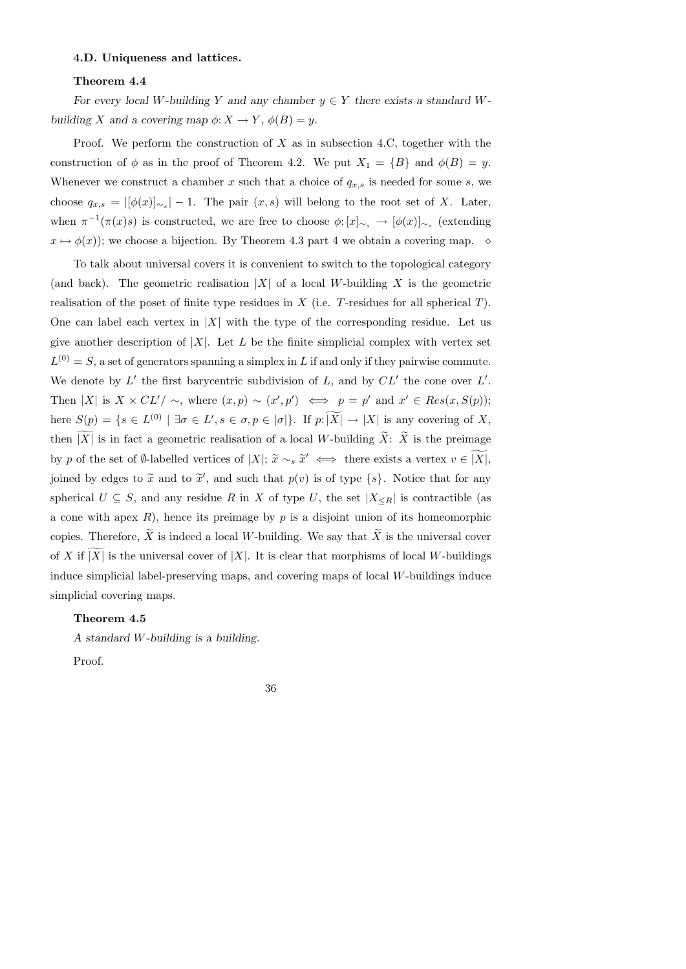## 4.D. Uniqueness and lattices.

# Theorem 4.4

For every local W-building Y and any chamber  $y \in Y$  there exists a standard Wbuilding X and a covering map  $\phi: X \to Y$ ,  $\phi(B) = y$ .

Proof. We perform the construction of  $X$  as in subsection 4.C, together with the construction of  $\phi$  as in the proof of Theorem 4.2. We put  $X_1 = \{B\}$  and  $\phi(B) = y$ . Whenever we construct a chamber x such that a choice of  $q_{x,s}$  is needed for some s, we choose  $q_{x,s} = |[\phi(x)]_{\sim_s}|-1$ . The pair  $(x,s)$  will belong to the root set of X. Later, when  $\pi^{-1}(\pi(x)s)$  is constructed, we are free to choose  $\phi: [x]_{\sim_s} \to [\phi(x)]_{\sim_s}$  (extending  $x \mapsto \phi(x)$ ; we choose a bijection. By Theorem 4.3 part 4 we obtain a covering map.  $\diamond$ 

To talk about universal covers it is convenient to switch to the topological category (and back). The geometric realisation |X| of a local W-building X is the geometric realisation of the poset of finite type residues in  $X$  (i.e. T-residues for all spherical  $T$ ). One can label each vertex in |X| with the type of the corresponding residue. Let us give another description of  $|X|$ . Let L be the finite simplicial complex with vertex set  $L^{(0)} = S$ , a set of generators spanning a simplex in L if and only if they pairwise commute. We denote by  $L'$  the first barycentric subdivision of  $L$ , and by  $CL'$  the cone over  $L'$ . Then |X| is  $X \times CL'/ \sim$ , where  $(x, p) \sim (x', p') \iff p = p'$  and  $x' \in Res(x, S(p));$ here  $S(p) = \{s \in L^{(0)} \mid \exists \sigma \in L', s \in \sigma, p \in |\sigma|\}.$  If  $p: |X| \to |X|$  is any covering of X, then  $|X|$  is in fact a geometric realisation of a local W-building  $\widetilde{X}$ :  $\widetilde{X}$  is the preimage by p of the set of ∅-labelled vertices of  $|X|$ ;  $\widetilde{x} \sim_s \widetilde{x}' \iff$  there exists a vertex  $v \in |X|$ , joined by edges to  $\tilde{x}$  and to  $\tilde{x}'$ , and such that  $p(v)$  is of type  $\{s\}$ . Notice that for any spherical  $U \subseteq S$ , and any residue R in X of type U, the set  $|X_{\leq R}|$  is contractible (as a cone with apex  $R$ ), hence its preimage by  $p$  is a disjoint union of its homeomorphic copies. Therefore,  $\hat{X}$  is indeed a local W-building. We say that  $\hat{X}$  is the universal cover of X if |X| is the universal cover of |X|. It is clear that morphisms of local W-buildings induce simplicial label-preserving maps, and covering maps of local W-buildings induce simplicial covering maps.

# Theorem 4.5

A standard W-building is a building.

Proof.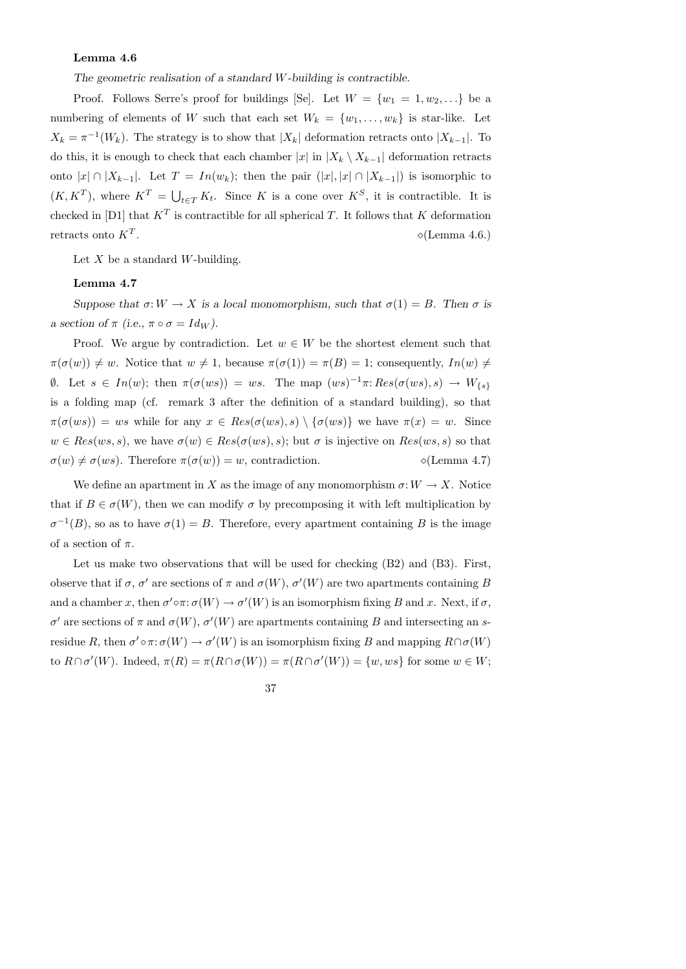# Lemma 4.6

The geometric realisation of a standard W-building is contractible.

Proof. Follows Serre's proof for buildings [Se]. Let  $W = \{w_1 = 1, w_2, ...\}$  be a numbering of elements of W such that each set  $W_k = \{w_1, \ldots, w_k\}$  is star-like. Let  $X_k = \pi^{-1}(W_k)$ . The strategy is to show that  $|X_k|$  deformation retracts onto  $|X_{k-1}|$ . To do this, it is enough to check that each chamber |x| in  $|X_k \setminus X_{k-1}|$  deformation retracts onto  $|x| \cap |X_{k-1}|$ . Let  $T = In(w_k)$ ; then the pair  $(|x|, |x| \cap |X_{k-1}|)$  is isomorphic to  $(K, K^T)$ , where  $K^T = \bigcup_{t \in T} K_t$ . Since K is a cone over  $K^S$ , it is contractible. It is checked in [D1] that  $K^T$  is contractible for all spherical T. It follows that K deformation retracts onto  $K^T$ .  $\diamond$ (Lemma 4.6.)

Let  $X$  be a standard W-building.

## Lemma 4.7

Suppose that  $\sigma: W \to X$  is a local monomorphism, such that  $\sigma(1) = B$ . Then  $\sigma$  is a section of  $\pi$  (i.e.,  $\pi \circ \sigma = Id_W$ ).

Proof. We argue by contradiction. Let  $w \in W$  be the shortest element such that  $\pi(\sigma(w)) \neq w$ . Notice that  $w \neq 1$ , because  $\pi(\sigma(1)) = \pi(B) = 1$ ; consequently,  $In(w) \neq \emptyset$ 0. Let  $s \in In(w)$ ; then  $\pi(\sigma(ws)) = ws$ . The map  $(ws)^{-1}\pi:Res(\sigma(ws),s) \to W_{\{s\}}$ is a folding map (cf. remark 3 after the definition of a standard building), so that  $\pi(\sigma(ws)) = ws$  while for any  $x \in Res(\sigma(ws), s) \setminus {\sigma(ws)}$  we have  $\pi(x) = w$ . Since  $w \in Res(ws,s)$ , we have  $\sigma(w) \in Res(\sigma(ws),s)$ ; but  $\sigma$  is injective on  $Res(ws,s)$  so that  $\sigma(w) \neq \sigma(ws)$ . Therefore  $\pi(\sigma(w)) = w$ , contradiction.  $\Diamond$  (Lemma 4.7)

We define an apartment in X as the image of any monomorphism  $\sigma: W \to X$ . Notice that if  $B \in \sigma(W)$ , then we can modify  $\sigma$  by precomposing it with left multiplication by  $\sigma^{-1}(B)$ , so as to have  $\sigma(1) = B$ . Therefore, every apartment containing B is the image of a section of  $\pi$ .

Let us make two observations that will be used for checking  $(B2)$  and  $(B3)$ . First, observe that if  $\sigma$ ,  $\sigma'$  are sections of  $\pi$  and  $\sigma(W)$ ,  $\sigma'(W)$  are two apartments containing B and a chamber x, then  $\sigma' \circ \pi : \sigma(W) \to \sigma'(W)$  is an isomorphism fixing B and x. Next, if  $\sigma$ , σ' are sections of π and  $\sigma(W)$ ,  $\sigma'(W)$  are apartments containing B and intersecting an sresidue R, then  $\sigma' \circ \pi : \sigma(W) \to \sigma'(W)$  is an isomorphism fixing B and mapping  $R \cap \sigma(W)$ to  $R \cap \sigma'(W)$ . Indeed,  $\pi(R) = \pi(R \cap \sigma(W)) = \pi(R \cap \sigma'(W)) = \{w, ws\}$  for some  $w \in W$ ;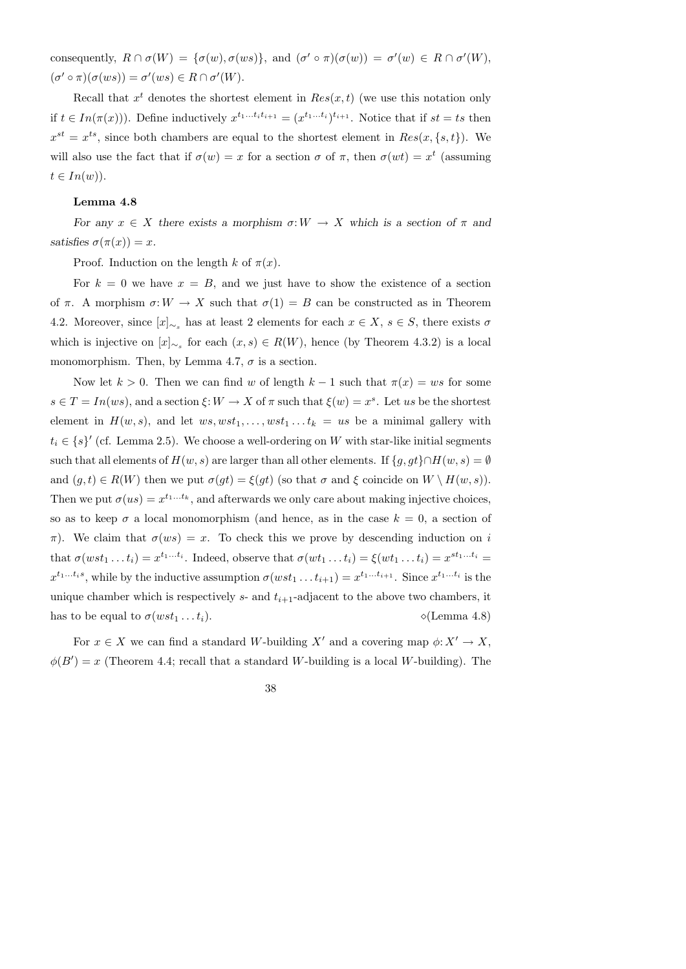consequently,  $R \cap \sigma(W) = {\sigma(w), \sigma(ws)}$ , and  $(\sigma' \circ \pi)(\sigma(w)) = \sigma'(w) \in R \cap \sigma'(W)$ ,  $(\sigma' \circ \pi)(\sigma(ws)) = \sigma'(ws) \in R \cap \sigma'(W).$ 

Recall that  $x^t$  denotes the shortest element in  $Res(x,t)$  (we use this notation only if  $t \in In(\pi(x))$ ). Define inductively  $x^{t_1...t_i}$ ,  $t_{i+1} = (x^{t_1...t_i})^{t_{i+1}}$ . Notice that if  $st = ts$  then  $x^{st} = x^{ts}$ , since both chambers are equal to the shortest element in  $Res(x, \{s, t\})$ . We will also use the fact that if  $\sigma(w) = x$  for a section  $\sigma$  of  $\pi$ , then  $\sigma(wt) = x^t$  (assuming  $t \in In(w)$ ).

#### Lemma 4.8

For any  $x \in X$  there exists a morphism  $\sigma: W \to X$  which is a section of  $\pi$  and satisfies  $\sigma(\pi(x)) = x$ .

Proof. Induction on the length k of  $\pi(x)$ .

For  $k = 0$  we have  $x = B$ , and we just have to show the existence of a section of  $\pi$ . A morphism  $\sigma: W \to X$  such that  $\sigma(1) = B$  can be constructed as in Theorem 4.2. Moreover, since  $[x]_{\sim_s}$  has at least 2 elements for each  $x \in X$ ,  $s \in S$ , there exists  $\sigma$ which is injective on  $[x]_{\sim_s}$  for each  $(x, s) \in R(W)$ , hence (by Theorem 4.3.2) is a local monomorphism. Then, by Lemma 4.7,  $\sigma$  is a section.

Now let  $k > 0$ . Then we can find w of length  $k - 1$  such that  $\pi(x) = ws$  for some  $s \in T = In(ws)$ , and a section  $\xi: W \to X$  of  $\pi$  such that  $\xi(w) = x^s$ . Let us be the shortest element in  $H(w, s)$ , and let  $ws, wst_1, \ldots, wst_1 \ldots t_k = us$  be a minimal gallery with  $t_i \in \{s\}'$  (cf. Lemma 2.5). We choose a well-ordering on W with star-like initial segments such that all elements of  $H(w, s)$  are larger than all other elements. If  $\{g, gt\} \cap H(w, s) = \emptyset$ and  $(g, t) \in R(W)$  then we put  $\sigma(gt) = \xi(gt)$  (so that  $\sigma$  and  $\xi$  coincide on  $W \setminus H(w, s)$ ). Then we put  $\sigma(us) = x^{t_1...t_k}$ , and afterwards we only care about making injective choices, so as to keep  $\sigma$  a local monomorphism (and hence, as in the case  $k = 0$ , a section of  $\pi$ ). We claim that  $\sigma(ws) = x$ . To check this we prove by descending induction on i that  $\sigma(wst_1 \dots t_i) = x^{t_1 \dots t_i}$ . Indeed, observe that  $\sigma(wt_1 \dots t_i) = \xi(wt_1 \dots t_i) = x^{st_1 \dots t_i} =$  $x^{t_1...t_is}$ , while by the inductive assumption  $\sigma(wst_1...t_{i+1}) = x^{t_1...t_{i+1}}$ . Since  $x^{t_1...t_i}$  is the unique chamber which is respectively  $s$ - and  $t_{i+1}$ -adjacent to the above two chambers, it has to be equal to  $\sigma(wst_1 \dots t_i)$ .  $\Diamond$  (Lemma 4.8)

For  $x \in X$  we can find a standard W-building X' and a covering map  $\phi: X' \to X$ ,  $\phi(B') = x$  (Theorem 4.4; recall that a standard W-building is a local W-building). The

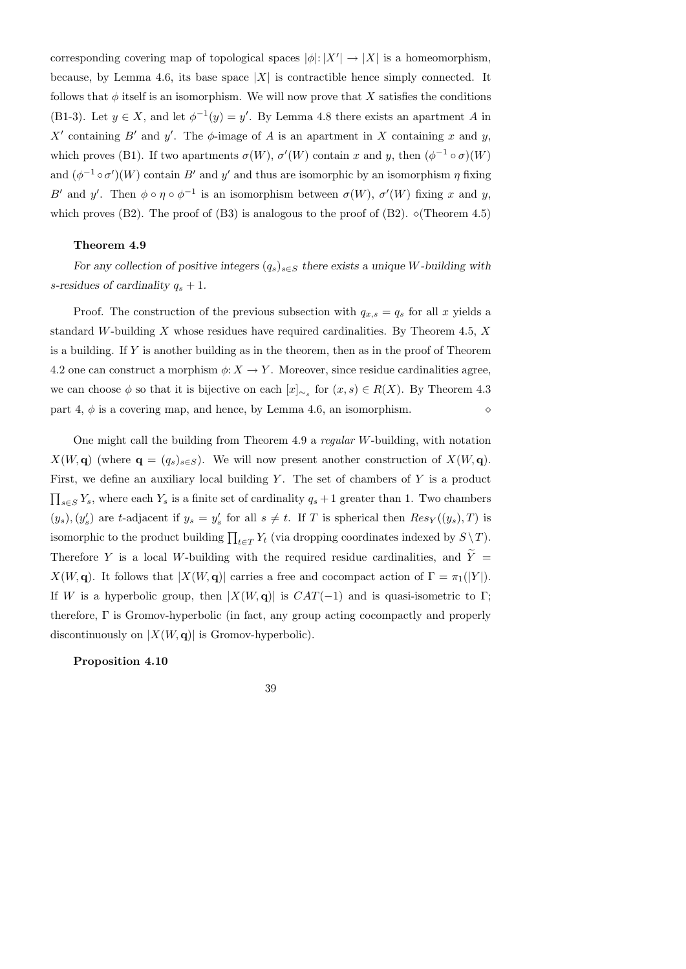corresponding covering map of topological spaces  $|\phi|: |X'| \to |X|$  is a homeomorphism, because, by Lemma 4.6, its base space  $|X|$  is contractible hence simply connected. It follows that  $\phi$  itself is an isomorphism. We will now prove that X satisfies the conditions (B1-3). Let  $y \in X$ , and let  $\phi^{-1}(y) = y'$ . By Lemma 4.8 there exists an apartment A in X' containing B' and y'. The  $\phi$ -image of A is an apartment in X containing x and y, which proves (B1). If two apartments  $\sigma(W)$ ,  $\sigma'(W)$  contain x and y, then  $(\phi^{-1} \circ \sigma)(W)$ and  $(\phi^{-1} \circ \sigma')(W)$  contain B' and y' and thus are isomorphic by an isomorphism  $\eta$  fixing B' and y'. Then  $\phi \circ \eta \circ \phi^{-1}$  is an isomorphism between  $\sigma(W)$ ,  $\sigma'(W)$  fixing x and y, which proves (B2). The proof of (B3) is analogous to the proof of (B2).  $\Diamond$  (Theorem 4.5)

# Theorem 4.9

For any collection of positive integers  $(q_s)_{s\in S}$  there exists a unique W-building with s-residues of cardinality  $q_s + 1$ .

Proof. The construction of the previous subsection with  $q_{x,s} = q_s$  for all x yields a standard W-building  $X$  whose residues have required cardinalities. By Theorem 4.5,  $X$ is a building. If  $Y$  is another building as in the theorem, then as in the proof of Theorem 4.2 one can construct a morphism  $\phi: X \to Y$ . Moreover, since residue cardinalities agree, we can choose  $\phi$  so that it is bijective on each  $[x]_{\sim_s}$  for  $(x, s) \in R(X)$ . By Theorem 4.3 part 4,  $\phi$  is a covering map, and hence, by Lemma 4.6, an isomorphism.

One might call the building from Theorem 4.9 a regular W-building, with notation  $X(W, \mathbf{q})$  (where  $\mathbf{q} = (q_s)_{s \in S}$ ). We will now present another construction of  $X(W, \mathbf{q})$ . First, we define an auxiliary local building  $Y$ . The set of chambers of  $Y$  is a product  $\prod_{s\in S} Y_s$ , where each  $Y_s$  is a finite set of cardinality  $q_s + 1$  greater than 1. Two chambers  $(y_s), (y'_s)$  are t-adjacent if  $y_s = y'_s$  for all  $s \neq t$ . If T is spherical then  $Res_Y((y_s), T)$  is isomorphic to the product building  $\prod_{t \in T} Y_t$  (via dropping coordinates indexed by  $S \setminus T$ ). Therefore Y is a local W-building with the required residue cardinalities, and  $\tilde{Y}$  =  $X(W, \mathbf{q})$ . It follows that  $|X(W, \mathbf{q})|$  carries a free and cocompact action of  $\Gamma = \pi_1(|Y|)$ . If W is a hyperbolic group, then  $|X(W, \mathbf{q})|$  is  $CAT(-1)$  and is quasi-isometric to Γ; therefore, Γ is Gromov-hyperbolic (in fact, any group acting cocompactly and properly discontinuously on  $|X(W, \mathbf{q})|$  is Gromov-hyperbolic).

Proposition 4.10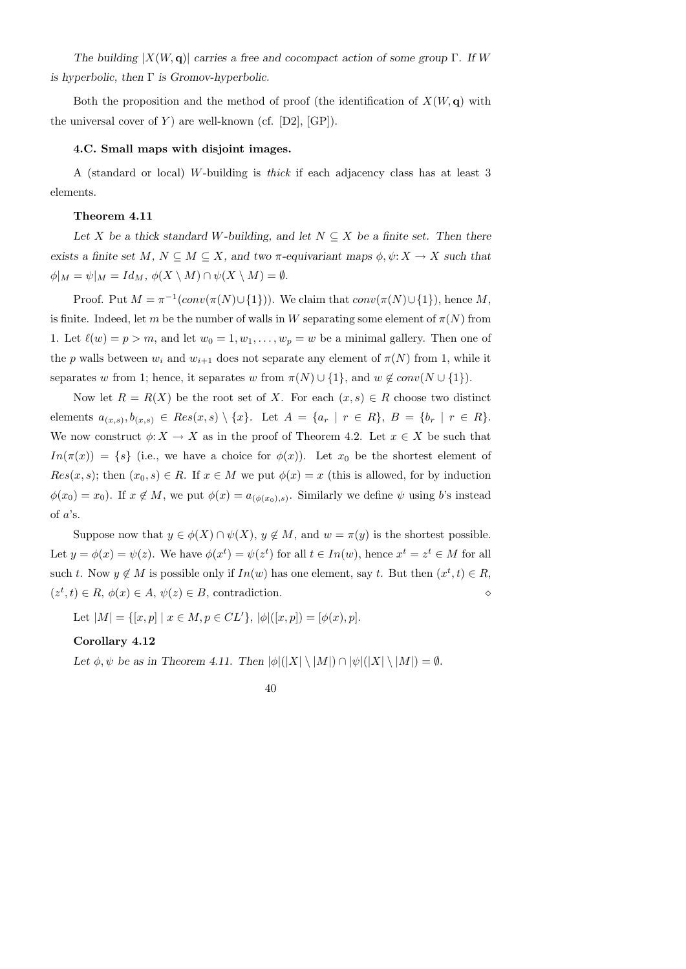The building  $|X(W, \mathbf{q})|$  carries a free and cocompact action of some group Γ. If W is hyperbolic, then  $\Gamma$  is Gromov-hyperbolic.

Both the proposition and the method of proof (the identification of  $X(W, \mathbf{q})$ ) with the universal cover of  $Y$ ) are well-known (cf.  $[D2]$ ,  $[GP]$ ).

# 4.C. Small maps with disjoint images.

A (standard or local) W-building is thick if each adjacency class has at least 3 elements.

### Theorem 4.11

Let X be a thick standard W-building, and let  $N \subseteq X$  be a finite set. Then there exists a finite set M,  $N \subseteq M \subseteq X$ , and two  $\pi$ -equivariant maps  $\phi, \psi: X \to X$  such that  $\phi|_M = \psi|_M = Id_M$ ,  $\phi(X \setminus M) \cap \psi(X \setminus M) = \emptyset$ .

Proof. Put  $M = \pi^{-1}(conv(\pi(N) \cup \{1\}))$ . We claim that  $conv(\pi(N) \cup \{1\})$ , hence M, is finite. Indeed, let m be the number of walls in W separating some element of  $\pi(N)$  from 1. Let  $\ell(w) = p > m$ , and let  $w_0 = 1, w_1, \ldots, w_p = w$  be a minimal gallery. Then one of the p walls between  $w_i$  and  $w_{i+1}$  does not separate any element of  $\pi(N)$  from 1, while it separates w from 1; hence, it separates w from  $\pi(N) \cup \{1\}$ , and  $w \notin conv(N \cup \{1\})$ .

Now let  $R = R(X)$  be the root set of X. For each  $(x, s) \in R$  choose two distinct elements  $a_{(x,s)}, b_{(x,s)} \in Res(x,s) \setminus \{x\}$ . Let  $A = \{a_r \mid r \in R\}$ ,  $B = \{b_r \mid r \in R\}$ . We now construct  $\phi: X \to X$  as in the proof of Theorem 4.2. Let  $x \in X$  be such that  $In(\pi(x)) = \{s\}$  (i.e., we have a choice for  $\phi(x)$ ). Let  $x_0$  be the shortest element of  $Res(x, s)$ ; then  $(x_0, s) \in R$ . If  $x \in M$  we put  $\phi(x) = x$  (this is allowed, for by induction  $\phi(x_0) = x_0$ ). If  $x \notin M$ , we put  $\phi(x) = a_{(\phi(x_0),s)}$ . Similarly we define  $\psi$  using b's instead of  $a$ 's.

Suppose now that  $y \in \phi(X) \cap \psi(X)$ ,  $y \notin M$ , and  $w = \pi(y)$  is the shortest possible. Let  $y = \phi(x) = \psi(z)$ . We have  $\phi(x^t) = \psi(z^t)$  for all  $t \in In(w)$ , hence  $x^t = z^t \in M$  for all such t. Now  $y \notin M$  is possible only if  $In(w)$  has one element, say t. But then  $(x^t, t) \in R$ ,  $(z^t, t) \in R$ ,  $\phi(x) \in A$ ,  $\psi(z) \in B$ , contradiction.

Let  $|M| = \{ [x, p] \mid x \in M, p \in CL' \}, |\phi|([x, p]) = [\phi(x), p].$ 

#### Corollary 4.12

Let  $\phi, \psi$  be as in Theorem 4.11. Then  $|\phi|(|X| \setminus |M|) \cap |\psi|(|X| \setminus |M|) = \emptyset$ .

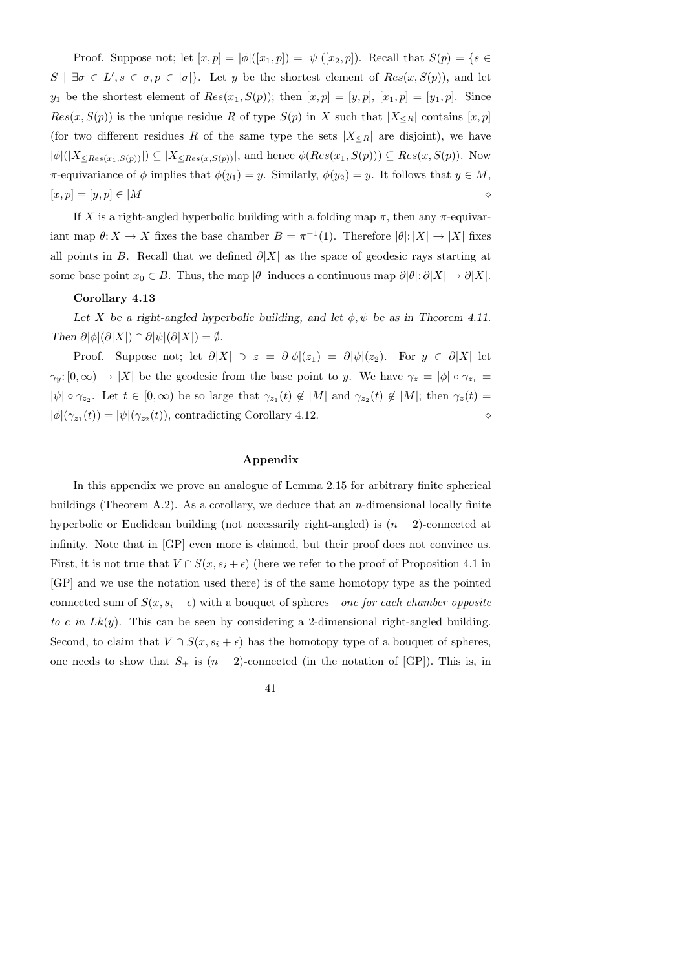Proof. Suppose not; let  $[x, p] = |\phi|([x_1, p]) = |\psi|([x_2, p])$ . Recall that  $S(p) = \{s \in$  $S \mid \exists \sigma \in L', s \in \sigma, p \in [\sigma]$ . Let y be the shortest element of  $Res(x, S(p))$ , and let  $y_1$  be the shortest element of  $Res(x_1, S(p))$ ; then  $[x, p] = [y, p]$ ,  $[x_1, p] = [y_1, p]$ . Since  $Res(x, S(p))$  is the unique residue R of type  $S(p)$  in X such that  $|X_{\leq R}|$  contains  $[x, p]$ (for two different residues R of the same type the sets  $|X_{\leq R}|$  are disjoint), we have  $|\phi|(|X_{\leq Res(x_1,S(p))}|) \subseteq |X_{\leq Res(x,S(p))}|$ , and hence  $\phi(Res(x_1,S(p))) \subseteq Res(x,S(p))$ . Now  $\pi$ -equivariance of  $\phi$  implies that  $\phi(y_1) = y$ . Similarly,  $\phi(y_2) = y$ . It follows that  $y \in M$ ,  $[x, p] = [y, p] \in |M|$ 

If X is a right-angled hyperbolic building with a folding map  $\pi$ , then any  $\pi$ -equivariant map  $\theta: X \to X$  fixes the base chamber  $B = \pi^{-1}(1)$ . Therefore  $|\theta|: |X| \to |X|$  fixes all points in B. Recall that we defined  $\partial |X|$  as the space of geodesic rays starting at some base point  $x_0 \in B$ . Thus, the map  $|\theta|$  induces a continuous map  $\partial |\theta|: \partial |X| \to \partial |X|$ .

# Corollary 4.13

Let X be a right-angled hyperbolic building, and let  $\phi, \psi$  be as in Theorem 4.11. Then  $\partial |\phi|(\partial |X|) \cap \partial |\psi|(\partial |X|) = \emptyset$ .

Proof. Suppose not; let  $\partial |X| \ni z = \partial |\phi|(z_1) = \partial |\psi|(z_2)$ . For  $y \in \partial |X|$  let  $\gamma_y:[0,\infty)\to |X|$  be the geodesic from the base point to y. We have  $\gamma_z=|\phi|\circ \gamma_{z_1}=$  $|\psi| \circ \gamma_{z_2}$ . Let  $t \in [0, \infty)$  be so large that  $\gamma_{z_1}(t) \notin |M|$  and  $\gamma_{z_2}(t) \notin |M|$ ; then  $\gamma_z(t) =$  $|\phi|(\gamma_{z_1}(t)) = |\psi|(\gamma_{z_2}(t))$ , contradicting Corollary 4.12.

# Appendix

In this appendix we prove an analogue of Lemma 2.15 for arbitrary finite spherical buildings (Theorem A.2). As a corollary, we deduce that an  $n$ -dimensional locally finite hyperbolic or Euclidean building (not necessarily right-angled) is  $(n-2)$ -connected at infinity. Note that in [GP] even more is claimed, but their proof does not convince us. First, it is not true that  $V \cap S(x, s_i + \epsilon)$  (here we refer to the proof of Proposition 4.1 in [GP] and we use the notation used there) is of the same homotopy type as the pointed connected sum of  $S(x, s_i - \epsilon)$  with a bouquet of spheres—one for each chamber opposite to c in  $Lk(y)$ . This can be seen by considering a 2-dimensional right-angled building. Second, to claim that  $V \cap S(x, s_i + \epsilon)$  has the homotopy type of a bouquet of spheres, one needs to show that  $S_+$  is  $(n-2)$ -connected (in the notation of [GP]). This is, in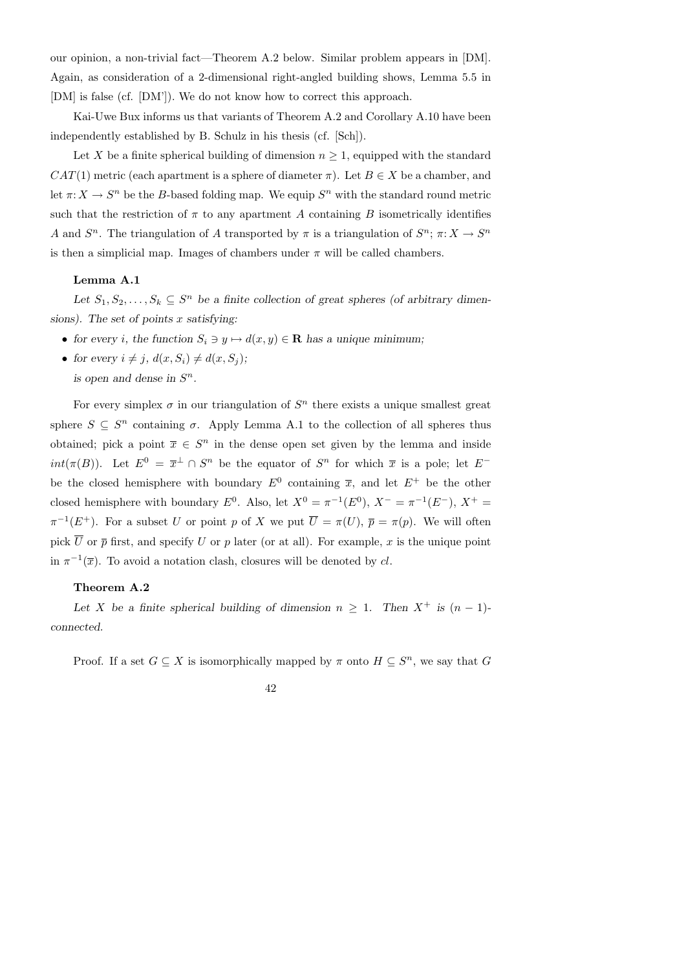our opinion, a non-trivial fact—Theorem A.2 below. Similar problem appears in [DM]. Again, as consideration of a 2-dimensional right-angled building shows, Lemma 5.5 in [DM] is false (cf. [DM']). We do not know how to correct this approach.

Kai-Uwe Bux informs us that variants of Theorem A.2 and Corollary A.10 have been independently established by B. Schulz in his thesis (cf. [Sch]).

Let X be a finite spherical building of dimension  $n \geq 1$ , equipped with the standard  $CAT(1)$  metric (each apartment is a sphere of diameter  $\pi$ ). Let  $B \in X$  be a chamber, and let  $\pi: X \to S^n$  be the B-based folding map. We equip  $S^n$  with the standard round metric such that the restriction of  $\pi$  to any apartment A containing B isometrically identifies A and  $S^n$ . The triangulation of A transported by  $\pi$  is a triangulation of  $S^n$ ;  $\pi: X \to S^n$ is then a simplicial map. Images of chambers under  $\pi$  will be called chambers.

# Lemma A.1

Let  $S_1, S_2, \ldots, S_k \subseteq S^n$  be a finite collection of great spheres (of arbitrary dimensions). The set of points  $x$  satisfying:

- for every i, the function  $S_i \ni y \mapsto d(x, y) \in \mathbf{R}$  has a unique minimum;
- for every  $i \neq j$ ,  $d(x, S_i) \neq d(x, S_j);$ is open and dense in  $S<sup>n</sup>$ .

For every simplex  $\sigma$  in our triangulation of  $S<sup>n</sup>$  there exists a unique smallest great sphere  $S \subseteq S^n$  containing  $\sigma$ . Apply Lemma A.1 to the collection of all spheres thus obtained; pick a point  $\bar{x} \in S^n$  in the dense open set given by the lemma and inside  $int(\pi(B))$ . Let  $E^0 = \overline{x}^{\perp} \cap S^n$  be the equator of  $S^n$  for which  $\overline{x}$  is a pole; let  $E^{-}$ be the closed hemisphere with boundary  $E^0$  containing  $\bar{x}$ , and let  $E^+$  be the other closed hemisphere with boundary  $E^0$ . Also, let  $X^0 = \pi^{-1}(E^0)$ ,  $X^- = \pi^{-1}(E^-)$ ,  $X^+ =$  $\pi^{-1}(E^+)$ . For a subset U or point p of X we put  $\overline{U} = \pi(U)$ ,  $\overline{p} = \pi(p)$ . We will often pick  $\overline{U}$  or  $\overline{p}$  first, and specify U or p later (or at all). For example, x is the unique point in  $\pi^{-1}(\overline{x})$ . To avoid a notation clash, closures will be denoted by cl.

### Theorem A.2

Let X be a finite spherical building of dimension  $n \geq 1$ . Then  $X^+$  is  $(n-1)$ connected.

Proof. If a set  $G \subseteq X$  is isomorphically mapped by  $\pi$  onto  $H \subseteq S^n$ , we say that G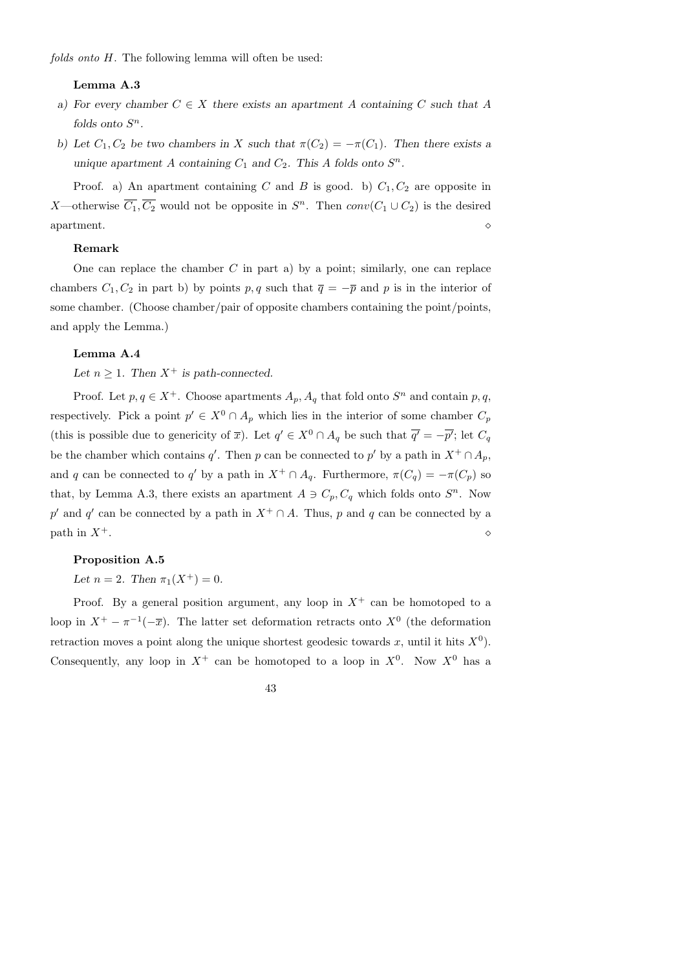## Lemma A.3

- a) For every chamber  $C \in X$  there exists an apartment A containing C such that A folds onto  $S^n$ .
- b) Let  $C_1, C_2$  be two chambers in X such that  $\pi(C_2) = -\pi(C_1)$ . Then there exists a unique apartment A containing  $C_1$  and  $C_2$ . This A folds onto  $S^n$ .

Proof. a) An apartment containing C and B is good. b)  $C_1, C_2$  are opposite in X—otherwise  $\overline{C_1}, \overline{C_2}$  would not be opposite in  $S^n$ . Then  $conv(C_1 \cup C_2)$  is the desired  $\alpha$  apartment.

## Remark

One can replace the chamber  $C$  in part a) by a point; similarly, one can replace chambers  $C_1, C_2$  in part b) by points p, q such that  $\overline{q} = -\overline{p}$  and p is in the interior of some chamber. (Choose chamber/pair of opposite chambers containing the point/points, and apply the Lemma.)

### Lemma A.4

Let  $n > 1$ . Then  $X^+$  is path-connected.

Proof. Let  $p, q \in X^+$ . Choose apartments  $A_p, A_q$  that fold onto  $S^n$  and contain  $p, q$ , respectively. Pick a point  $p' \in X^0 \cap A_p$  which lies in the interior of some chamber  $C_p$ (this is possible due to genericity of  $\overline{x}$ ). Let  $q' \in X^0 \cap A_q$  be such that  $\overline{q'} = -\overline{p'}$ ; let  $C_q$ be the chamber which contains q'. Then p can be connected to p' by a path in  $X^+ \cap A_p$ , and q can be connected to q' by a path in  $X^+ \cap A_q$ . Furthermore,  $\pi(C_q) = -\pi(C_p)$  so that, by Lemma A.3, there exists an apartment  $A \ni C_p, C_q$  which folds onto  $S<sup>n</sup>$ . Now p' and q' can be connected by a path in  $X^+ \cap A$ . Thus, p and q can be connected by a path in  $X^+$ .

## Proposition A.5

Let  $n = 2$ . Then  $\pi_1(X^+) = 0$ .

Proof. By a general position argument, any loop in  $X^+$  can be homotoped to a loop in  $X^+ - \pi^{-1}(-\overline{x})$ . The latter set deformation retracts onto  $X^0$  (the deformation retraction moves a point along the unique shortest geodesic towards x, until it hits  $X^0$ ). Consequently, any loop in  $X^+$  can be homotoped to a loop in  $X^0$ . Now  $X^0$  has a

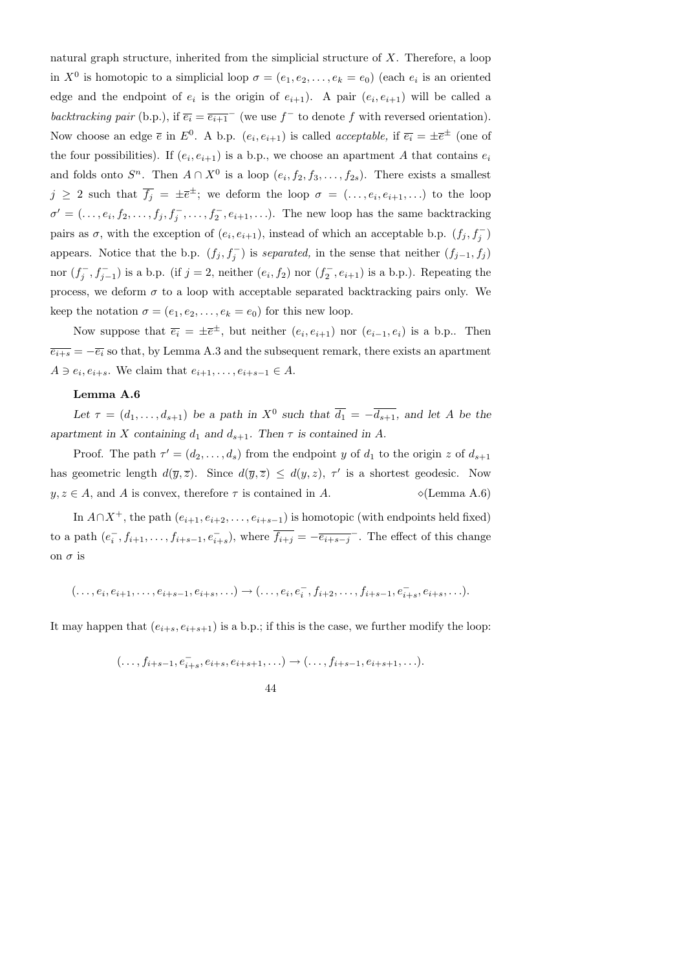natural graph structure, inherited from the simplicial structure of X. Therefore, a loop in  $X^0$  is homotopic to a simplicial loop  $\sigma = (e_1, e_2, \ldots, e_k = e_0)$  (each  $e_i$  is an oriented edge and the endpoint of  $e_i$  is the origin of  $e_{i+1}$ ). A pair  $(e_i, e_{i+1})$  will be called a backtracking pair (b.p.), if  $\overline{e_i} = \overline{e_{i+1}}^-$  (we use  $f^-$  to denote f with reversed orientation). Now choose an edge  $\bar{e}$  in  $E^0$ . A b.p.  $(e_i, e_{i+1})$  is called *acceptable*, if  $\bar{e}_i = \pm \bar{e}^{\pm}$  (one of the four possibilities). If  $(e_i, e_{i+1})$  is a b.p., we choose an apartment A that contains  $e_i$ and folds onto  $S^n$ . Then  $A \cap X^0$  is a loop  $(e_i, f_2, f_3, \ldots, f_{2s})$ . There exists a smallest  $j \geq 2$  such that  $\overline{f_j} = \pm \overline{e}^{\pm}$ ; we deform the loop  $\sigma = (...,e_i,e_{i+1},...)$  to the loop  $\sigma' = (\ldots, e_i, f_2, \ldots, f_j, f_j^-, \ldots, f_2^-, e_{i+1}, \ldots).$  The new loop has the same backtracking pairs as  $\sigma$ , with the exception of  $(e_i, e_{i+1})$ , instead of which an acceptable b.p.  $(f_j, f_j)$ appears. Notice that the b.p.  $(f_j, f_j^-)$  is separated, in the sense that neither  $(f_{j-1}, f_j)$ nor  $(f_i^-)$  $j^-, f_{j-1}^-$ ) is a b.p. (if  $j = 2$ , neither  $(e_i, f_2)$  nor  $(f_2^-)$  $\binom{1}{2}, e_{i+1}$  is a b.p.). Repeating the process, we deform  $\sigma$  to a loop with acceptable separated backtracking pairs only. We keep the notation  $\sigma = (e_1, e_2, \dots, e_k = e_0)$  for this new loop.

Now suppose that  $\overline{e_i} = \pm \overline{e}^{\pm}$ , but neither  $(e_i, e_{i+1})$  nor  $(e_{i-1}, e_i)$  is a b.p.. Then  $\overline{e_{i+s}} = -\overline{e_i}$  so that, by Lemma A.3 and the subsequent remark, there exists an apartment  $A \ni e_i, e_{i+s}$ . We claim that  $e_{i+1}, \ldots, e_{i+s-1} \in A$ .

### Lemma A.6

Let  $\tau = (d_1, \ldots, d_{s+1})$  be a path in  $X^0$  such that  $\overline{d_1} = -\overline{d_{s+1}}$ , and let A be the apartment in X containing  $d_1$  and  $d_{s+1}$ . Then  $\tau$  is contained in A.

Proof. The path  $\tau' = (d_2, \ldots, d_s)$  from the endpoint y of  $d_1$  to the origin z of  $d_{s+1}$ has geometric length  $d(\overline{y}, \overline{z})$ . Since  $d(\overline{y}, \overline{z}) \leq d(y, z)$ ,  $\tau'$  is a shortest geodesic. Now  $y, z \in A$ , and A is convex, therefore  $\tau$  is contained in A.  $\Diamond$  (Lemma A.6)

In  $A \cap X^+$ , the path  $(e_{i+1}, e_{i+2}, \ldots, e_{i+s-1})$  is homotopic (with endpoints held fixed) to a path  $(e_i^-)$  $\overline{f}_{i}, f_{i+1}, \ldots, f_{i+s-1}, e_{i+s}^{-}$ , where  $\overline{f_{i+j}} = -\overline{e_{i+s-j}}^{-}$ . The effect of this change on  $\sigma$  is

 $(..., e_i, e_{i+1}, \ldots, e_{i+s-1}, e_{i+s}, \ldots) \rightarrow (..., e_i, e_i^-, f_{i+2}, \ldots, f_{i+s-1}, e_{i+s}^-, e_{i+s}, \ldots).$ 

It may happen that  $(e_{i+s}, e_{i+s+1})$  is a b.p.; if this is the case, we further modify the loop:

$$
(\ldots, f_{i+s-1}, e_{i+s}^-, e_{i+s}, e_{i+s+1}, \ldots) \to (\ldots, f_{i+s-1}, e_{i+s+1}, \ldots).
$$

44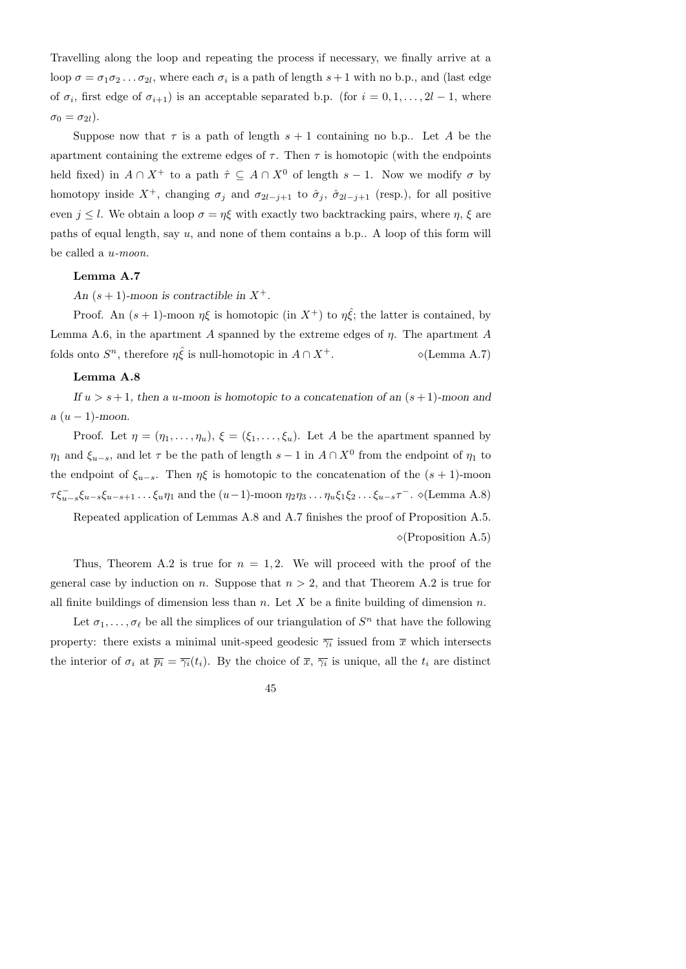Travelling along the loop and repeating the process if necessary, we finally arrive at a loop  $\sigma = \sigma_1 \sigma_2 \dots \sigma_{2l}$ , where each  $\sigma_i$  is a path of length  $s+1$  with no b.p., and (last edge of  $\sigma_i$ , first edge of  $\sigma_{i+1}$ ) is an acceptable separated b.p. (for  $i = 0, 1, ..., 2l - 1$ , where  $\sigma_0 = \sigma_{2l}$ ).

Suppose now that  $\tau$  is a path of length  $s + 1$  containing no b.p.. Let A be the apartment containing the extreme edges of  $\tau$ . Then  $\tau$  is homotopic (with the endpoints held fixed) in  $A \cap X^+$  to a path  $\hat{\tau} \subseteq A \cap X^0$  of length  $s-1$ . Now we modify  $\sigma$  by homotopy inside  $X^+$ , changing  $\sigma_j$  and  $\sigma_{2l-j+1}$  to  $\hat{\sigma}_j$ ,  $\hat{\sigma}_{2l-j+1}$  (resp.), for all positive even  $j \leq l$ . We obtain a loop  $\sigma = \eta \xi$  with exactly two backtracking pairs, where  $\eta$ ,  $\xi$  are paths of equal length, say  $u$ , and none of them contains a b.p.. A loop of this form will be called a u-moon.

# Lemma A.7

An  $(s + 1)$ -moon is contractible in  $X^+$ .

Proof. An  $(s+1)$ -moon  $\eta\xi$  is homotopic (in  $X^+$ ) to  $\eta \hat{\xi}$ ; the latter is contained, by Lemma A.6, in the apartment A spanned by the extreme edges of  $\eta$ . The apartment A folds onto  $S^n$ , therefore  $\eta \hat{\xi}$  is null-homotopic in  $A \cap X^+$ .  $\Diamond$  (Lemma A.7)

## Lemma A.8

If  $u > s + 1$ , then a u-moon is homotopic to a concatenation of an  $(s + 1)$ -moon and  $a (u - 1)$ -moon.

Proof. Let  $\eta = (\eta_1, \ldots, \eta_u), \xi = (\xi_1, \ldots, \xi_u)$ . Let A be the apartment spanned by  $\eta_1$  and  $\xi_{u-s}$ , and let  $\tau$  be the path of length  $s-1$  in  $A \cap X^0$  from the endpoint of  $\eta_1$  to the endpoint of  $\xi_{u-s}$ . Then  $\eta\xi$  is homotopic to the concatenation of the  $(s + 1)$ -moon  $\tau \xi_{u-s}^-\xi_{u-s}\xi_{u-s+1}\dots\xi_u\eta_1$  and the  $(u-1)$ -moon  $\eta_2\eta_3\dots\eta_u\xi_1\xi_2\dots\xi_{u-s}\tau^-\$ .  $\diamond$  (Lemma A.8)

Repeated application of Lemmas A.8 and A.7 finishes the proof of Proposition A.5.  $\diamond$ (Proposition A.5)

Thus, Theorem A.2 is true for  $n = 1, 2$ . We will proceed with the proof of the general case by induction on n. Suppose that  $n > 2$ , and that Theorem A.2 is true for all finite buildings of dimension less than  $n$ . Let X be a finite building of dimension  $n$ .

Let  $\sigma_1, \ldots, \sigma_\ell$  be all the simplices of our triangulation of  $S^n$  that have the following property: there exists a minimal unit-speed geodesic  $\overline{\gamma_i}$  issued from  $\overline{x}$  which intersects the interior of  $\sigma_i$  at  $\overline{p_i} = \overline{\gamma_i}(t_i)$ . By the choice of  $\overline{x}, \overline{\gamma_i}$  is unique, all the  $t_i$  are distinct

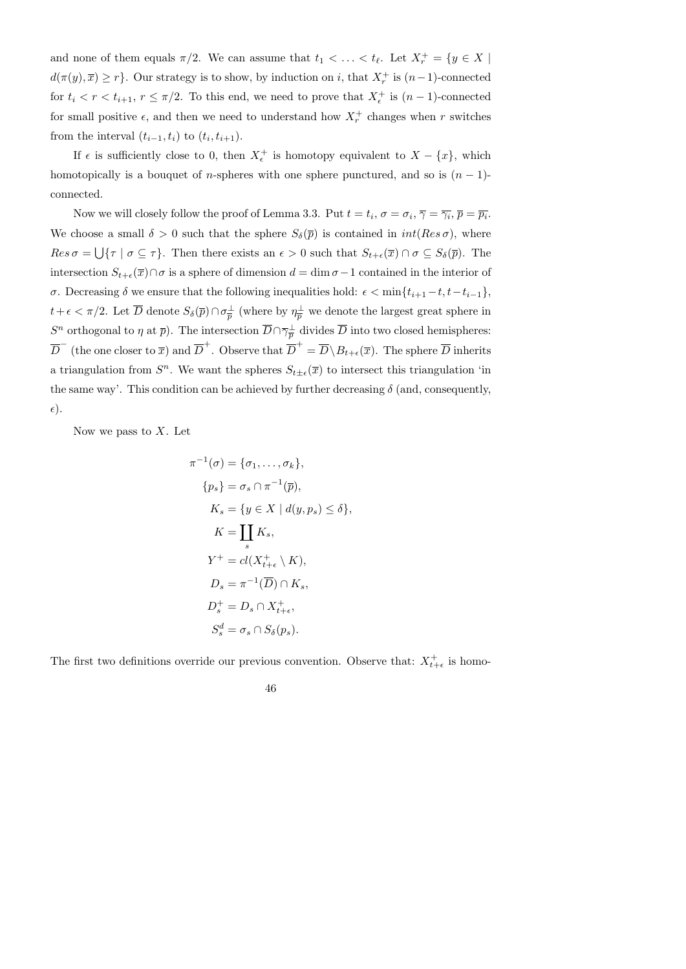and none of them equals  $\pi/2$ . We can assume that  $t_1 < \ldots < t_\ell$ . Let  $X_r^+ = \{y \in X \mid$  $d(\pi(y), \overline{x}) \geq r$ . Our strategy is to show, by induction on i, that  $X_r^+$  is  $(n-1)$ -connected for  $t_i < r < t_{i+1}$ ,  $r \leq \pi/2$ . To this end, we need to prove that  $X_{\epsilon}^+$  is  $(n-1)$ -connected for small positive  $\epsilon$ , and then we need to understand how  $X_r^+$  changes when r switches from the interval  $(t_{i-1}, t_i)$  to  $(t_i, t_{i+1})$ .

If  $\epsilon$  is sufficiently close to 0, then  $X_{\epsilon}^+$  is homotopy equivalent to  $X - \{x\}$ , which homotopically is a bouquet of *n*-spheres with one sphere punctured, and so is  $(n - 1)$ connected.

Now we will closely follow the proof of Lemma 3.3. Put  $t = t_i$ ,  $\sigma = \sigma_i$ ,  $\overline{\gamma} = \overline{\gamma_i}$ ,  $\overline{p} = \overline{p_i}$ . We choose a small  $\delta > 0$  such that the sphere  $S_{\delta}(\bar{p})$  is contained in  $int(Res \sigma)$ , where  $Res \sigma = \bigcup \{\tau \mid \sigma \subseteq \tau\}.$  Then there exists an  $\epsilon > 0$  such that  $S_{t+\epsilon}(\overline{x}) \cap \sigma \subseteq S_{\delta}(\overline{p}).$  The intersection  $S_{t+\epsilon}(\overline{x})\cap \sigma$  is a sphere of dimension  $d = \dim \sigma - 1$  contained in the interior of σ. Decreasing δ we ensure that the following inequalities hold:  $\epsilon$  < min{ $t_{i+1} - t, t - t_{i-1}$ },  $t + \epsilon < \pi/2$ . Let  $\overline{D}$  denote  $S_{\delta}(\overline{p}) \cap \sigma_{\overline{p}}^{\perp}$  $\frac{1}{p}$  (where by  $\eta_{\overline{p}}^{\perp}$  we denote the largest great sphere in  $S^n$  orthogonal to  $\eta$  at  $\bar{p}$ ). The intersection  $\overline{D} \cap \overline{\gamma}_{\overline{n}}^{\perp}$  $\frac{1}{p}$  divides D into two closed hemispheres:  $\overline{D}^-$  (the one closer to  $\overline{x}$ ) and  $\overline{D}^+$ . Observe that  $\overline{D}^+ = \overline{D} \setminus B_{t+\epsilon}(\overline{x})$ . The sphere  $\overline{D}$  inherits a triangulation from  $S<sup>n</sup>$ . We want the spheres  $S_{t\pm\epsilon}(\overline{x})$  to intersect this triangulation 'in the same way'. This condition can be achieved by further decreasing  $\delta$  (and, consequently,  $\epsilon$ ).

Now we pass to  $X$ . Let

$$
\pi^{-1}(\sigma) = \{\sigma_1, \dots, \sigma_k\},
$$
  
\n
$$
\{p_s\} = \sigma_s \cap \pi^{-1}(\overline{p}),
$$
  
\n
$$
K_s = \{y \in X \mid d(y, p_s) \le \delta\},
$$
  
\n
$$
K = \coprod_s K_s,
$$
  
\n
$$
Y^+ = cl(X^+_{t+\epsilon} \setminus K),
$$
  
\n
$$
D_s = \pi^{-1}(\overline{D}) \cap K_s,
$$
  
\n
$$
D_s^+ = D_s \cap X^+_{t+\epsilon},
$$
  
\n
$$
S_s^d = \sigma_s \cap S_\delta(p_s).
$$

The first two definitions override our previous convention. Observe that:  $X_{t+1}^+$  $t^+_{t+\epsilon}$  is homo-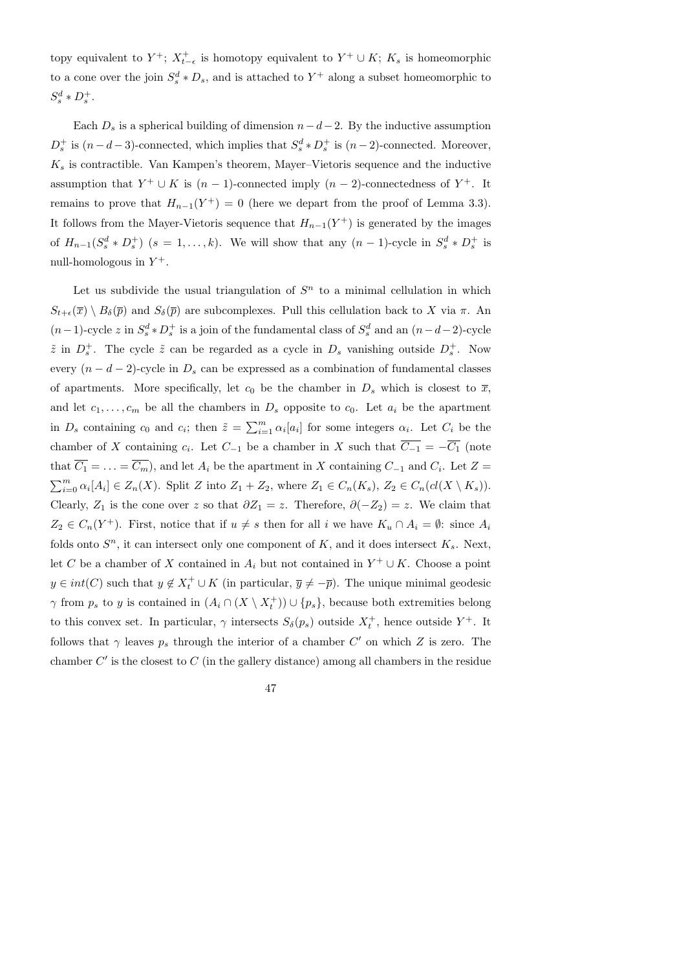topy equivalent to  $Y^+$ ;  $X^+_{t-\epsilon}$  is homotopy equivalent to  $Y^+ \cup K$ ;  $K_s$  is homeomorphic to a cone over the join  $S_s^d * D_s$ , and is attached to  $Y^+$  along a subset homeomorphic to  $S_s^d * D_s^+$ .

Each  $D_s$  is a spherical building of dimension  $n-d-2$ . By the inductive assumption  $D_s^+$  is  $(n-d-3)$ -connected, which implies that  $S_s^d * D_s^+$  is  $(n-2)$ -connected. Moreover,  $K_s$  is contractible. Van Kampen's theorem, Mayer–Vietoris sequence and the inductive assumption that  $Y^+ \cup K$  is  $(n-1)$ -connected imply  $(n-2)$ -connectedness of  $Y^+$ . It remains to prove that  $H_{n-1}(Y^+) = 0$  (here we depart from the proof of Lemma 3.3). It follows from the Mayer-Vietoris sequence that  $H_{n-1}(Y^+)$  is generated by the images of  $H_{n-1}(S_s^d * D_s^+)$   $(s = 1, ..., k)$ . We will show that any  $(n - 1)$ -cycle in  $S_s^d * D_s^+$  is null-homologous in  $Y^+$ .

Let us subdivide the usual triangulation of  $S<sup>n</sup>$  to a minimal cellulation in which  $S_{t+\epsilon}(\overline{x}) \setminus B_{\delta}(\overline{p})$  and  $S_{\delta}(\overline{p})$  are subcomplexes. Pull this cellulation back to X via  $\pi$ . An  $(n-1)$ -cycle z in  $S_s^d * D_s^+$  is a join of the fundamental class of  $S_s^d$  and an  $(n-d-2)$ -cycle  $\tilde{z}$  in  $D_s^+$ . The cycle  $\tilde{z}$  can be regarded as a cycle in  $D_s$  vanishing outside  $D_s^+$ . Now every  $(n - d - 2)$ -cycle in  $D_s$  can be expressed as a combination of fundamental classes of apartments. More specifically, let  $c_0$  be the chamber in  $D_s$  which is closest to  $\overline{x}$ , and let  $c_1, \ldots, c_m$  be all the chambers in  $D_s$  opposite to  $c_0$ . Let  $a_i$  be the apartment in  $D_s$  containing  $c_0$  and  $c_i$ ; then  $\tilde{z} = \sum_{i=1}^m \alpha_i [a_i]$  for some integers  $\alpha_i$ . Let  $C_i$  be the chamber of X containing  $c_i$ . Let  $C_{-1}$  be a chamber in X such that  $C_{-1} = -C_1$  (note that  $C_1 = \ldots = C_m$ , and let  $A_i$  be the apartment in X containing  $C_{-1}$  and  $C_i$ . Let  $Z =$  $\sum_{i=0}^{m} \alpha_i[A_i] \in Z_n(X)$ . Split Z into  $Z_1 + Z_2$ , where  $Z_1 \in C_n(K_s)$ ,  $Z_2 \in C_n(cl(X \setminus K_s))$ . Clearly,  $Z_1$  is the cone over z so that  $\partial Z_1 = z$ . Therefore,  $\partial (-Z_2) = z$ . We claim that  $Z_2 \in C_n(Y^+)$ . First, notice that if  $u \neq s$  then for all i we have  $K_u \cap A_i = \emptyset$ : since  $A_i$ folds onto  $S<sup>n</sup>$ , it can intersect only one component of K, and it does intersect  $K<sub>s</sub>$ . Next, let C be a chamber of X contained in  $A_i$  but not contained in  $Y^+ \cup K$ . Choose a point  $y \in int(C)$  such that  $y \notin X_t^+ \cup K$  (in particular,  $\overline{y} \neq -\overline{p}$ ). The unique minimal geodesic  $\gamma$  from  $p_s$  to y is contained in  $(A_i \cap (X \setminus X_t^+)$  $(t<sub>t</sub><sup>+</sup>)) \cup \{p<sub>s</sub>\}$ , because both extremities belong to this convex set. In particular,  $\gamma$  intersects  $S_{\delta}(p_s)$  outside  $X_t^+$  $t_t^+$ , hence outside  $Y^+$ . It follows that  $\gamma$  leaves  $p_s$  through the interior of a chamber  $C'$  on which Z is zero. The chamber  $C'$  is the closest to  $C$  (in the gallery distance) among all chambers in the residue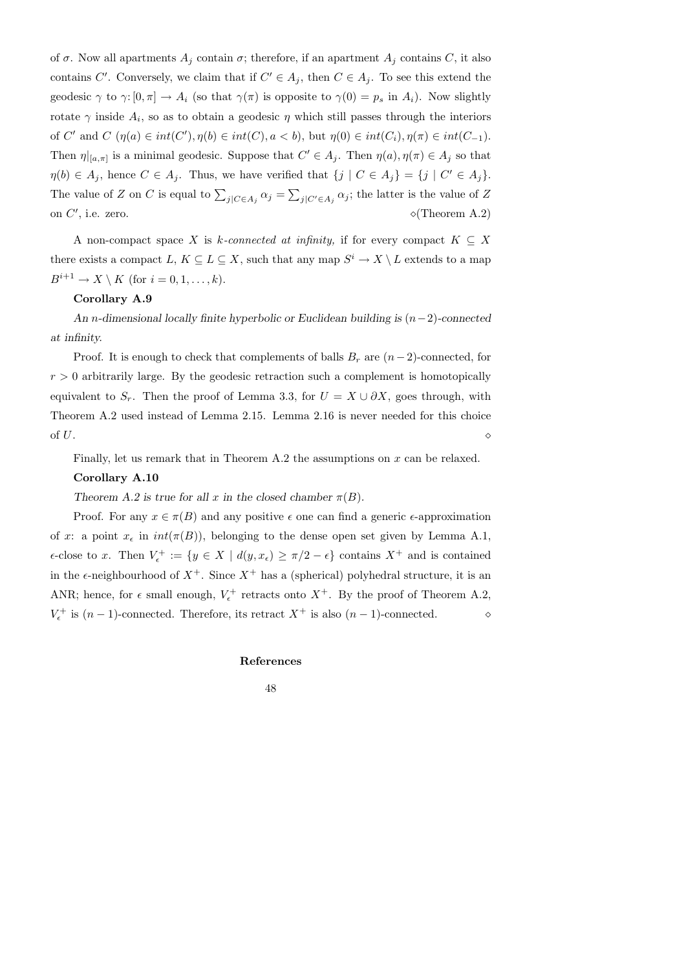of  $\sigma$ . Now all apartments  $A_j$  contain  $\sigma$ ; therefore, if an apartment  $A_j$  contains C, it also contains C'. Conversely, we claim that if  $C' \in A_j$ , then  $C \in A_j$ . To see this extend the geodesic  $\gamma$  to  $\gamma: [0, \pi] \to A_i$  (so that  $\gamma(\pi)$  is opposite to  $\gamma(0) = p_s$  in  $A_i$ ). Now slightly rotate  $\gamma$  inside  $A_i$ , so as to obtain a geodesic  $\eta$  which still passes through the interiors of C' and C  $(\eta(a) \in int(C'), \eta(b) \in int(C), a < b)$ , but  $\eta(0) \in int(C_i), \eta(\pi) \in int(C_{-1})$ . Then  $\eta|_{[a,\pi]}$  is a minimal geodesic. Suppose that  $C' \in A_j$ . Then  $\eta(a), \eta(\pi) \in A_j$  so that  $\eta(b) \in A_j$ , hence  $C \in A_j$ . Thus, we have verified that  $\{j \mid C \in A_j\} = \{j \mid C' \in A_j\}$ . The value of Z on C is equal to  $\sum_{j|C\in A_j}\alpha_j = \sum_{j|C'\in A_j}\alpha_j$ ; the latter is the value of Z on  $C'$  $\diamond$ (Theorem A.2)

A non-compact space X is k-connected at infinity, if for every compact  $K \subseteq X$ there exists a compact  $L, K \subseteq L \subseteq X$ , such that any map  $S^i \to X \setminus L$  extends to a map  $B^{i+1} \to X \setminus K$  (for  $i = 0, 1, \ldots, k$ ).

# Corollary A.9

An n-dimensional locally finite hyperbolic or Euclidean building is  $(n-2)$ -connected at infinity.

Proof. It is enough to check that complements of balls  $B_r$  are  $(n-2)$ -connected, for  $r > 0$  arbitrarily large. By the geodesic retraction such a complement is homotopically equivalent to  $S_r$ . Then the proof of Lemma 3.3, for  $U = X \cup \partial X$ , goes through, with Theorem A.2 used instead of Lemma 2.15. Lemma 2.16 is never needed for this choice of  $U$ .

Finally, let us remark that in Theorem A.2 the assumptions on x can be relaxed.

### Corollary A.10

Theorem A.2 is true for all x in the closed chamber  $\pi(B)$ .

Proof. For any  $x \in \pi(B)$  and any positive  $\epsilon$  one can find a generic  $\epsilon$ -approximation of x: a point  $x_{\epsilon}$  in  $int(\pi(B))$ , belonging to the dense open set given by Lemma A.1,  $\epsilon$ -close to x. Then  $V_{\epsilon}^+ := \{y \in X \mid d(y, x_{\epsilon}) \geq \pi/2 - \epsilon\}$  contains  $X^+$  and is contained in the  $\epsilon$ -neighbourhood of  $X^+$ . Since  $X^+$  has a (spherical) polyhedral structure, it is an ANR; hence, for  $\epsilon$  small enough,  $V_{\epsilon}^+$  retracts onto  $X^+$ . By the proof of Theorem A.2,  $V_{\epsilon}^{+}$  is  $(n-1)$ -connected. Therefore, its retract  $X^{+}$  is also  $(n-1)$ -connected.  $\diamond$ 

#### References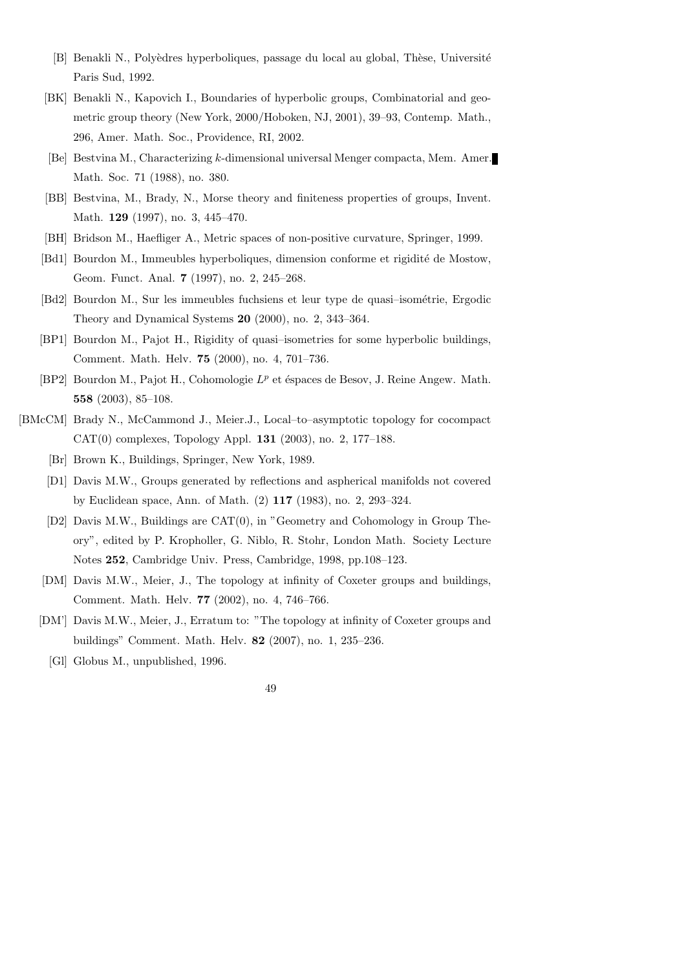- [B] Benakli N., Polyèdres hyperboliques, passage du local au global, Thèse, Université Paris Sud, 1992.
- [BK] Benakli N., Kapovich I., Boundaries of hyperbolic groups, Combinatorial and geometric group theory (New York, 2000/Hoboken, NJ, 2001), 39–93, Contemp. Math., 296, Amer. Math. Soc., Providence, RI, 2002.
- [Be] Bestvina M., Characterizing k-dimensional universal Menger compacta, Mem. Amer. Math. Soc. 71 (1988), no. 380.
- [BB] Bestvina, M., Brady, N., Morse theory and finiteness properties of groups, Invent. Math. 129 (1997), no. 3, 445–470.
- [BH] Bridson M., Haefliger A., Metric spaces of non-positive curvature, Springer, 1999.
- [Bd1] Bourdon M., Immeubles hyperboliques, dimension conforme et rigidité de Mostow, Geom. Funct. Anal. 7 (1997), no. 2, 245–268.
- [Bd2] Bourdon M., Sur les immeubles fuchsiens et leur type de quasi-isométrie, Ergodic Theory and Dynamical Systems 20 (2000), no. 2, 343–364.
- [BP1] Bourdon M., Pajot H., Rigidity of quasi–isometries for some hyperbolic buildings, Comment. Math. Helv. 75 (2000), no. 4, 701–736.
- [BP2] Bourdon M., Pajot H., Cohomologie  $L^p$  et éspaces de Besov, J. Reine Angew. Math. 558 (2003), 85–108.
- [BMcCM] Brady N., McCammond J., Meier.J., Local–to–asymptotic topology for cocompact CAT(0) complexes, Topology Appl. 131 (2003), no. 2, 177–188.
	- [Br] Brown K., Buildings, Springer, New York, 1989.
	- [D1] Davis M.W., Groups generated by reflections and aspherical manifolds not covered by Euclidean space, Ann. of Math. (2) 117 (1983), no. 2, 293–324.
	- [D2] Davis M.W., Buildings are CAT(0), in "Geometry and Cohomology in Group Theory", edited by P. Kropholler, G. Niblo, R. Stohr, London Math. Society Lecture Notes 252, Cambridge Univ. Press, Cambridge, 1998, pp.108–123.
	- [DM] Davis M.W., Meier, J., The topology at infinity of Coxeter groups and buildings, Comment. Math. Helv. 77 (2002), no. 4, 746–766.
	- [DM'] Davis M.W., Meier, J., Erratum to: "The topology at infinity of Coxeter groups and buildings" Comment. Math. Helv. 82 (2007), no. 1, 235–236.
		- [Gl] Globus M., unpublished, 1996.